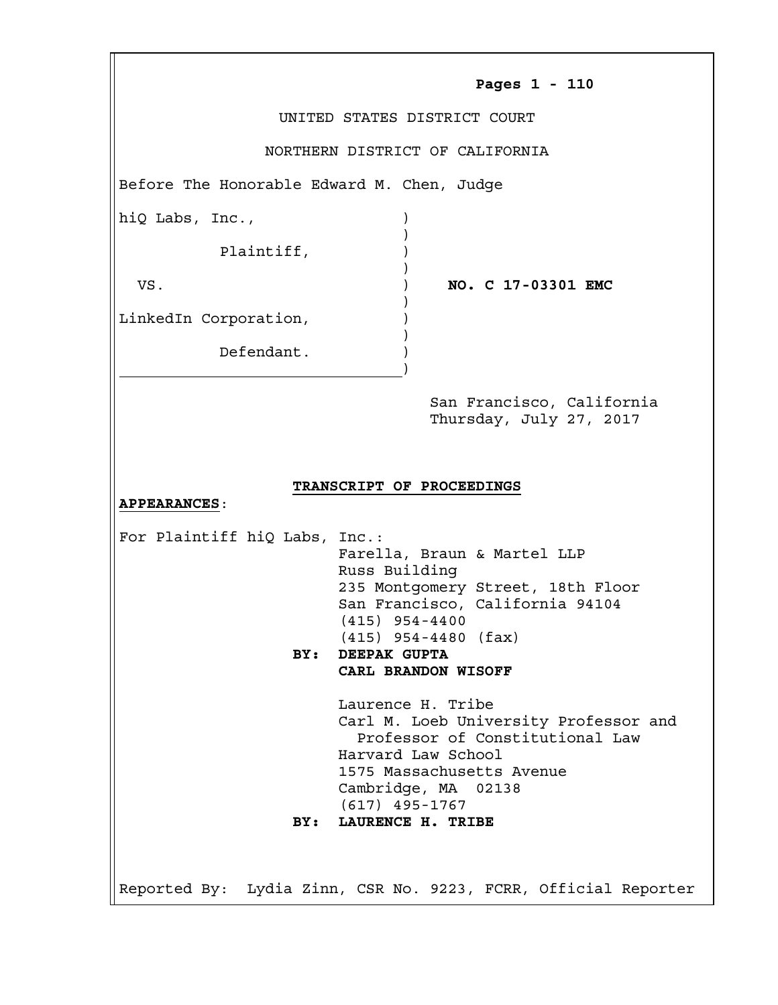| UNITED STATES DISTRICT COURT<br>NORTHERN DISTRICT OF CALIFORNIA<br>Before The Honorable Edward M. Chen, Judge<br>hiQ Labs, Inc.,<br>Plaintiff,<br>VS.<br>NO. C 17-03301 EMC<br>LinkedIn Corporation,<br>Defendant.<br>San Francisco, California<br>Thursday, July 27, 2017<br>TRANSCRIPT OF PROCEEDINGS<br><b>APPEARANCES:</b><br>For Plaintiff hiQ Labs, Inc.:<br>Farella, Braun & Martel LLP<br>Russ Building<br>235 Montgomery Street, 18th Floor<br>San Francisco, California 94104<br>$(415)$ 954-4400<br>$(415)$ 954-4480 (fax)<br>DEEPAK GUPTA<br>BY:<br>CARL BRANDON WISOFF<br>Laurence H. Tribe<br>Carl M. Loeb University Professor and<br>Professor of Constitutional Law<br>Harvard Law School<br>1575 Massachusetts Avenue<br>Cambridge, MA 02138<br>$(617)$ 495-1767<br>LAURENCE H. TRIBE<br>BY: |               |
|----------------------------------------------------------------------------------------------------------------------------------------------------------------------------------------------------------------------------------------------------------------------------------------------------------------------------------------------------------------------------------------------------------------------------------------------------------------------------------------------------------------------------------------------------------------------------------------------------------------------------------------------------------------------------------------------------------------------------------------------------------------------------------------------------------------|---------------|
|                                                                                                                                                                                                                                                                                                                                                                                                                                                                                                                                                                                                                                                                                                                                                                                                                | Pages 1 - 110 |
|                                                                                                                                                                                                                                                                                                                                                                                                                                                                                                                                                                                                                                                                                                                                                                                                                |               |
|                                                                                                                                                                                                                                                                                                                                                                                                                                                                                                                                                                                                                                                                                                                                                                                                                |               |
|                                                                                                                                                                                                                                                                                                                                                                                                                                                                                                                                                                                                                                                                                                                                                                                                                |               |
|                                                                                                                                                                                                                                                                                                                                                                                                                                                                                                                                                                                                                                                                                                                                                                                                                |               |
|                                                                                                                                                                                                                                                                                                                                                                                                                                                                                                                                                                                                                                                                                                                                                                                                                |               |
|                                                                                                                                                                                                                                                                                                                                                                                                                                                                                                                                                                                                                                                                                                                                                                                                                |               |
|                                                                                                                                                                                                                                                                                                                                                                                                                                                                                                                                                                                                                                                                                                                                                                                                                |               |
|                                                                                                                                                                                                                                                                                                                                                                                                                                                                                                                                                                                                                                                                                                                                                                                                                |               |
|                                                                                                                                                                                                                                                                                                                                                                                                                                                                                                                                                                                                                                                                                                                                                                                                                |               |
|                                                                                                                                                                                                                                                                                                                                                                                                                                                                                                                                                                                                                                                                                                                                                                                                                |               |
|                                                                                                                                                                                                                                                                                                                                                                                                                                                                                                                                                                                                                                                                                                                                                                                                                |               |
|                                                                                                                                                                                                                                                                                                                                                                                                                                                                                                                                                                                                                                                                                                                                                                                                                |               |
|                                                                                                                                                                                                                                                                                                                                                                                                                                                                                                                                                                                                                                                                                                                                                                                                                |               |
|                                                                                                                                                                                                                                                                                                                                                                                                                                                                                                                                                                                                                                                                                                                                                                                                                |               |
|                                                                                                                                                                                                                                                                                                                                                                                                                                                                                                                                                                                                                                                                                                                                                                                                                |               |
|                                                                                                                                                                                                                                                                                                                                                                                                                                                                                                                                                                                                                                                                                                                                                                                                                |               |
|                                                                                                                                                                                                                                                                                                                                                                                                                                                                                                                                                                                                                                                                                                                                                                                                                |               |
|                                                                                                                                                                                                                                                                                                                                                                                                                                                                                                                                                                                                                                                                                                                                                                                                                |               |
|                                                                                                                                                                                                                                                                                                                                                                                                                                                                                                                                                                                                                                                                                                                                                                                                                |               |
|                                                                                                                                                                                                                                                                                                                                                                                                                                                                                                                                                                                                                                                                                                                                                                                                                |               |
|                                                                                                                                                                                                                                                                                                                                                                                                                                                                                                                                                                                                                                                                                                                                                                                                                |               |
|                                                                                                                                                                                                                                                                                                                                                                                                                                                                                                                                                                                                                                                                                                                                                                                                                |               |
|                                                                                                                                                                                                                                                                                                                                                                                                                                                                                                                                                                                                                                                                                                                                                                                                                |               |
|                                                                                                                                                                                                                                                                                                                                                                                                                                                                                                                                                                                                                                                                                                                                                                                                                |               |
|                                                                                                                                                                                                                                                                                                                                                                                                                                                                                                                                                                                                                                                                                                                                                                                                                |               |
| Reported By: Lydia Zinn, CSR No. 9223, FCRR, Official Reporter                                                                                                                                                                                                                                                                                                                                                                                                                                                                                                                                                                                                                                                                                                                                                 |               |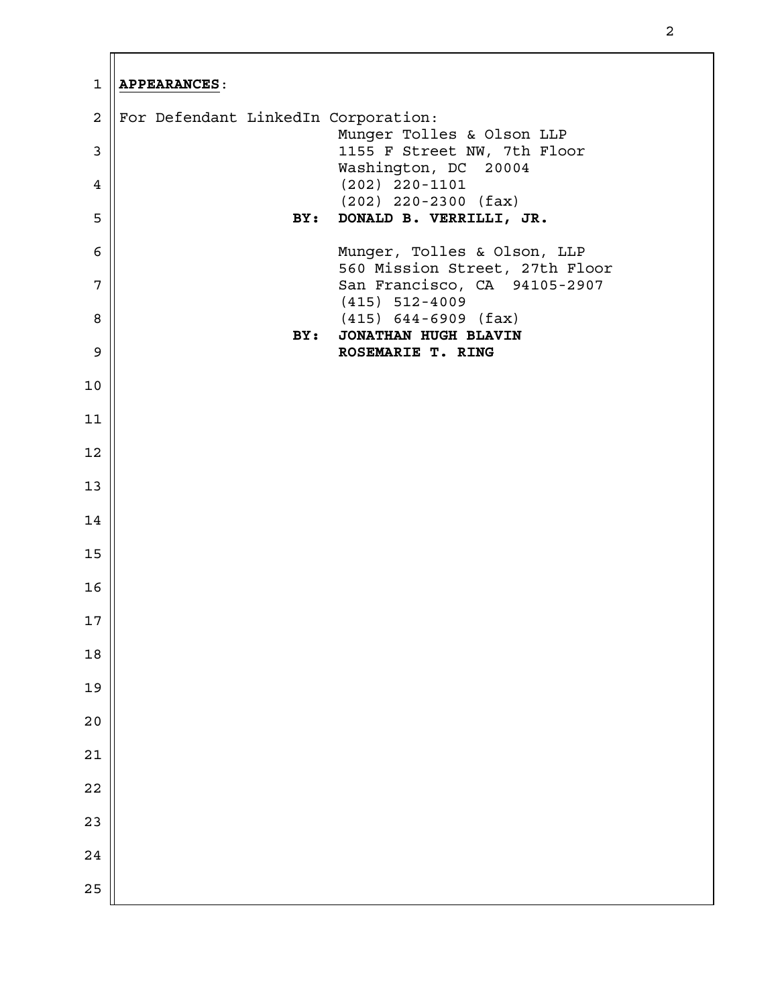| $\mathbf{1}$   | <b>APPEARANCES:</b>                                            |
|----------------|----------------------------------------------------------------|
| $\overline{a}$ | For Defendant LinkedIn Corporation:                            |
| $\mathbf{3}$   | Munger Tolles & Olson LLP<br>1155 F Street NW, 7th Floor       |
| $\overline{4}$ | Washington, DC 20004<br>$(202)$ 220-1101                       |
| 5              | $(202)$ 220-2300 (fax)<br>DONALD B. VERRILLI, JR.<br>BY:       |
| 6              | Munger, Tolles & Olson, LLP                                    |
| 7              | 560 Mission Street, 27th Floor<br>San Francisco, CA 94105-2907 |
|                | $(415)$ 512-4009                                               |
| $\, 8$         | $(415)$ 644-6909 (fax)<br>BY:<br>JONATHAN HUGH BLAVIN          |
| $\mathsf 9$    | ROSEMARIE T. RING                                              |
| 10             |                                                                |
| 11             |                                                                |
| 12             |                                                                |
| 13             |                                                                |
| 14             |                                                                |
| 15             |                                                                |
| 16             |                                                                |
| $17\,$         |                                                                |
| $18\,$         |                                                                |
| 19             |                                                                |
| $2\,0$         |                                                                |
| $2\sqrt{1}$    |                                                                |
| 22             |                                                                |
| 23             |                                                                |
| 24             |                                                                |
| 25             |                                                                |
|                |                                                                |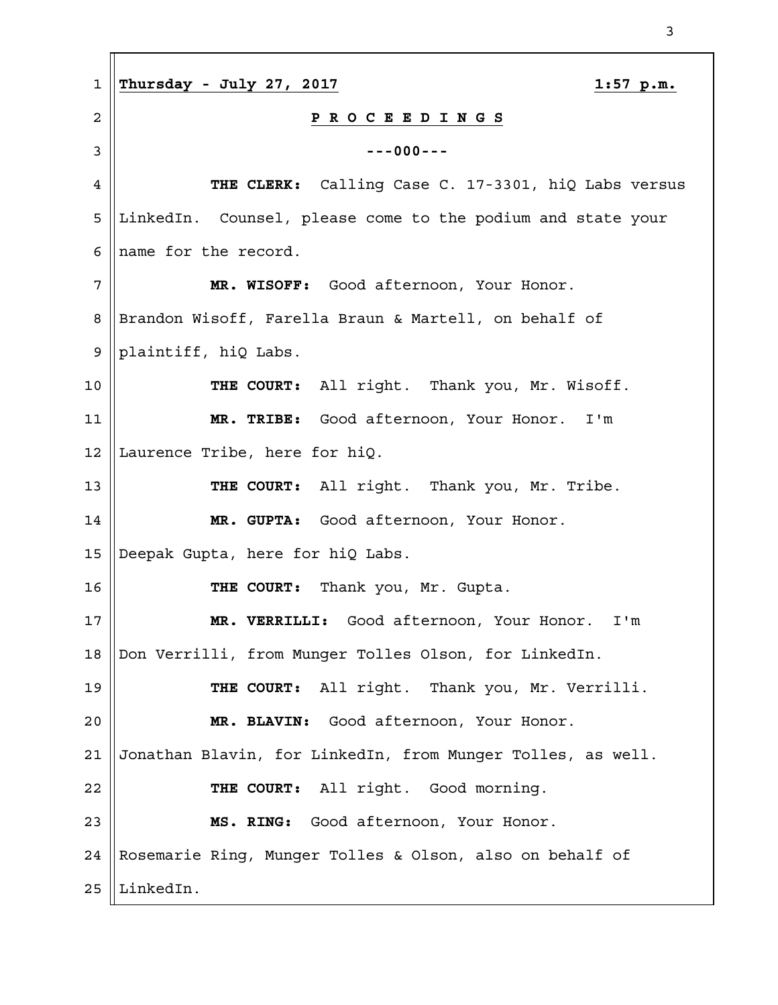| $\mathbf 1$ | Thursday - July 27, 2017<br>$1:57$ p.m.                     |
|-------------|-------------------------------------------------------------|
| 2           | P R O C E E D I N G S                                       |
| 3           | $--000--$                                                   |
| 4           | THE CLERK: Calling Case C. 17-3301, hiQ Labs versus         |
| 5           | LinkedIn. Counsel, please come to the podium and state your |
| 6           | name for the record.                                        |
| 7           | MR. WISOFF: Good afternoon, Your Honor.                     |
| 8           | Brandon Wisoff, Farella Braun & Martell, on behalf of       |
| 9           | plaintiff, hiQ Labs.                                        |
| 10          | THE COURT: All right. Thank you, Mr. Wisoff.                |
| 11          | MR. TRIBE: Good afternoon, Your Honor. I'm                  |
| 12          | Laurence Tribe, here for hiQ.                               |
| 13          | THE COURT: All right. Thank you, Mr. Tribe.                 |
| 14          | MR. GUPTA: Good afternoon, Your Honor.                      |
| 15          | Deepak Gupta, here for hiQ Labs.                            |
| 16          | THE COURT: Thank you, Mr. Gupta.                            |
| 17          | MR. VERRILLI: Good afternoon, Your Honor. I'm               |
| 18          | Don Verrilli, from Munger Tolles Olson, for LinkedIn.       |
| 19          | THE COURT: All right. Thank you, Mr. Verrilli.              |
| 20          | MR. BLAVIN: Good afternoon, Your Honor.                     |
| 21          | Jonathan Blavin, for LinkedIn, from Munger Tolles, as well. |
| 22          | THE COURT: All right. Good morning.                         |
| 23          | MS. RING: Good afternoon, Your Honor.                       |
| 24          | Rosemarie Ring, Munger Tolles & Olson, also on behalf of    |
| 25          | LinkedIn.                                                   |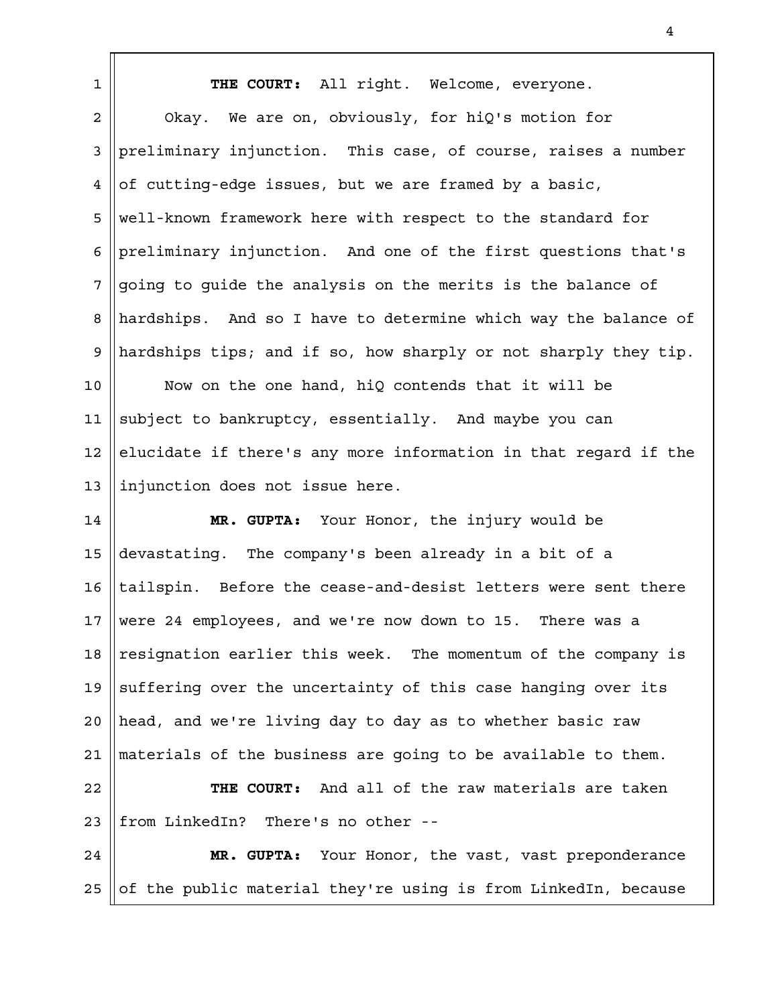**THE COURT:** All right. Welcome, everyone. Okay. We are on, obviously, for hiQ's motion for preliminary injunction. This case, of course, raises a number of cutting-edge issues, but we are framed by a basic, well-known framework here with respect to the standard for preliminary injunction. And one of the first questions that's going to guide the analysis on the merits is the balance of hardships. And so I have to determine which way the balance of hardships tips; and if so, how sharply or not sharply they tip. Now on the one hand, hiQ contends that it will be subject to bankruptcy, essentially. And maybe you can elucidate if there's any more information in that regard if the injunction does not issue here. **MR. GUPTA:** Your Honor, the injury would be devastating. The company's been already in a bit of a tailspin. Before the cease-and-desist letters were sent there were 24 employees, and we're now down to 15. There was a resignation earlier this week. The momentum of the company is suffering over the uncertainty of this case hanging over its head, and we're living day to day as to whether basic raw materials of the business are going to be available to them. **THE COURT:** And all of the raw materials are taken from LinkedIn? There's no other -- **MR. GUPTA:** Your Honor, the vast, vast preponderance of the public material they're using is from LinkedIn, because 1 2 3 4 5 6 7 8 9 10 11 12 13 14 15 16 17 18 19  $2.0$ 21 22 23 24 25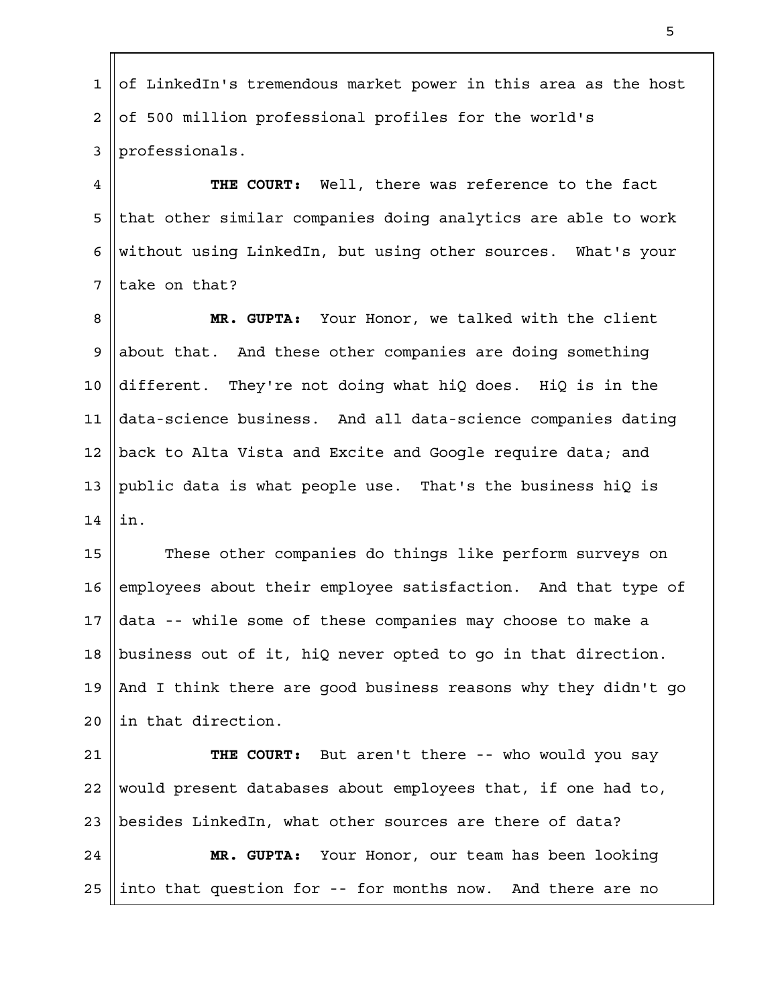of LinkedIn's tremendous market power in this area as the host of 500 million professional profiles for the world's professionals. 1 2 3

**THE COURT:** Well, there was reference to the fact that other similar companies doing analytics are able to work without using LinkedIn, but using other sources. What's your take on that? 4 5 6 7

**MR. GUPTA:** Your Honor, we talked with the client about that. And these other companies are doing something different. They're not doing what hiQ does. HiQ is in the data-science business. And all data-science companies dating back to Alta Vista and Excite and Google require data; and public data is what people use. That's the business hiQ is in. 8 9 10 11 12 13 14

These other companies do things like perform surveys on employees about their employee satisfaction. And that type of data -- while some of these companies may choose to make a business out of it, hiQ never opted to go in that direction. And I think there are good business reasons why they didn't go in that direction. 15 16 17 18 19  $2.0$ 

**THE COURT:** But aren't there -- who would you say would present databases about employees that, if one had to, besides LinkedIn, what other sources are there of data? **MR. GUPTA:** Your Honor, our team has been looking into that question for -- for months now. And there are no 21 22 23 24 25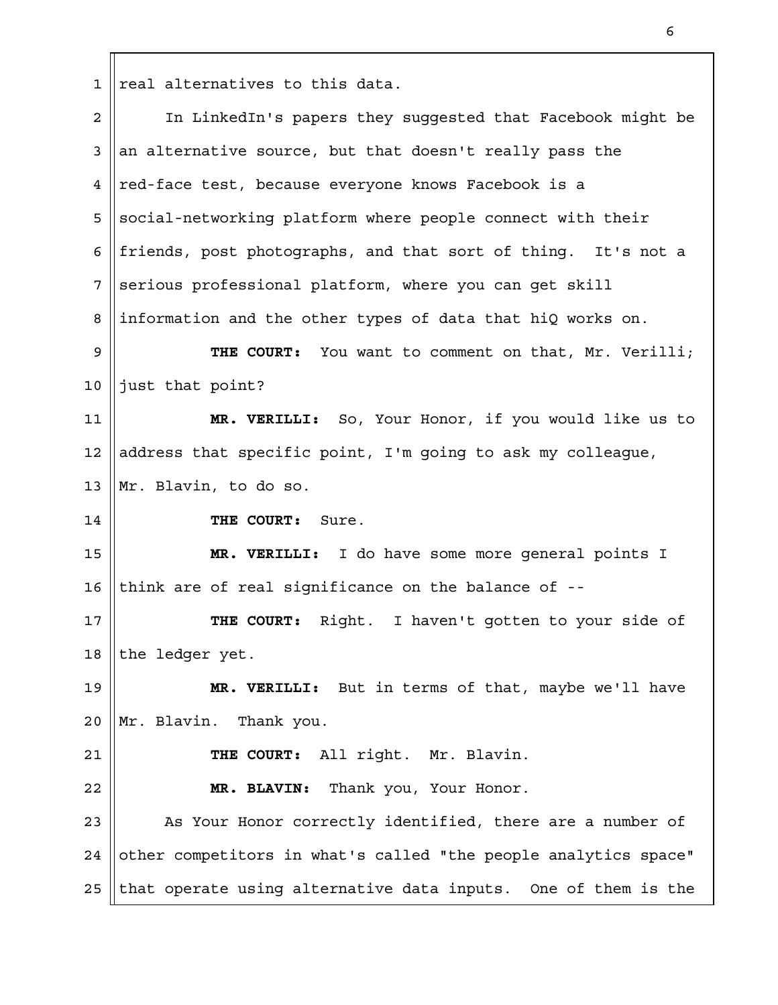$1$  real alternatives to this data.

| $\overline{a}$       | In LinkedIn's papers they suggested that Facebook might be      |
|----------------------|-----------------------------------------------------------------|
| 3                    | an alternative source, but that doesn't really pass the         |
| 4                    | red-face test, because everyone knows Facebook is a             |
| 5                    | social-networking platform where people connect with their      |
| 6                    | friends, post photographs, and that sort of thing. It's not a   |
| 7                    | serious professional platform, where you can get skill          |
| 8                    | information and the other types of data that hiQ works on.      |
| $\mathsf 9$          | THE COURT: You want to comment on that, Mr. Verilli;            |
| 10                   | just that point?                                                |
| 11                   | MR. VERILLI: So, Your Honor, if you would like us to            |
| 12                   | address that specific point, I'm going to ask my colleague,     |
| 13                   | Mr. Blavin, to do so.                                           |
| 14                   | THE COURT: Sure.                                                |
|                      |                                                                 |
|                      | MR. VERILLI: I do have some more general points I               |
|                      | think are of real significance on the balance of --             |
| 15<br>16<br>17       | THE COURT: Right. I haven't gotten to your side of              |
|                      | the ledger yet.                                                 |
|                      | MR. VERILLI: But in terms of that, maybe we'll have             |
|                      | Mr. Blavin.<br>Thank you.                                       |
| 18<br>19<br>20<br>21 | THE COURT: All right. Mr. Blavin.                               |
| 22                   | MR. BLAVIN: Thank you, Your Honor.                              |
| 23                   | As Your Honor correctly identified, there are a number of       |
| 24                   | other competitors in what's called "the people analytics space" |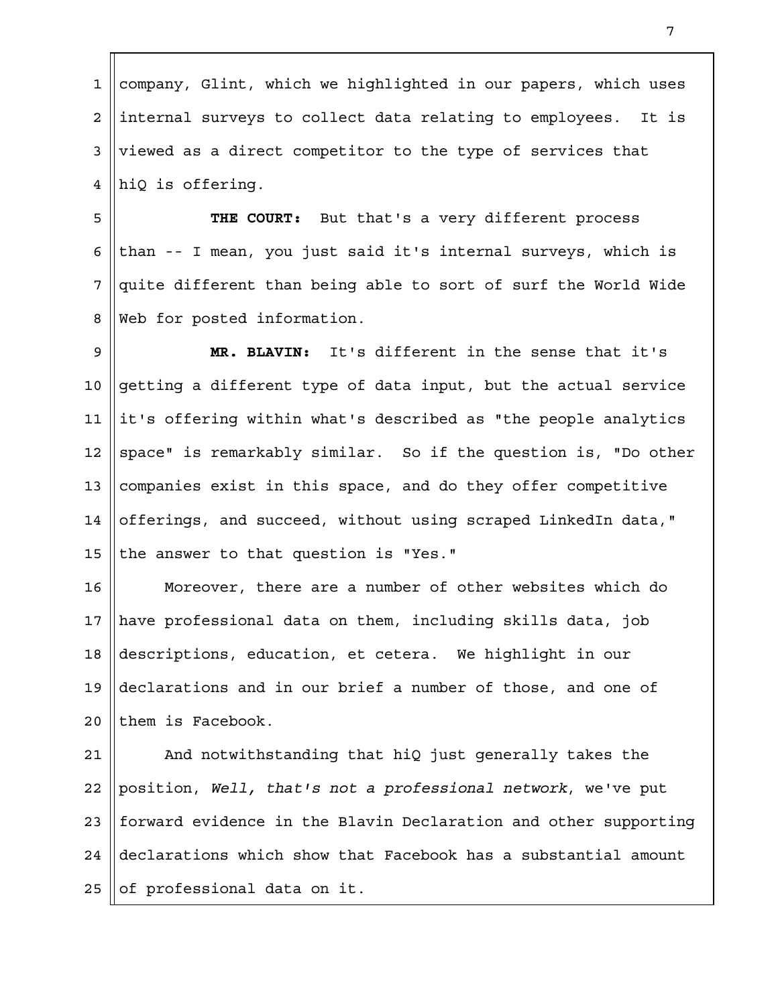company, Glint, which we highlighted in our papers, which uses internal surveys to collect data relating to employees. It is viewed as a direct competitor to the type of services that hiQ is offering. 1 2 3 4

**THE COURT:** But that's a very different process than -- I mean, you just said it's internal surveys, which is quite different than being able to sort of surf the World Wide Web for posted information. 5 6 7 8

**MR. BLAVIN:** It's different in the sense that it's getting a different type of data input, but the actual service it's offering within what's described as "the people analytics space" is remarkably similar. So if the question is, "Do other companies exist in this space, and do they offer competitive offerings, and succeed, without using scraped LinkedIn data," the answer to that question is "Yes." 9 10 11 12 13 14 15

Moreover, there are a number of other websites which do have professional data on them, including skills data, job descriptions, education, et cetera. We highlight in our declarations and in our brief a number of those, and one of them is Facebook. 16 17 18 19  $2.0$ 

And notwithstanding that hiQ just generally takes the position, *Well, that's not a professional network*, we've put forward evidence in the Blavin Declaration and other supporting declarations which show that Facebook has a substantial amount of professional data on it. 21 22 23 24 25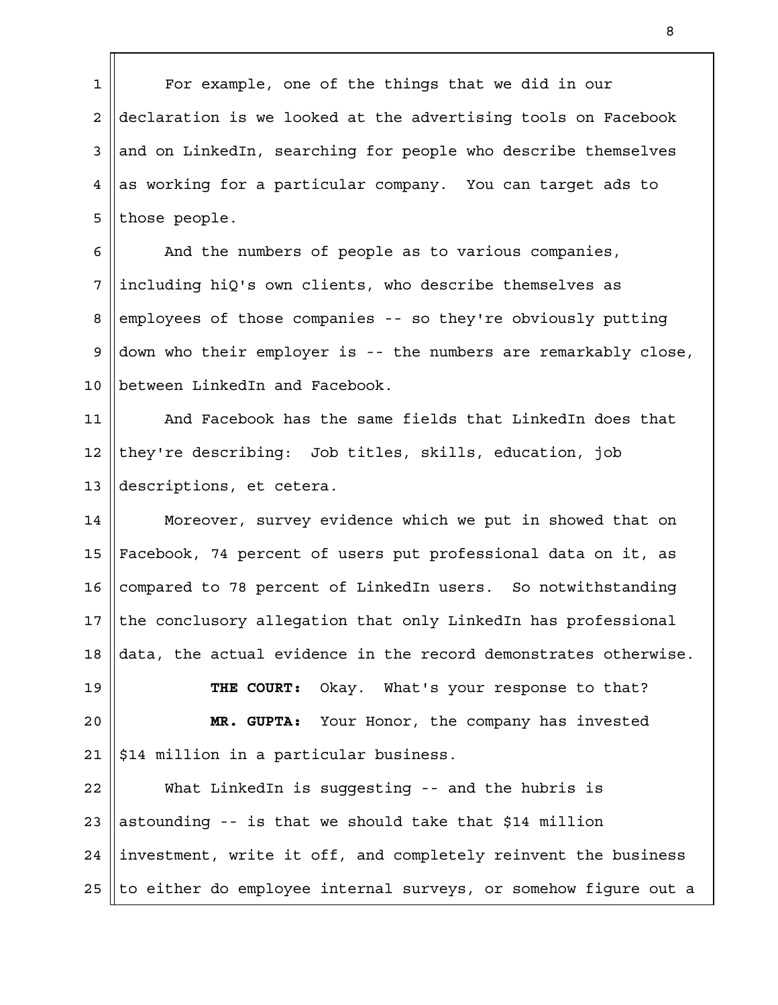For example, one of the things that we did in our declaration is we looked at the advertising tools on Facebook and on LinkedIn, searching for people who describe themselves as working for a particular company. You can target ads to those people. 1 2 3 4 5

And the numbers of people as to various companies, including hiQ's own clients, who describe themselves as employees of those companies -- so they're obviously putting down who their employer is -- the numbers are remarkably close, between LinkedIn and Facebook. 6 7 8 9 10

And Facebook has the same fields that LinkedIn does that they're describing: Job titles, skills, education, job descriptions, et cetera. 11 12 13

Moreover, survey evidence which we put in showed that on Facebook, 74 percent of users put professional data on it, as compared to 78 percent of LinkedIn users. So notwithstanding the conclusory allegation that only LinkedIn has professional data, the actual evidence in the record demonstrates otherwise. 14 15 16 17 18

**THE COURT:** Okay. What's your response to that? **MR. GUPTA:** Your Honor, the company has invested \$14 million in a particular business. 19  $2.0$ 21

What LinkedIn is suggesting -- and the hubris is astounding -- is that we should take that \$14 million investment, write it off, and completely reinvent the business to either do employee internal surveys, or somehow figure out a 22 23 24 25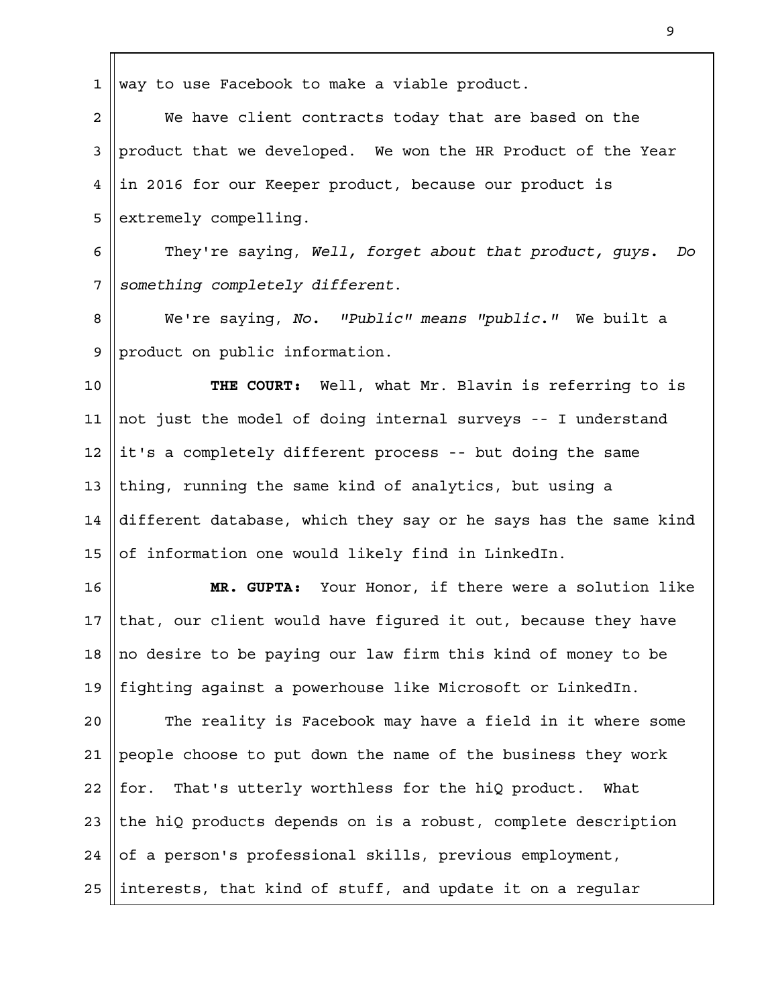way to use Facebook to make a viable product. We have client contracts today that are based on the product that we developed. We won the HR Product of the Year in 2016 for our Keeper product, because our product is extremely compelling. They're saying, *Well, forget about that product, guys. Do something completely different*. We're saying, *No. "Public" means "public."* We built a product on public information. **THE COURT:** Well, what Mr. Blavin is referring to is not just the model of doing internal surveys -- I understand it's a completely different process -- but doing the same thing, running the same kind of analytics, but using a different database, which they say or he says has the same kind of information one would likely find in LinkedIn. **MR. GUPTA:** Your Honor, if there were a solution like that, our client would have figured it out, because they have no desire to be paying our law firm this kind of money to be fighting against a powerhouse like Microsoft or LinkedIn. The reality is Facebook may have a field in it where some people choose to put down the name of the business they work for. That's utterly worthless for the hiQ product. What the hiQ products depends on is a robust, complete description of a person's professional skills, previous employment, interests, that kind of stuff, and update it on a regular 1 2 3 4 5 6 7 8 9 10 11 12 13 14 15 16 17 18 19  $2.0$ 21 22 23 24 25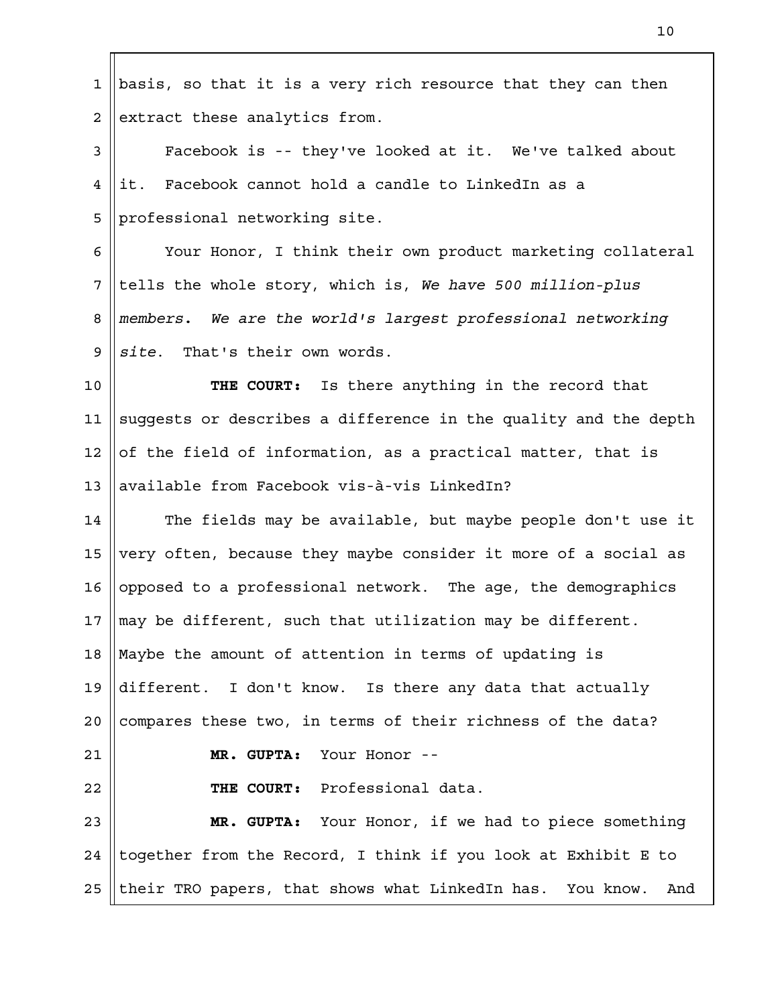| $\mathbf 1$    | basis, so that it is a very rich resource that they can then     |
|----------------|------------------------------------------------------------------|
| $\overline{a}$ | extract these analytics from.                                    |
| 3              | Facebook is -- they've looked at it. We've talked about          |
| 4              | Facebook cannot hold a candle to LinkedIn as a<br>it.            |
| 5              | professional networking site.                                    |
| 6              | Your Honor, I think their own product marketing collateral       |
| 7              | tells the whole story, which is, We have 500 million-plus        |
| 8              | members. We are the world's largest professional networking      |
| 9              | site. That's their own words.                                    |
| 10             | THE COURT: Is there anything in the record that                  |
| 11             | suggests or describes a difference in the quality and the depth  |
| 12             | of the field of information, as a practical matter, that is      |
| 13             | available from Facebook vis-à-vis LinkedIn?                      |
| 14             | The fields may be available, but maybe people don't use it       |
| 15             | very often, because they maybe consider it more of a social as   |
| 16             | opposed to a professional network. The age, the demographics     |
| 17             | may be different, such that utilization may be different.        |
| 18             | Maybe the amount of attention in terms of updating is            |
| 19             | different. I don't know. Is there any data that actually         |
| 20             | compares these two, in terms of their richness of the data?      |
| 21             | MR. GUPTA: Your Honor --                                         |
| 22             | THE COURT: Professional data.                                    |
| 23             | MR. GUPTA: Your Honor, if we had to piece something              |
| 24             | together from the Record, I think if you look at Exhibit E to    |
| 25             | their TRO papers, that shows what LinkedIn has. You know.<br>And |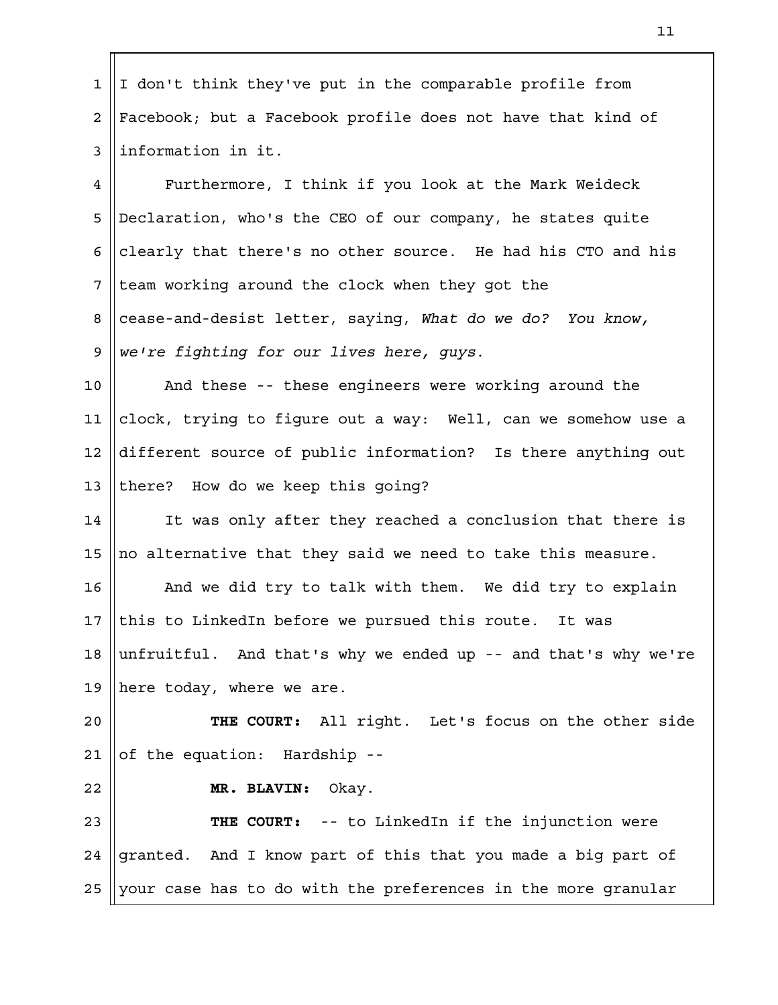I don't think they've put in the comparable profile from Facebook; but a Facebook profile does not have that kind of information in it. Furthermore, I think if you look at the Mark Weideck Declaration, who's the CEO of our company, he states quite clearly that there's no other source. He had his CTO and his team working around the clock when they got the cease-and-desist letter, saying, *What do we do? You know, we're fighting for our lives here, guys*. And these -- these engineers were working around the clock, trying to figure out a way: Well, can we somehow use a different source of public information? Is there anything out there? How do we keep this going? It was only after they reached a conclusion that there is no alternative that they said we need to take this measure. And we did try to talk with them. We did try to explain this to LinkedIn before we pursued this route. It was unfruitful. And that's why we ended up -- and that's why we're here today, where we are. **THE COURT:** All right. Let's focus on the other side of the equation: Hardship -- **MR. BLAVIN:** Okay. **THE COURT:** -- to LinkedIn if the injunction were granted. And I know part of this that you made a big part of your case has to do with the preferences in the more granular 1 2 3 4 5 6 7 8 9 10 11 12 13 14 15 16 17 18 19  $2.0$ 21 22 23 24 25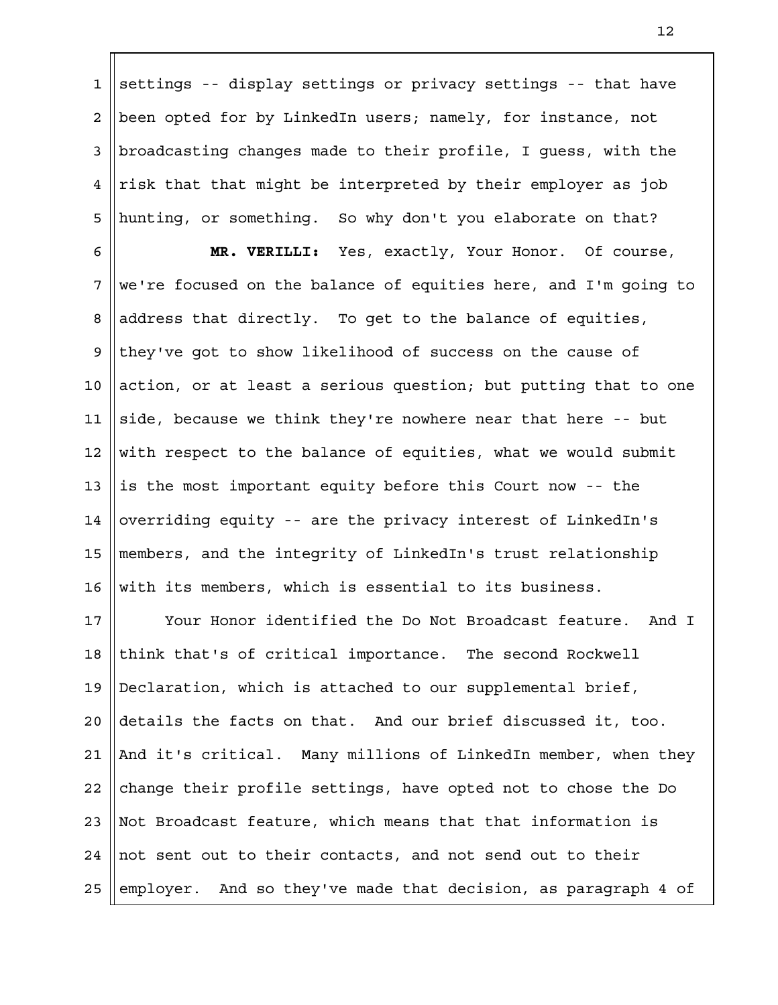settings -- display settings or privacy settings -- that have been opted for by LinkedIn users; namely, for instance, not broadcasting changes made to their profile, I guess, with the risk that that might be interpreted by their employer as job hunting, or something. So why don't you elaborate on that? 1 2 3 4 5

**MR. VERILLI:** Yes, exactly, Your Honor. Of course, we're focused on the balance of equities here, and I'm going to address that directly. To get to the balance of equities, they've got to show likelihood of success on the cause of action, or at least a serious question; but putting that to one side, because we think they're nowhere near that here -- but with respect to the balance of equities, what we would submit is the most important equity before this Court now -- the overriding equity -- are the privacy interest of LinkedIn's members, and the integrity of LinkedIn's trust relationship with its members, which is essential to its business. 6 7 8 9 10 11 12 13 14 15 16

Your Honor identified the Do Not Broadcast feature. And I think that's of critical importance. The second Rockwell Declaration, which is attached to our supplemental brief, details the facts on that. And our brief discussed it, too. And it's critical. Many millions of LinkedIn member, when they change their profile settings, have opted not to chose the Do Not Broadcast feature, which means that that information is not sent out to their contacts, and not send out to their employer. And so they've made that decision, as paragraph 4 of 17 18 19  $2.0$ 21 22 23 24 25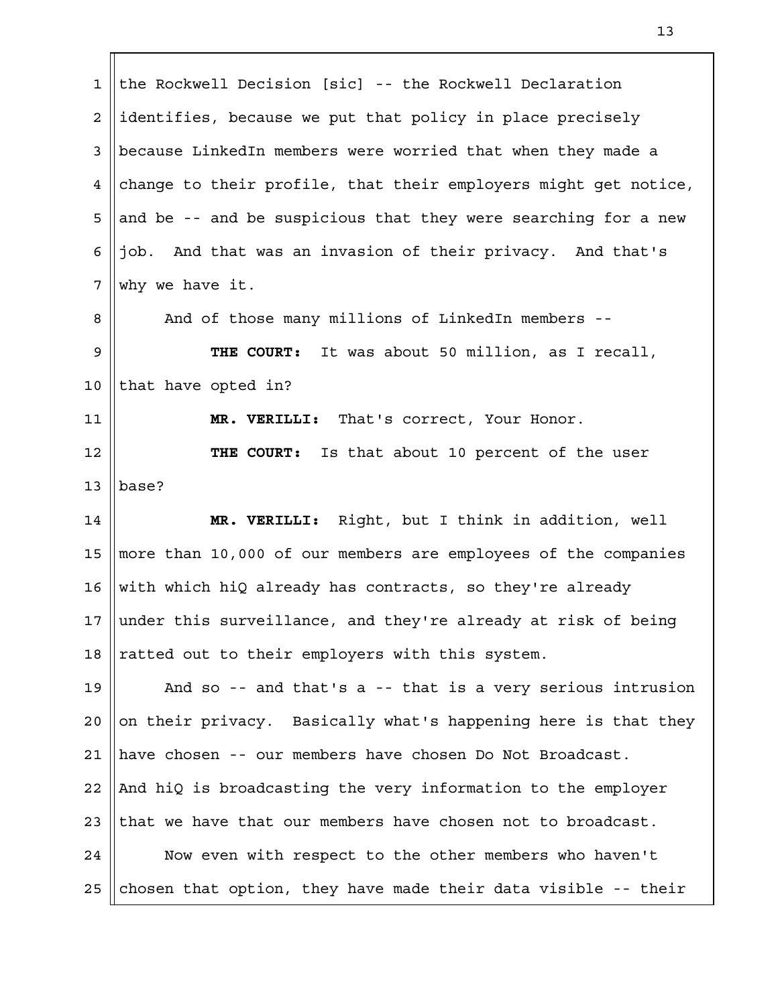the Rockwell Decision [sic] -- the Rockwell Declaration identifies, because we put that policy in place precisely because LinkedIn members were worried that when they made a change to their profile, that their employers might get notice, and be -- and be suspicious that they were searching for a new job. And that was an invasion of their privacy. And that's why we have it. And of those many millions of LinkedIn members -- **THE COURT:** It was about 50 million, as I recall, that have opted in? **MR. VERILLI:** That's correct, Your Honor. **THE COURT:** Is that about 10 percent of the user base? **MR. VERILLI:** Right, but I think in addition, well more than 10,000 of our members are employees of the companies with which hiQ already has contracts, so they're already under this surveillance, and they're already at risk of being ratted out to their employers with this system. And so -- and that's a -- that is a very serious intrusion on their privacy. Basically what's happening here is that they have chosen -- our members have chosen Do Not Broadcast. And hiQ is broadcasting the very information to the employer that we have that our members have chosen not to broadcast. Now even with respect to the other members who haven't chosen that option, they have made their data visible -- their 1 2 3 4 5 6 7 8 9 10 11 12 13 14 15 16 17 18 19  $2.0$ 21 22 23 24 25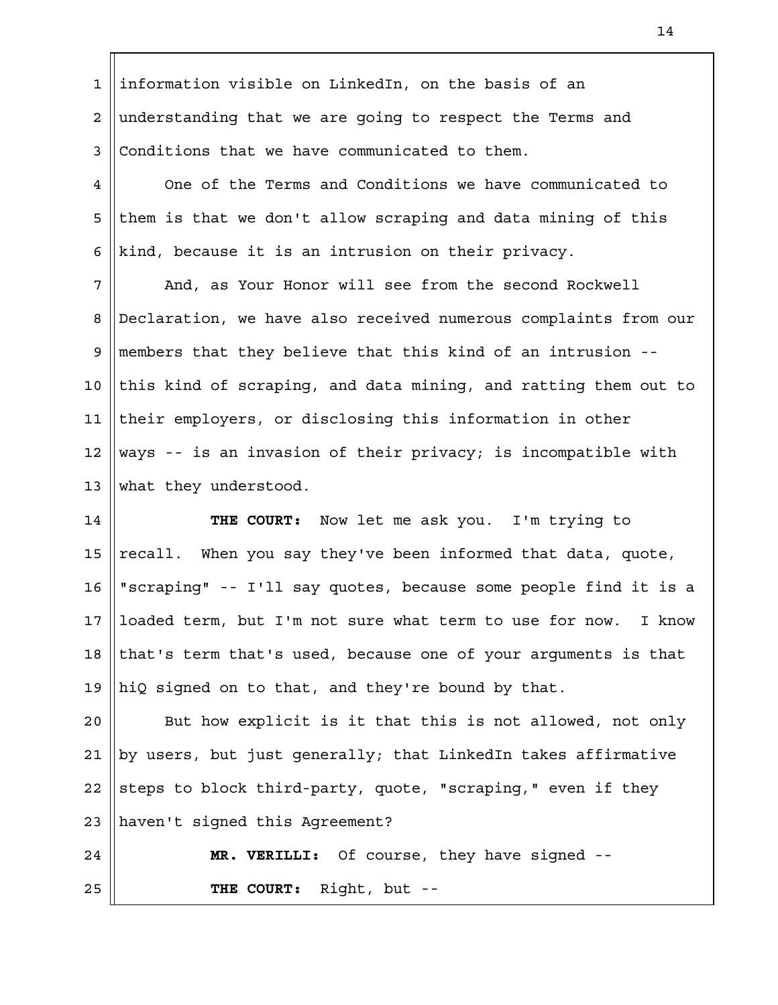information visible on LinkedIn, on the basis of an understanding that we are going to respect the Terms and Conditions that we have communicated to them. 1 2 3

One of the Terms and Conditions we have communicated to them is that we don't allow scraping and data mining of this kind, because it is an intrusion on their privacy. 4 5 6

And, as Your Honor will see from the second Rockwell Declaration, we have also received numerous complaints from our members that they believe that this kind of an intrusion - this kind of scraping, and data mining, and ratting them out to their employers, or disclosing this information in other ways -- is an invasion of their privacy; is incompatible with what they understood. 7 8 9 10 11 12 13

**THE COURT:** Now let me ask you. I'm trying to recall. When you say they've been informed that data, quote, "scraping" -- I'll say quotes, because some people find it is a loaded term, but I'm not sure what term to use for now. I know that's term that's used, because one of your arguments is that hiQ signed on to that, and they're bound by that. 14 15 16 17 18 19

But how explicit is it that this is not allowed, not only by users, but just generally; that LinkedIn takes affirmative steps to block third-party, quote, "scraping," even if they haven't signed this Agreement?  $2.0$ 21 22 23

**MR. VERILLI:** Of course, they have signed -- **THE COURT:** Right, but -- 24 25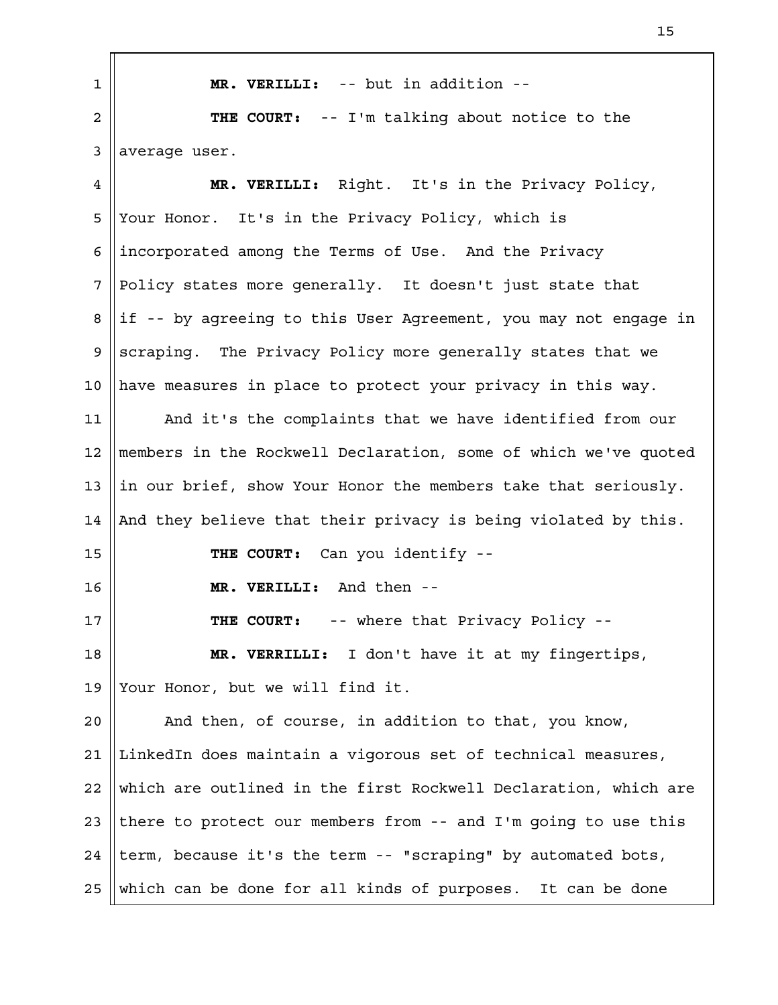| $\mathbf 1$ | MR. VERILLI: -- but in addition --                              |
|-------------|-----------------------------------------------------------------|
| 2           | THE COURT: -- I'm talking about notice to the                   |
| 3           | average user.                                                   |
| 4           | MR. VERILLI: Right. It's in the Privacy Policy,                 |
| 5           | Your Honor. It's in the Privacy Policy, which is                |
| 6           | incorporated among the Terms of Use. And the Privacy            |
| 7           | Policy states more generally. It doesn't just state that        |
| 8           | if -- by agreeing to this User Agreement, you may not engage in |
| 9           | scraping. The Privacy Policy more generally states that we      |
| 10          | have measures in place to protect your privacy in this way.     |
| 11          | And it's the complaints that we have identified from our        |
| 12          | members in the Rockwell Declaration, some of which we've quoted |
| 13          | in our brief, show Your Honor the members take that seriously.  |
| 14          | And they believe that their privacy is being violated by this.  |
| 15          | THE COURT: Can you identify --                                  |
| 16          | MR. VERILLI: And then --                                        |
| 17          | -- where that Privacy Policy --<br>THE COURT:                   |
| 18          | MR. VERRILLI: I don't have it at my fingertips,                 |
| 19          | Your Honor, but we will find it.                                |
| 20          | And then, of course, in addition to that, you know,             |
| 21          | LinkedIn does maintain a vigorous set of technical measures,    |
| 22          | which are outlined in the first Rockwell Declaration, which are |
| 23          | there to protect our members from -- and I'm going to use this  |
| 24          | term, because it's the term -- "scraping" by automated bots,    |
| 25          | which can be done for all kinds of purposes. It can be done     |

'n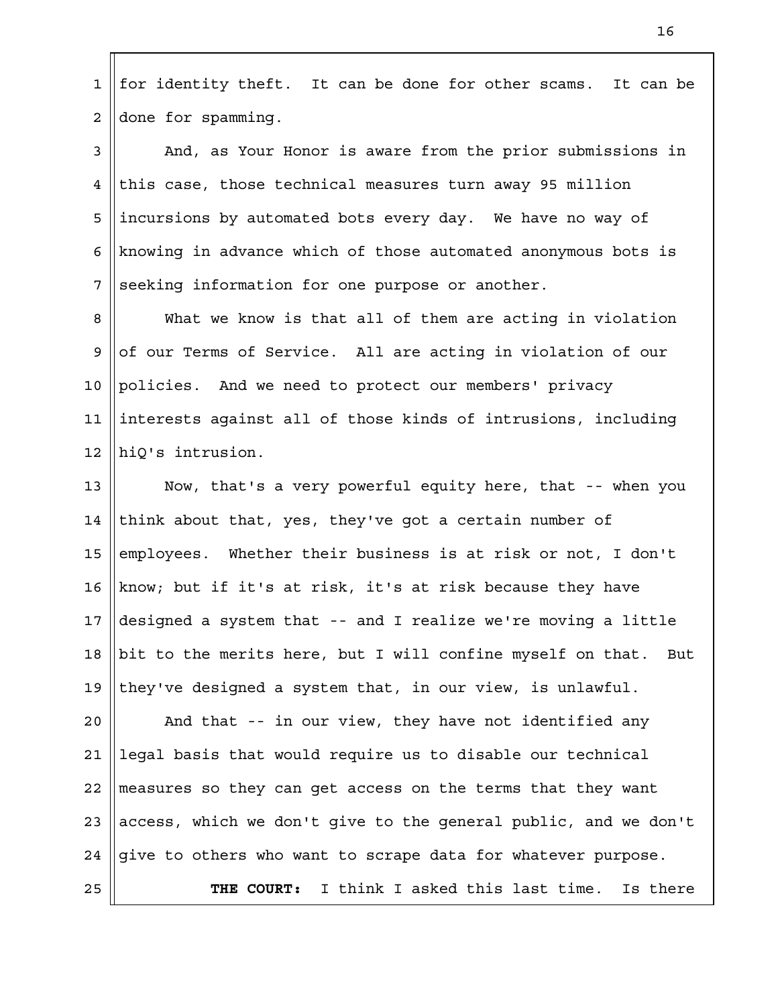for identity theft. It can be done for other scams. It can be done for spamming. 1 2

And, as Your Honor is aware from the prior submissions in this case, those technical measures turn away 95 million incursions by automated bots every day. We have no way of knowing in advance which of those automated anonymous bots is seeking information for one purpose or another. 3 4 5 6 7

What we know is that all of them are acting in violation of our Terms of Service. All are acting in violation of our policies. And we need to protect our members' privacy interests against all of those kinds of intrusions, including hiQ's intrusion. 8 9 10 11 12

Now, that's a very powerful equity here, that -- when you think about that, yes, they've got a certain number of employees. Whether their business is at risk or not, I don't know; but if it's at risk, it's at risk because they have designed a system that -- and I realize we're moving a little bit to the merits here, but I will confine myself on that. But they've designed a system that, in our view, is unlawful. 13 14 15 16 17 18 19

And that -- in our view, they have not identified any legal basis that would require us to disable our technical measures so they can get access on the terms that they want access, which we don't give to the general public, and we don't give to others who want to scrape data for whatever purpose. **THE COURT:** I think I asked this last time. Is there  $2.0$ 21 22 23 24 25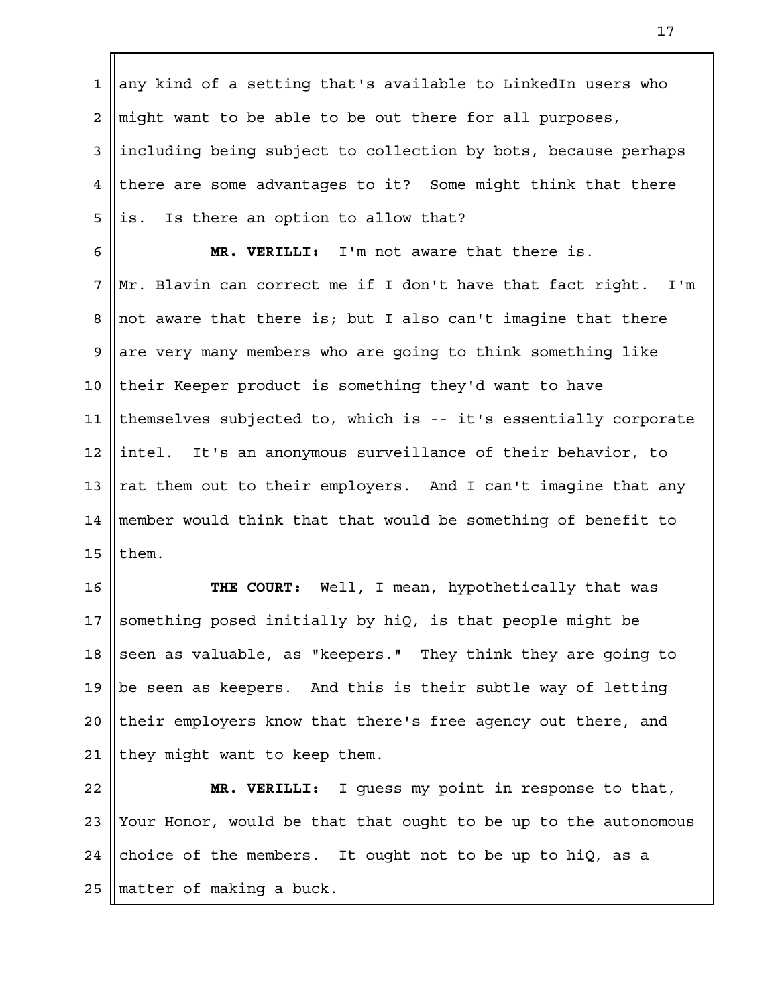any kind of a setting that's available to LinkedIn users who might want to be able to be out there for all purposes, including being subject to collection by bots, because perhaps there are some advantages to it? Some might think that there is. Is there an option to allow that? **MR. VERILLI:** I'm not aware that there is. 1 2 3 4 5 6

Mr. Blavin can correct me if I don't have that fact right. I'm not aware that there is; but I also can't imagine that there are very many members who are going to think something like their Keeper product is something they'd want to have themselves subjected to, which is -- it's essentially corporate intel. It's an anonymous surveillance of their behavior, to rat them out to their employers. And I can't imagine that any member would think that that would be something of benefit to them. 7 8 9 10 11 12 13 14 15

**THE COURT:** Well, I mean, hypothetically that was something posed initially by hiQ, is that people might be seen as valuable, as "keepers." They think they are going to be seen as keepers. And this is their subtle way of letting their employers know that there's free agency out there, and they might want to keep them. 16 17 18 19  $2.0$ 21

**MR. VERILLI:** I guess my point in response to that, Your Honor, would be that that ought to be up to the autonomous choice of the members. It ought not to be up to hiQ, as a matter of making a buck. 22 23 24 25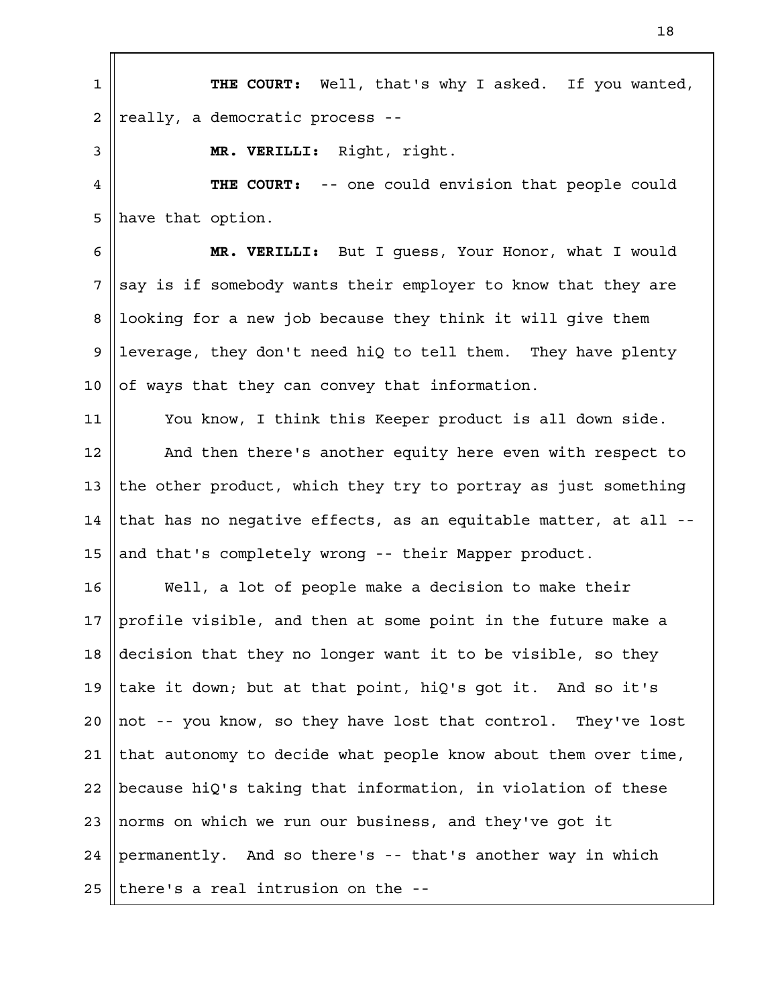**THE COURT:** Well, that's why I asked. If you wanted, really, a democratic process -- **MR. VERILLI:** Right, right. **THE COURT:** -- one could envision that people could have that option. **MR. VERILLI:** But I guess, Your Honor, what I would say is if somebody wants their employer to know that they are looking for a new job because they think it will give them leverage, they don't need hiQ to tell them. They have plenty of ways that they can convey that information. You know, I think this Keeper product is all down side. And then there's another equity here even with respect to the other product, which they try to portray as just something that has no negative effects, as an equitable matter, at all - and that's completely wrong -- their Mapper product. Well, a lot of people make a decision to make their profile visible, and then at some point in the future make a decision that they no longer want it to be visible, so they take it down; but at that point, hiQ's got it. And so it's not -- you know, so they have lost that control. They've lost that autonomy to decide what people know about them over time, because hiQ's taking that information, in violation of these norms on which we run our business, and they've got it permanently. And so there's -- that's another way in which there's a real intrusion on the -- 1 2 3 4 5 6 7 8 9 10 11 12 13 14 15 16 17 18 19  $2.0$ 21 22 23 24 25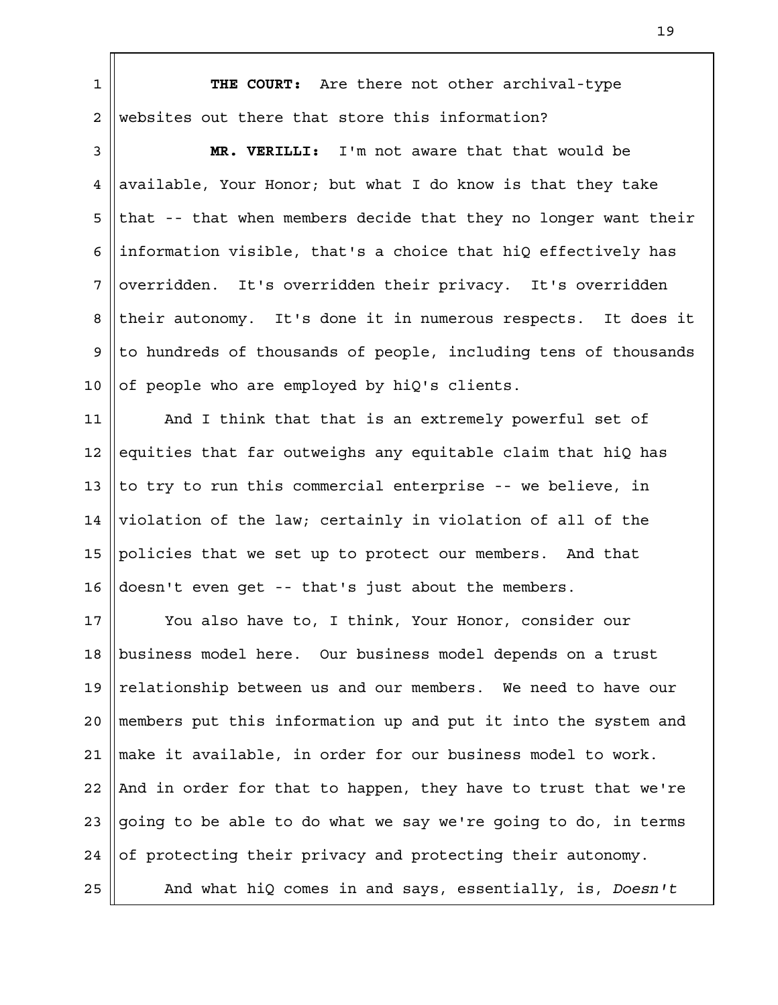**THE COURT:** Are there not other archival-type websites out there that store this information? 1 2

**MR. VERILLI:** I'm not aware that that would be available, Your Honor; but what I do know is that they take that -- that when members decide that they no longer want their information visible, that's a choice that hiQ effectively has overridden. It's overridden their privacy. It's overridden their autonomy. It's done it in numerous respects. It does it to hundreds of thousands of people, including tens of thousands of people who are employed by hiQ's clients. 3 4 5 6 7 8 9 10

And I think that that is an extremely powerful set of equities that far outweighs any equitable claim that hiQ has to try to run this commercial enterprise -- we believe, in violation of the law; certainly in violation of all of the policies that we set up to protect our members. And that doesn't even get -- that's just about the members. 11 12 13 14 15 16

You also have to, I think, Your Honor, consider our business model here. Our business model depends on a trust relationship between us and our members. We need to have our members put this information up and put it into the system and make it available, in order for our business model to work. And in order for that to happen, they have to trust that we're going to be able to do what we say we're going to do, in terms of protecting their privacy and protecting their autonomy. And what hiQ comes in and says, essentially, is, *Doesn't* 17 18 19  $2.0$ 21 22 23 24 25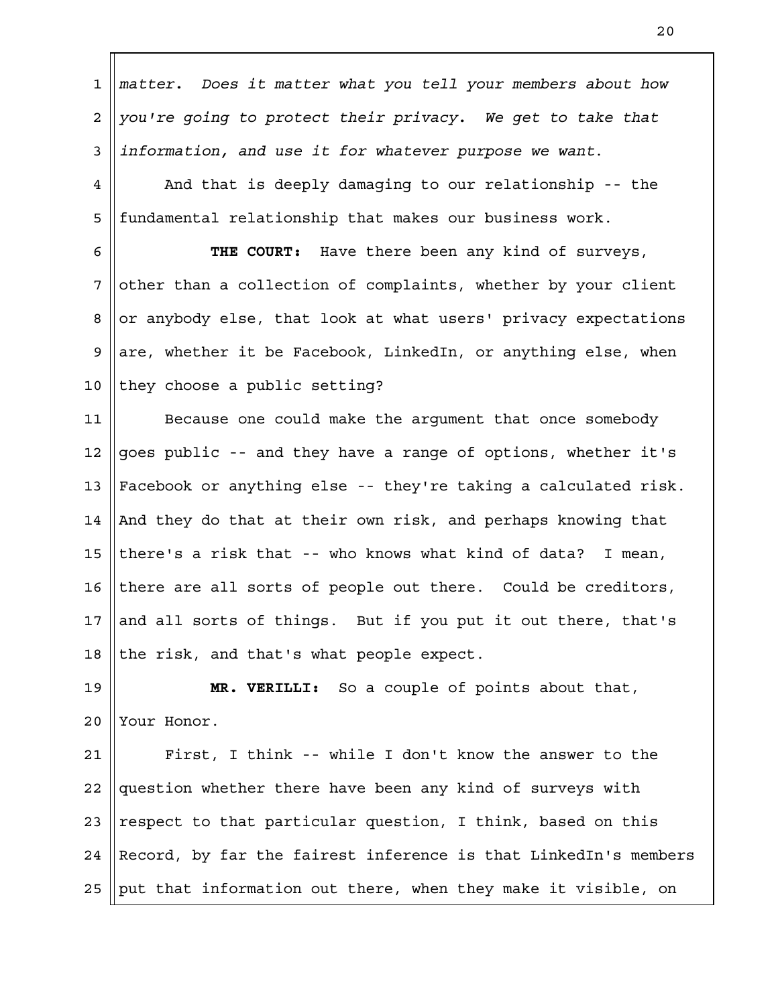*matter. Does it matter what you tell your members about how you're going to protect their privacy. We get to take that information, and use it for whatever purpose we want*. 1 2 3

And that is deeply damaging to our relationship -- the fundamental relationship that makes our business work. 4 5

**THE COURT:** Have there been any kind of surveys, other than a collection of complaints, whether by your client or anybody else, that look at what users' privacy expectations are, whether it be Facebook, LinkedIn, or anything else, when they choose a public setting? 6 7 8 9 10

Because one could make the argument that once somebody goes public -- and they have a range of options, whether it's Facebook or anything else -- they're taking a calculated risk. And they do that at their own risk, and perhaps knowing that there's a risk that -- who knows what kind of data? I mean, there are all sorts of people out there. Could be creditors, and all sorts of things. But if you put it out there, that's the risk, and that's what people expect. 11 12 13 14 15 16 17 18

**MR. VERILLI:** So a couple of points about that, Your Honor. 19  $2.0$ 

First, I think -- while I don't know the answer to the question whether there have been any kind of surveys with respect to that particular question, I think, based on this Record, by far the fairest inference is that LinkedIn's members put that information out there, when they make it visible, on 21 22 23 24 25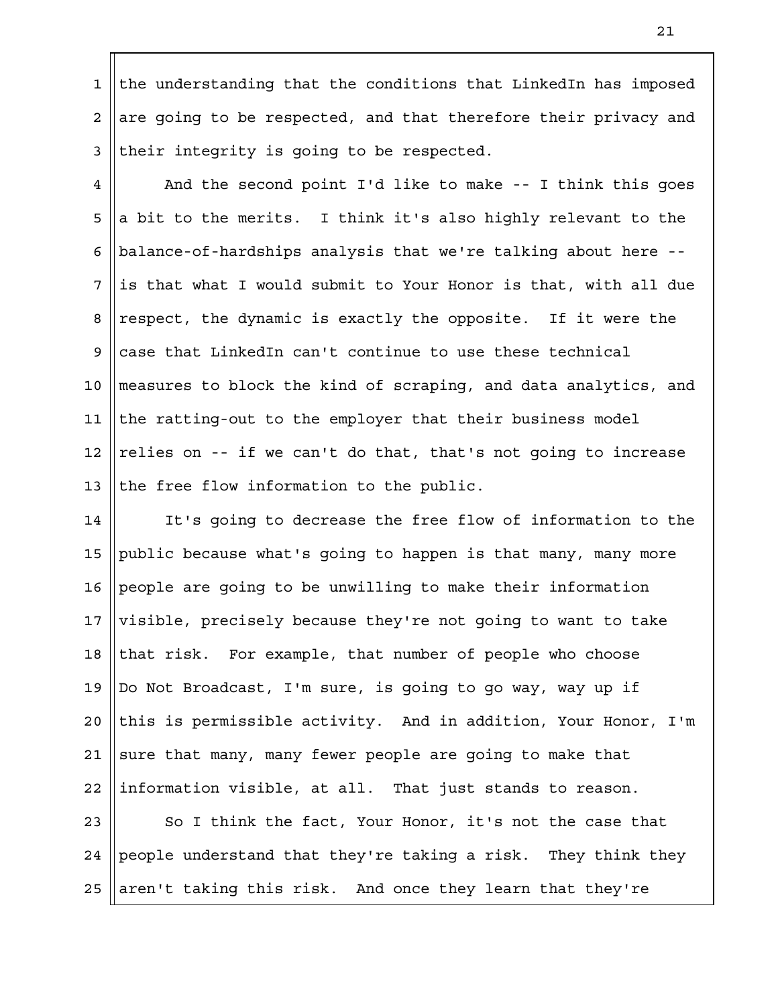the understanding that the conditions that LinkedIn has imposed are going to be respected, and that therefore their privacy and their integrity is going to be respected. 1 2 3

And the second point I'd like to make -- I think this goes a bit to the merits. I think it's also highly relevant to the balance-of-hardships analysis that we're talking about here - is that what I would submit to Your Honor is that, with all due respect, the dynamic is exactly the opposite. If it were the case that LinkedIn can't continue to use these technical measures to block the kind of scraping, and data analytics, and the ratting-out to the employer that their business model relies on -- if we can't do that, that's not going to increase the free flow information to the public. 4 5 6 7 8 9 10 11 12 13

It's going to decrease the free flow of information to the public because what's going to happen is that many, many more people are going to be unwilling to make their information visible, precisely because they're not going to want to take that risk. For example, that number of people who choose Do Not Broadcast, I'm sure, is going to go way, way up if this is permissible activity. And in addition, Your Honor, I'm sure that many, many fewer people are going to make that information visible, at all. That just stands to reason. 14 15 16 17 18 19  $2.0$ 21 22

So I think the fact, Your Honor, it's not the case that people understand that they're taking a risk. They think they aren't taking this risk. And once they learn that they're 23 24 25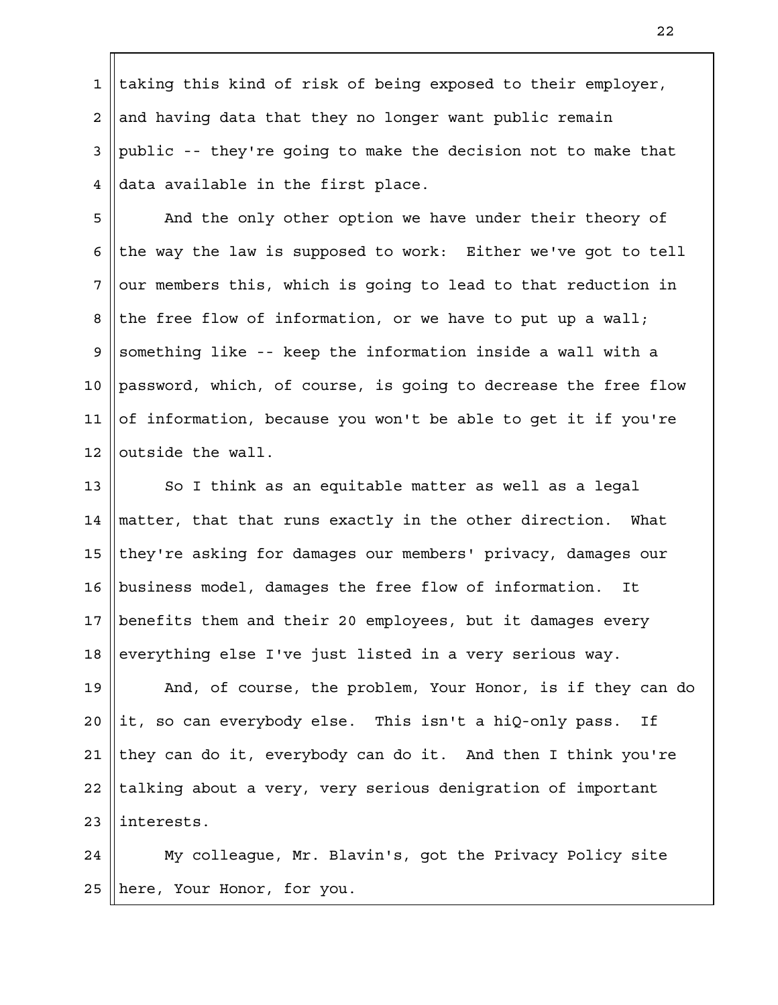taking this kind of risk of being exposed to their employer, and having data that they no longer want public remain public -- they're going to make the decision not to make that data available in the first place. 1 2 3 4

And the only other option we have under their theory of the way the law is supposed to work: Either we've got to tell our members this, which is going to lead to that reduction in the free flow of information, or we have to put up a wall; something like -- keep the information inside a wall with a password, which, of course, is going to decrease the free flow of information, because you won't be able to get it if you're outside the wall. 5 6 7 8 9 10 11 12

So I think as an equitable matter as well as a legal matter, that that runs exactly in the other direction. What they're asking for damages our members' privacy, damages our business model, damages the free flow of information. It benefits them and their 20 employees, but it damages every everything else I've just listed in a very serious way. 13 14 15 16 17 18

And, of course, the problem, Your Honor, is if they can do it, so can everybody else. This isn't a hiQ-only pass. If they can do it, everybody can do it. And then I think you're talking about a very, very serious denigration of important interests. 19  $2.0$ 21 22 23

My colleague, Mr. Blavin's, got the Privacy Policy site here, Your Honor, for you. 24 25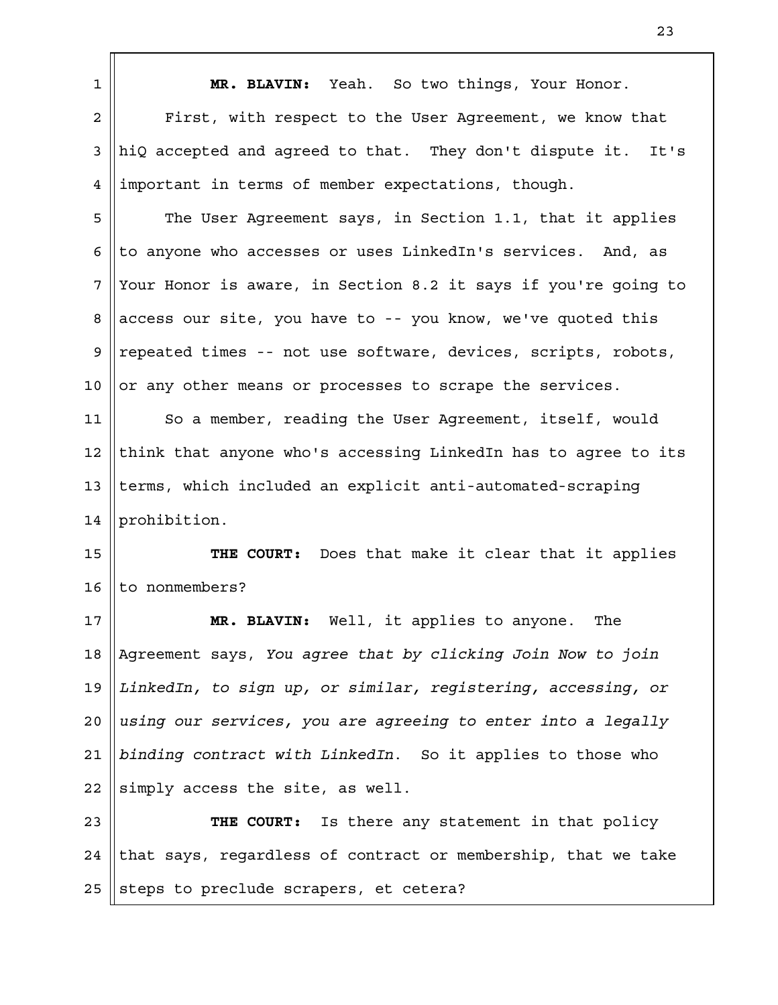| $\mathbf 1$    | MR. BLAVIN: Yeah. So two things, Your Honor.                    |
|----------------|-----------------------------------------------------------------|
| $\overline{a}$ | First, with respect to the User Agreement, we know that         |
| 3              | hiQ accepted and agreed to that. They don't dispute it.<br>It's |
| 4              | important in terms of member expectations, though.              |
| 5              | The User Agreement says, in Section 1.1, that it applies        |
| 6              | to anyone who accesses or uses LinkedIn's services. And, as     |
| 7              | Your Honor is aware, in Section 8.2 it says if you're going to  |
| 8              | access our site, you have to -- you know, we've quoted this     |
| 9              | repeated times -- not use software, devices, scripts, robots,   |
| 10             | or any other means or processes to scrape the services.         |
| 11             | So a member, reading the User Agreement, itself, would          |
| 12             | think that anyone who's accessing LinkedIn has to agree to its  |
| 13             | terms, which included an explicit anti-automated-scraping       |
| 14             | prohibition.                                                    |
| 15             | Does that make it clear that it applies<br>THE COURT:           |
| 16             | to nonmembers?                                                  |
| 17             | MR. BLAVIN: Well, it applies to anyone. The                     |
| 18             | Agreement says, You agree that by clicking Join Now to join     |
| 19             | LinkedIn, to sign up, or similar, registering, accessing, or    |
| 20             | using our services, you are agreeing to enter into a legally    |
| 21             | binding contract with LinkedIn. So it applies to those who      |
| 22             | simply access the site, as well.                                |
| 23             | THE COURT: Is there any statement in that policy                |
| 24             | that says, regardless of contract or membership, that we take   |
| 25             | steps to preclude scrapers, et cetera?                          |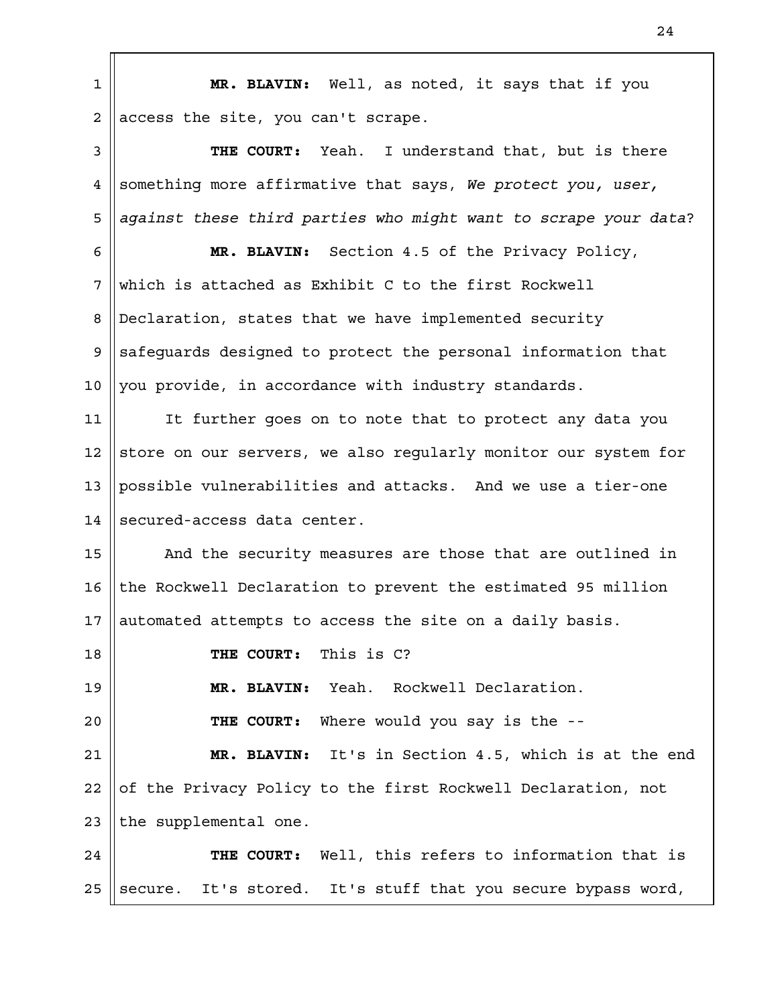**MR. BLAVIN:** Well, as noted, it says that if you access the site, you can't scrape. **THE COURT:** Yeah. I understand that, but is there something more affirmative that says, *We protect you, user, against these third parties who might want to scrape your data*? **MR. BLAVIN:** Section 4.5 of the Privacy Policy, which is attached as Exhibit C to the first Rockwell Declaration, states that we have implemented security safeguards designed to protect the personal information that you provide, in accordance with industry standards. It further goes on to note that to protect any data you store on our servers, we also regularly monitor our system for possible vulnerabilities and attacks. And we use a tier-one secured-access data center. And the security measures are those that are outlined in the Rockwell Declaration to prevent the estimated 95 million automated attempts to access the site on a daily basis. **THE COURT:** This is C? **MR. BLAVIN:** Yeah. Rockwell Declaration. **THE COURT:** Where would you say is the -- **MR. BLAVIN:** It's in Section 4.5, which is at the end of the Privacy Policy to the first Rockwell Declaration, not the supplemental one. **THE COURT:** Well, this refers to information that is secure. It's stored. It's stuff that you secure bypass word, 1 2 3 4 5 6 7 8 9 10 11 12 13 14 15 16 17 18 19  $2.0$ 21 22 23 24 25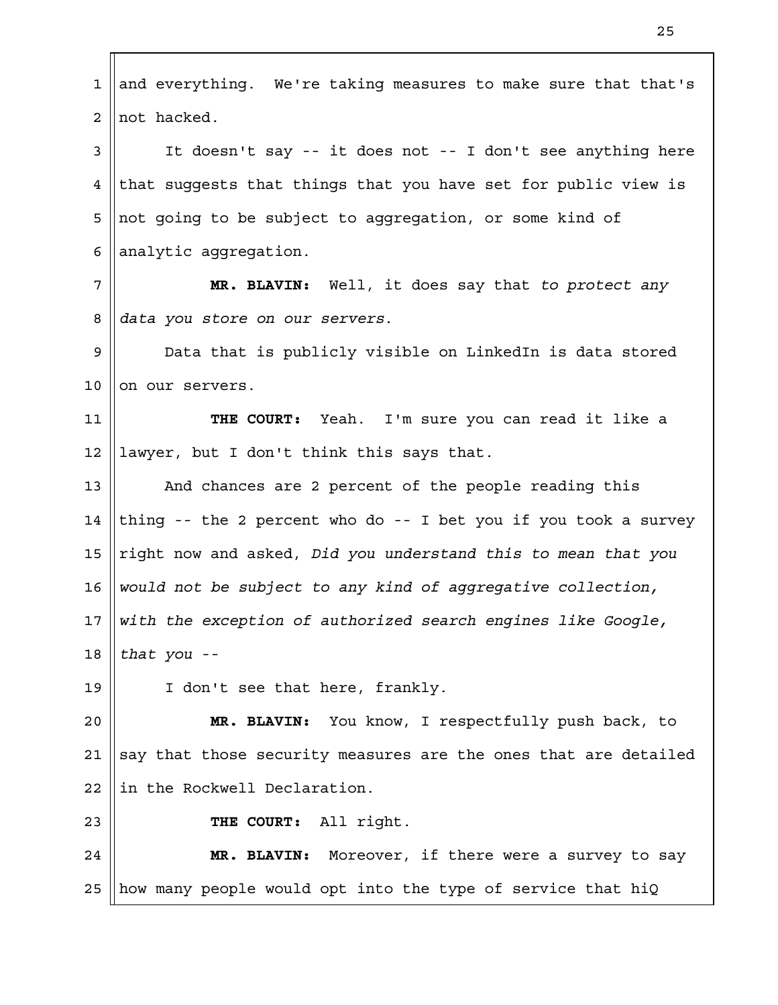and everything. We're taking measures to make sure that that's not hacked. It doesn't say -- it does not -- I don't see anything here that suggests that things that you have set for public view is not going to be subject to aggregation, or some kind of analytic aggregation. **MR. BLAVIN:** Well, it does say that *to protect any data you store on our servers*. Data that is publicly visible on LinkedIn is data stored on our servers. **THE COURT:** Yeah. I'm sure you can read it like a lawyer, but I don't think this says that. And chances are 2 percent of the people reading this thing -- the 2 percent who do -- I bet you if you took a survey right now and asked, *Did you understand this to mean that you would not be subject to any kind of aggregative collection, with the exception of authorized search engines like Google, that you* -- I don't see that here, frankly. **MR. BLAVIN:** You know, I respectfully push back, to say that those security measures are the ones that are detailed in the Rockwell Declaration. **THE COURT:** All right. **MR. BLAVIN:** Moreover, if there were a survey to say how many people would opt into the type of service that hiQ 1 2 3 4 5 6 7 8 9 10 11 12 13 14 15 16 17 18 19  $2.0$ 21 22 23 24 25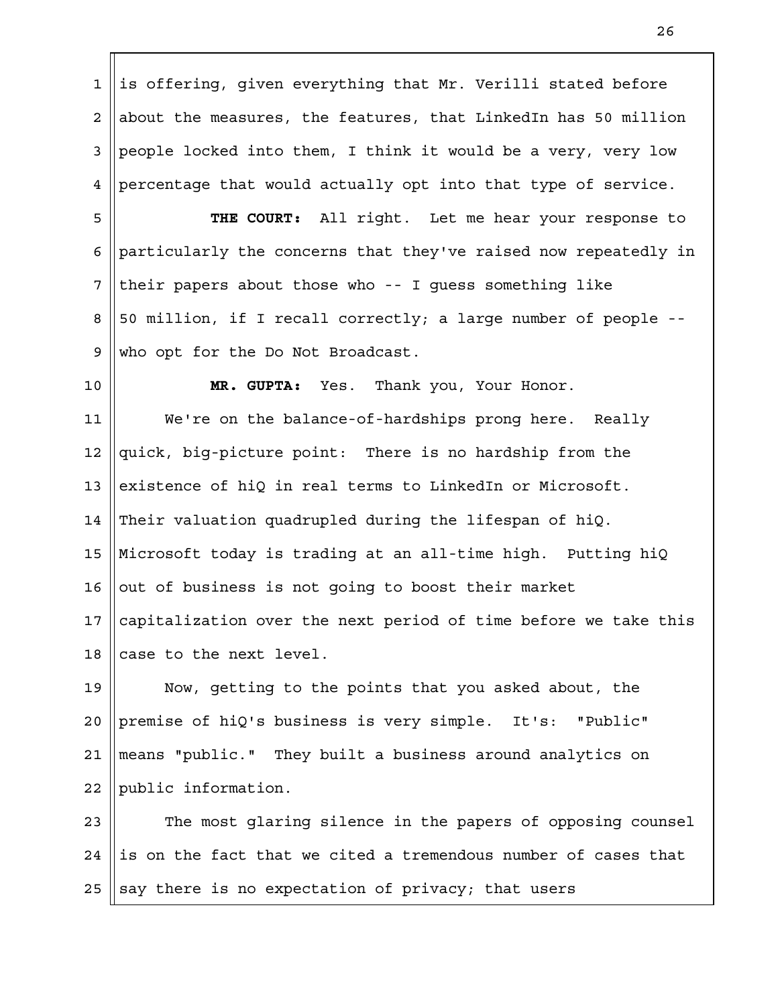is offering, given everything that Mr. Verilli stated before about the measures, the features, that LinkedIn has 50 million people locked into them, I think it would be a very, very low percentage that would actually opt into that type of service. 1 2 3 4

**THE COURT:** All right. Let me hear your response to particularly the concerns that they've raised now repeatedly in their papers about those who -- I guess something like 50 million, if I recall correctly; a large number of people - who opt for the Do Not Broadcast. 5 6 7 8 9

10

**MR. GUPTA:** Yes. Thank you, Your Honor.

We're on the balance-of-hardships prong here. Really quick, big-picture point: There is no hardship from the existence of hiQ in real terms to LinkedIn or Microsoft. Their valuation quadrupled during the lifespan of hiQ. Microsoft today is trading at an all-time high. Putting hiQ out of business is not going to boost their market capitalization over the next period of time before we take this case to the next level. 11 12 13 14 15 16 17 18

Now, getting to the points that you asked about, the premise of hiQ's business is very simple. It's: "Public" means "public." They built a business around analytics on public information. 19  $2.0$ 21 22

The most glaring silence in the papers of opposing counsel is on the fact that we cited a tremendous number of cases that say there is no expectation of privacy; that users 23 24 25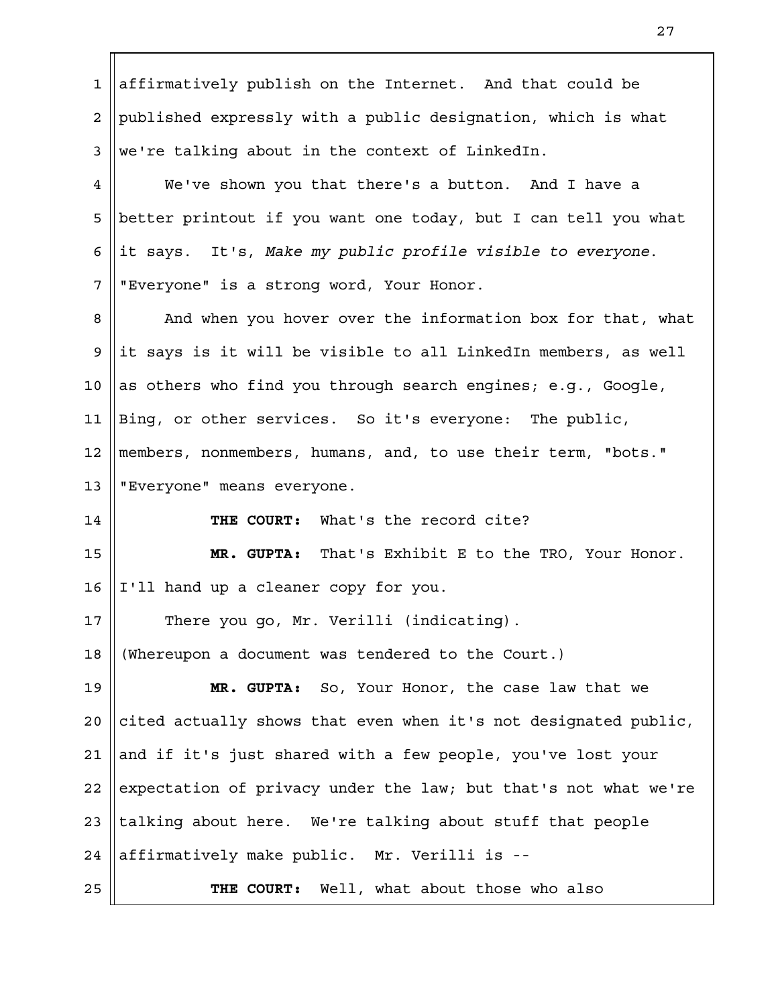| 1               | affirmatively publish on the Internet. And that could be        |
|-----------------|-----------------------------------------------------------------|
| $\overline{a}$  | published expressly with a public designation, which is what    |
| 3               | we're talking about in the context of LinkedIn.                 |
| 4               | We've shown you that there's a button. And I have a             |
| 5               | better printout if you want one today, but I can tell you what  |
| 6               | it says. It's, Make my public profile visible to everyone.      |
| 7               | "Everyone" is a strong word, Your Honor.                        |
| 8               | And when you hover over the information box for that, what      |
| 9               | it says is it will be visible to all LinkedIn members, as well  |
| $10\,$          | as others who find you through search engines; e.g., Google,    |
| 11              | Bing, or other services. So it's everyone: The public,          |
| 12              | members, nonmembers, humans, and, to use their term, "bots."    |
| 13              | "Everyone" means everyone.                                      |
| 14              | THE COURT: What's the record cite?                              |
| 15              | That's Exhibit E to the TRO, Your Honor.<br>MR. GUPTA:          |
| 16              | I'll hand up a cleaner copy for you.                            |
| 17 <sub>2</sub> | There you go, Mr. Verilli (indicating).                         |
| 18              | (Whereupon a document was tendered to the Court.)               |
| 19              | MR. GUPTA: So, Your Honor, the case law that we                 |
| 20              | cited actually shows that even when it's not designated public, |
| 21              | and if it's just shared with a few people, you've lost your     |
| 22              | expectation of privacy under the law; but that's not what we're |
| 23              | talking about here. We're talking about stuff that people       |
| 24              | affirmatively make public. Mr. Verilli is --                    |
| 25              | THE COURT: Well, what about those who also                      |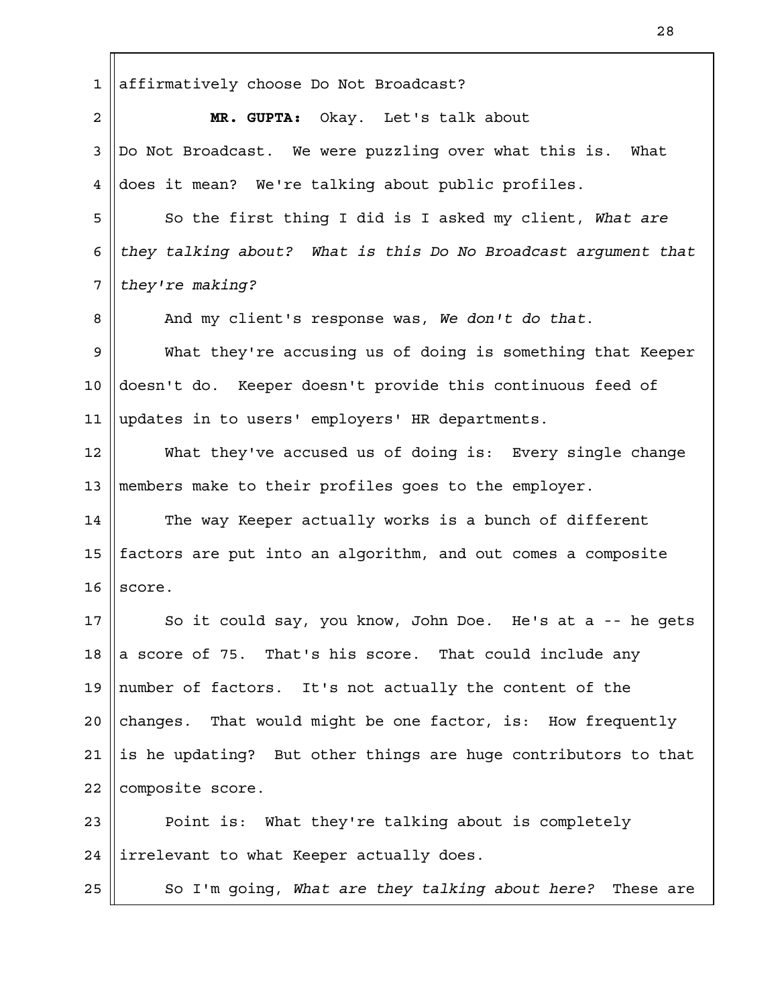affirmatively choose Do Not Broadcast? **MR. GUPTA:** Okay. Let's talk about Do Not Broadcast. We were puzzling over what this is. What does it mean? We're talking about public profiles. So the first thing I did is I asked my client, *What are they talking about? What is this Do No Broadcast argument that they're making?* And my client's response was, *We don't do that*. What they're accusing us of doing is something that Keeper doesn't do. Keeper doesn't provide this continuous feed of updates in to users' employers' HR departments. What they've accused us of doing is: Every single change members make to their profiles goes to the employer. The way Keeper actually works is a bunch of different factors are put into an algorithm, and out comes a composite score. So it could say, you know, John Doe. He's at a -- he gets a score of 75. That's his score. That could include any number of factors. It's not actually the content of the changes. That would might be one factor, is: How frequently is he updating? But other things are huge contributors to that composite score. Point is: What they're talking about is completely irrelevant to what Keeper actually does. So I'm going, *What are they talking about here?* These are 1 2 3 4 5 6 7 8 9 10 11 12 13 14 15 16 17 18 19  $2.0$ 21 22 23 24 25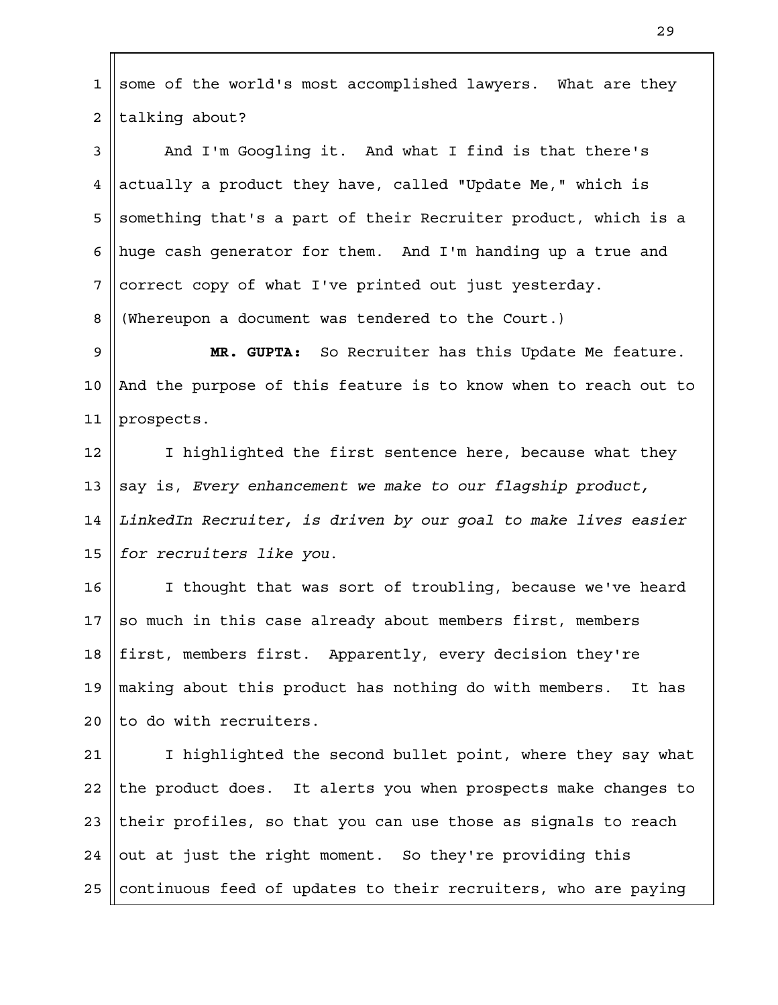some of the world's most accomplished lawyers. What are they talking about? And I'm Googling it. And what I find is that there's actually a product they have, called "Update Me," which is something that's a part of their Recruiter product, which is a huge cash generator for them. And I'm handing up a true and correct copy of what I've printed out just yesterday. (Whereupon a document was tendered to the Court.) **MR. GUPTA:** So Recruiter has this Update Me feature. And the purpose of this feature is to know when to reach out to prospects. I highlighted the first sentence here, because what they say is, *Every enhancement we make to our flagship product, LinkedIn Recruiter, is driven by our goal to make lives easier for recruiters like you*. I thought that was sort of troubling, because we've heard so much in this case already about members first, members first, members first. Apparently, every decision they're making about this product has nothing do with members. It has to do with recruiters. I highlighted the second bullet point, where they say what the product does. It alerts you when prospects make changes to their profiles, so that you can use those as signals to reach out at just the right moment. So they're providing this continuous feed of updates to their recruiters, who are paying 1 2 3 4 5 6 7 8 9 10 11 12 13 14 15 16 17 18 19  $2.0$ 21 22 23 24 25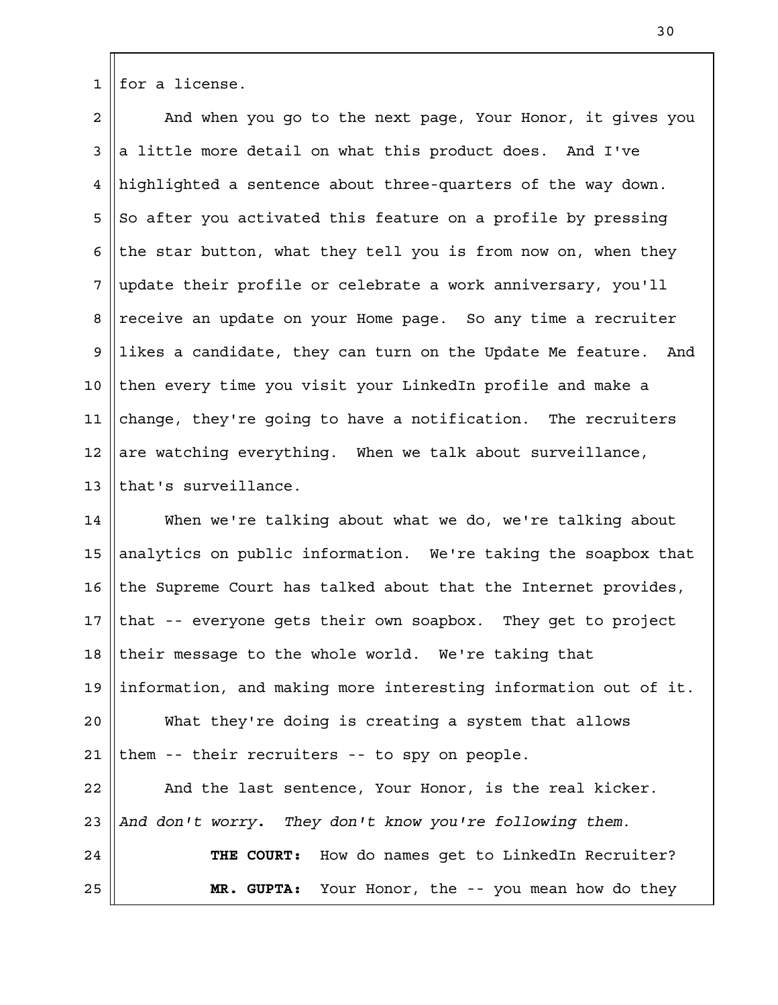for a license. 1

And when you go to the next page, Your Honor, it gives you a little more detail on what this product does. And I've highlighted a sentence about three-quarters of the way down. So after you activated this feature on a profile by pressing the star button, what they tell you is from now on, when they update their profile or celebrate a work anniversary, you'll receive an update on your Home page. So any time a recruiter likes a candidate, they can turn on the Update Me feature. And then every time you visit your LinkedIn profile and make a change, they're going to have a notification. The recruiters are watching everything. When we talk about surveillance, that's surveillance. 2 3 4 5 6 7 8 9 10 11 12 13

When we're talking about what we do, we're talking about analytics on public information. We're taking the soapbox that the Supreme Court has talked about that the Internet provides, that -- everyone gets their own soapbox. They get to project their message to the whole world. We're taking that information, and making more interesting information out of it. What they're doing is creating a system that allows them -- their recruiters -- to spy on people. And the last sentence, Your Honor, is the real kicker. *And don't worry. They don't know you're following them*. **THE COURT:** How do names get to LinkedIn Recruiter? **MR. GUPTA:** Your Honor, the -- you mean how do they 14 15 16 17 18 19  $2.0$ 21 22 23 24 25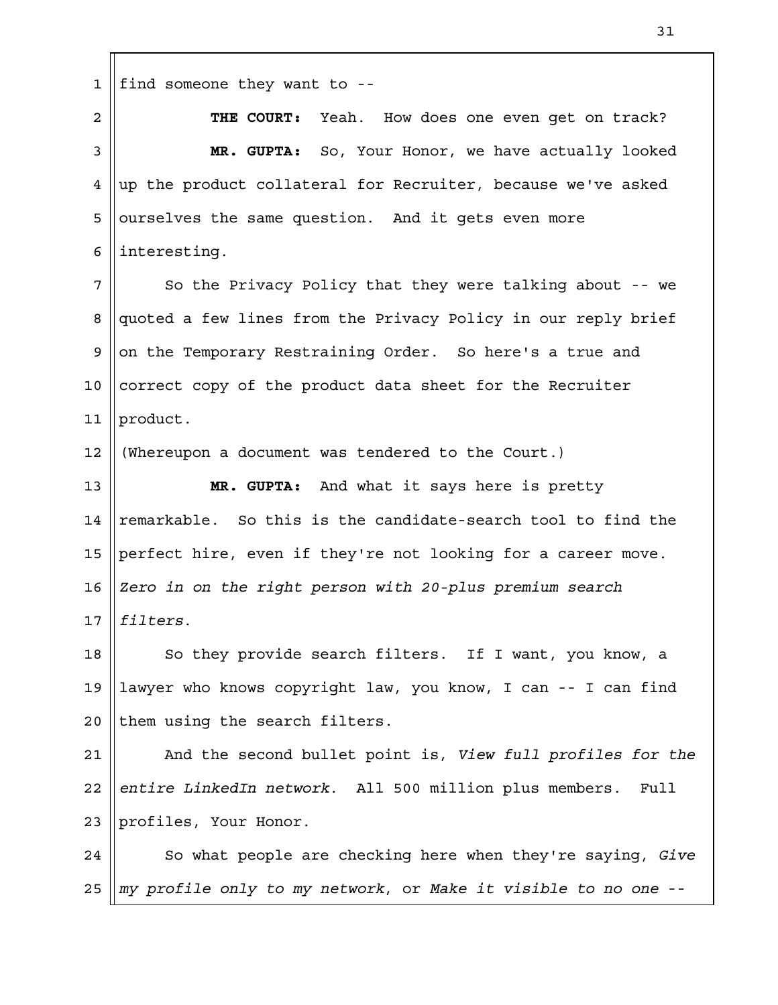find someone they want to -- **THE COURT:** Yeah. How does one even get on track? **MR. GUPTA:** So, Your Honor, we have actually looked up the product collateral for Recruiter, because we've asked ourselves the same question. And it gets even more interesting. So the Privacy Policy that they were talking about -- we quoted a few lines from the Privacy Policy in our reply brief on the Temporary Restraining Order. So here's a true and correct copy of the product data sheet for the Recruiter product. (Whereupon a document was tendered to the Court.) **MR. GUPTA:** And what it says here is pretty remarkable. So this is the candidate-search tool to find the perfect hire, even if they're not looking for a career move. *Zero in on the right person with 20-plus premium search filters*. So they provide search filters. If I want, you know, a lawyer who knows copyright law, you know, I can -- I can find them using the search filters. And the second bullet point is, *View full profiles for the entire LinkedIn network*. All 500 million plus members. Full profiles, Your Honor. So what people are checking here when they're saying, *Give my profile only to my network*, or *Make it visible to no one* -- 1 2 3 4 5 6 7 8 9 10 11 12 13 14 15 16 17 18 19  $2.0$ 21 22 23 24 25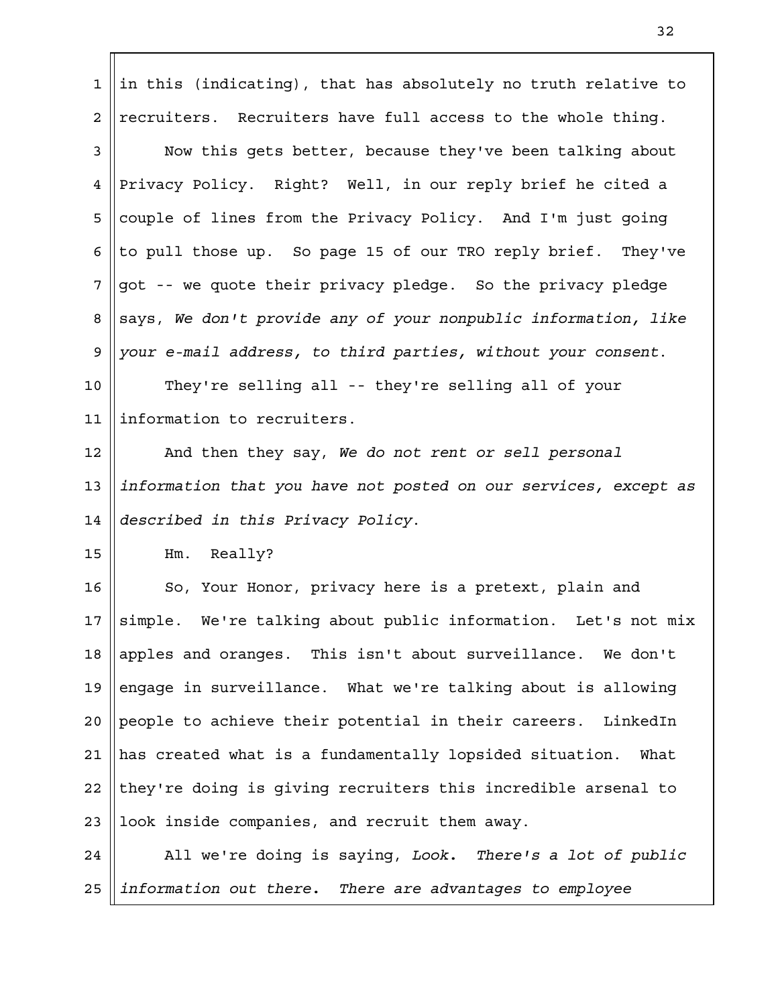| $\mathbf{1}$    | in this (indicating), that has absolutely no truth relative to  |
|-----------------|-----------------------------------------------------------------|
| $\overline{2}$  | recruiters. Recruiters have full access to the whole thing.     |
| 3               | Now this gets better, because they've been talking about        |
| 4               | Privacy Policy. Right? Well, in our reply brief he cited a      |
| 5               | couple of lines from the Privacy Policy. And I'm just going     |
| 6               | to pull those up. So page 15 of our TRO reply brief. They've    |
| 7               | got -- we quote their privacy pledge. So the privacy pledge     |
| 8               | says, We don't provide any of your nonpublic information, like  |
| 9               | your e-mail address, to third parties, without your consent.    |
| $10 \,$         | They're selling all -- they're selling all of your              |
| 11              | information to recruiters.                                      |
| 12              | And then they say, We do not rent or sell personal              |
| 13              | information that you have not posted on our services, except as |
| 14              | described in this Privacy Policy.                               |
| 15              | Really?<br>$Hm$ .                                               |
| 16              | So, Your Honor, privacy here is a pretext, plain and            |
| 17 <sub>2</sub> | simple. We're talking about public information. Let's not mix   |
| 18              | apples and oranges. This isn't about surveillance. We don't     |
| 19              | engage in surveillance. What we're talking about is allowing    |
| 20              | people to achieve their potential in their careers. LinkedIn    |
| 21              | has created what is a fundamentally lopsided situation. What    |
| 22              | they're doing is giving recruiters this incredible arsenal to   |
| 23              | look inside companies, and recruit them away.                   |
| 24              | All we're doing is saying, Look. There's a lot of public        |
| 25              | information out there. There are advantages to employee         |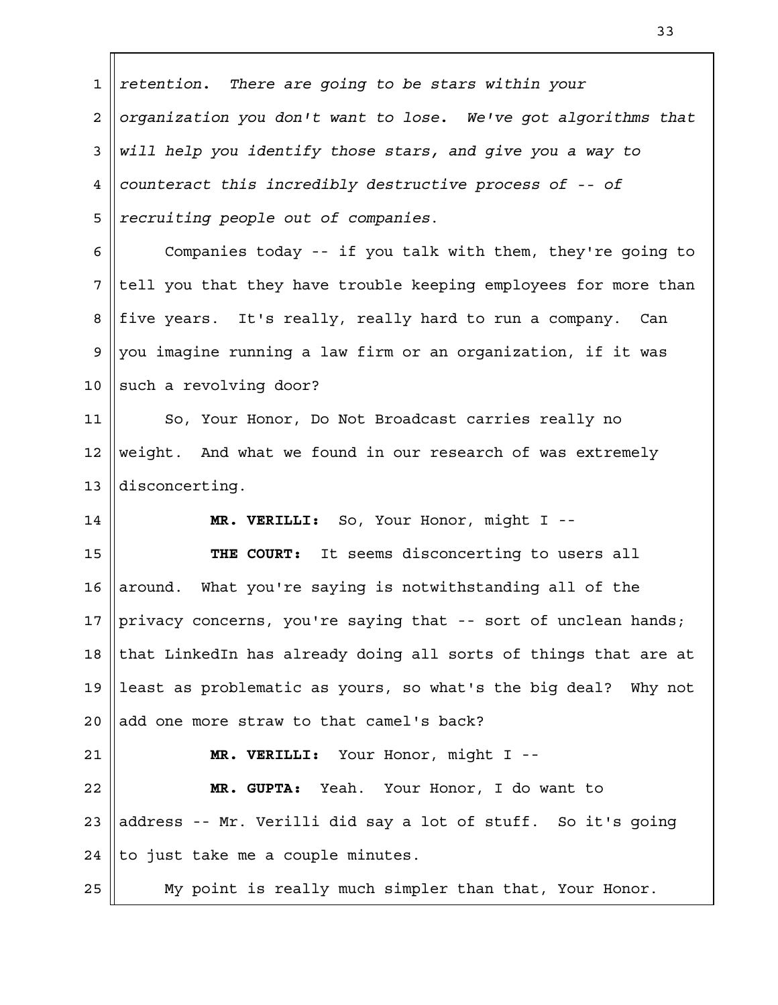| 1                       | retention. There are going to be stars within your              |
|-------------------------|-----------------------------------------------------------------|
| $\overline{\mathbf{c}}$ | organization you don't want to lose. We've got algorithms that  |
| 3                       | will help you identify those stars, and give you a way to       |
| $\overline{4}$          | counteract this incredibly destructive process of -- of         |
| 5                       | recruiting people out of companies.                             |
| 6                       | Companies today -- if you talk with them, they're going to      |
| 7                       | tell you that they have trouble keeping employees for more than |
| 8                       | five years. It's really, really hard to run a company. Can      |
| 9                       | you imagine running a law firm or an organization, if it was    |
| 10                      | such a revolving door?                                          |
| 11                      | So, Your Honor, Do Not Broadcast carries really no              |
| 12                      | weight. And what we found in our research of was extremely      |
| 13                      | disconcerting.                                                  |
| 14                      | MR. VERILLI: So, Your Honor, might I --                         |
| 15                      | THE COURT: It seems disconcerting to users all                  |
| 16                      | around. What you're saying is notwithstanding all of the        |
| 17                      | privacy concerns, you're saying that -- sort of unclean hands;  |
| 18                      | that LinkedIn has already doing all sorts of things that are at |
| 19                      | least as problematic as yours, so what's the big deal? Why not  |
| 20                      | add one more straw to that camel's back?                        |
| 21                      | MR. VERILLI: Your Honor, might I --                             |
| 22                      | MR. GUPTA: Yeah. Your Honor, I do want to                       |
| 23                      | address -- Mr. Verilli did say a lot of stuff. So it's going    |
| 24                      | to just take me a couple minutes.                               |
| 25                      | My point is really much simpler than that, Your Honor.          |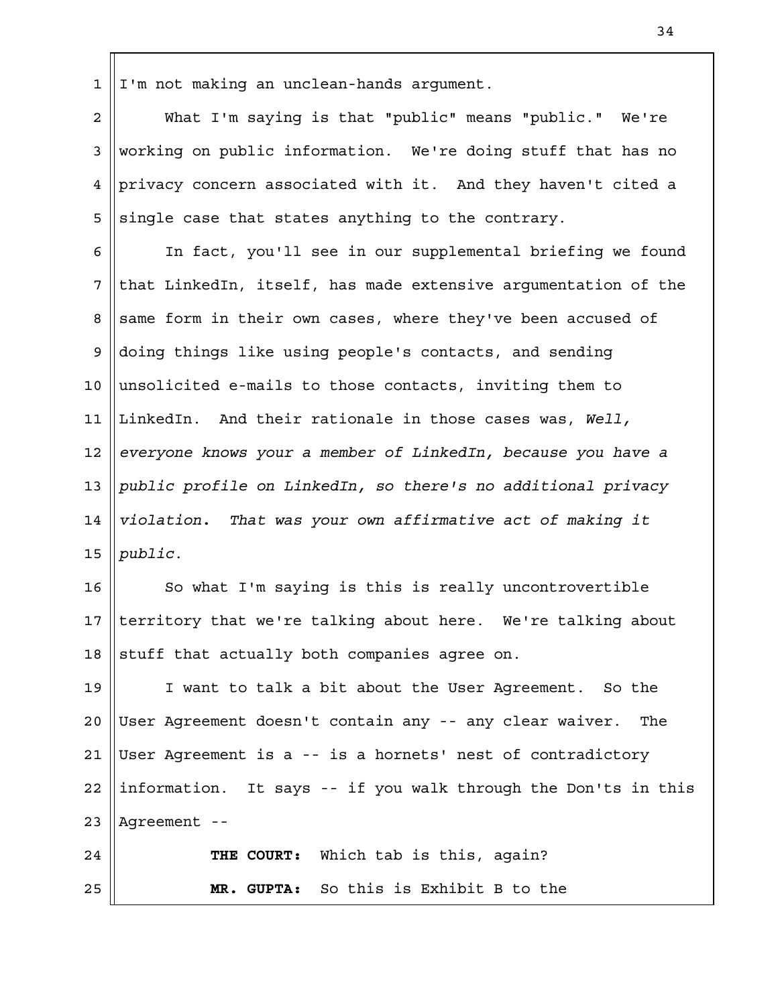I'm not making an unclean-hands argument. 1

What I'm saying is that "public" means "public." We're working on public information. We're doing stuff that has no privacy concern associated with it. And they haven't cited a single case that states anything to the contrary. 2 3 4 5

In fact, you'll see in our supplemental briefing we found that LinkedIn, itself, has made extensive argumentation of the same form in their own cases, where they've been accused of doing things like using people's contacts, and sending unsolicited e-mails to those contacts, inviting them to LinkedIn. And their rationale in those cases was, *Well, everyone knows your a member of LinkedIn, because you have a public profile on LinkedIn, so there's no additional privacy violation. That was your own affirmative act of making it public*. 6 7 8 9 10 11 12 13 14 15

So what I'm saying is this is really uncontrovertible territory that we're talking about here. We're talking about stuff that actually both companies agree on. 16 17 18

I want to talk a bit about the User Agreement. So the User Agreement doesn't contain any -- any clear waiver. The User Agreement is a -- is a hornets' nest of contradictory information. It says -- if you walk through the Don'ts in this Agreement -- 19  $2.0$ 21 22 23

**THE COURT:** Which tab is this, again? **MR. GUPTA:** So this is Exhibit B to the 24 25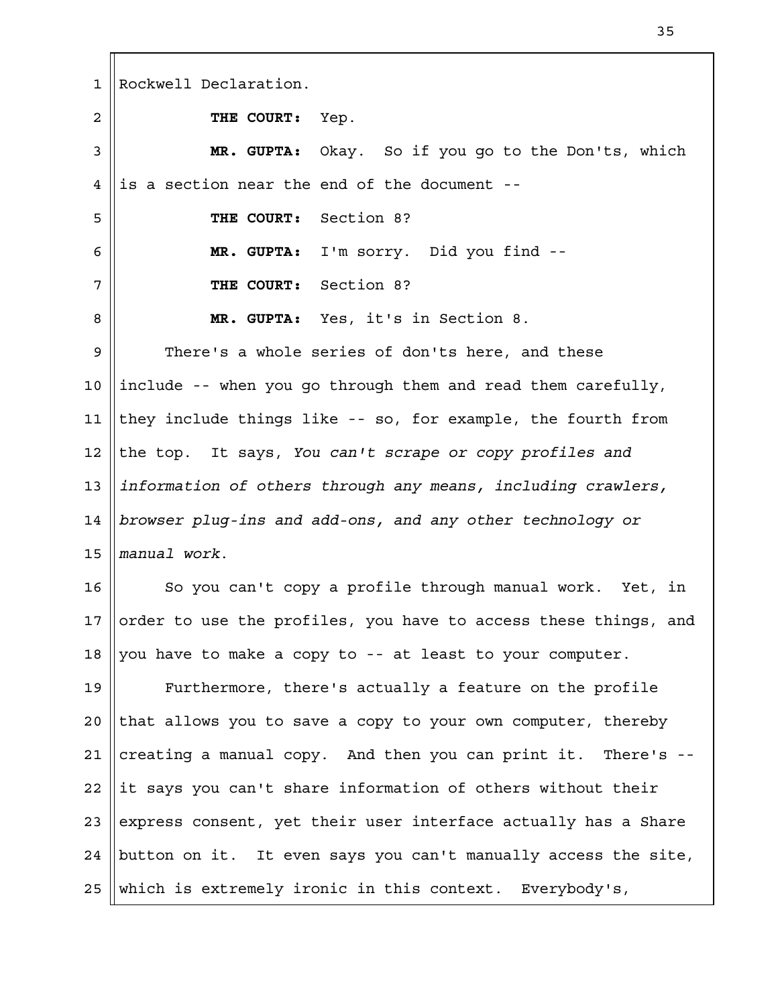Rockwell Declaration. **THE COURT:** Yep. **MR. GUPTA:** Okay. So if you go to the Don'ts, which is a section near the end of the document -- **THE COURT:** Section 8? **MR. GUPTA:** I'm sorry. Did you find -- **THE COURT:** Section 8? **MR. GUPTA:** Yes, it's in Section 8. There's a whole series of don'ts here, and these include -- when you go through them and read them carefully, they include things like -- so, for example, the fourth from the top. It says, *You can't scrape or copy profiles and information of others through any means, including crawlers, browser plug-ins and add-ons, and any other technology or manual work*. So you can't copy a profile through manual work. Yet, in order to use the profiles, you have to access these things, and you have to make a copy to -- at least to your computer. Furthermore, there's actually a feature on the profile that allows you to save a copy to your own computer, thereby creating a manual copy. And then you can print it. There's - it says you can't share information of others without their express consent, yet their user interface actually has a Share button on it. It even says you can't manually access the site, which is extremely ironic in this context. Everybody's, 1 2 3 4 5 6 7 8 9 10 11 12 13 14 15 16 17 18 19  $2.0$ 21 22 23 24 25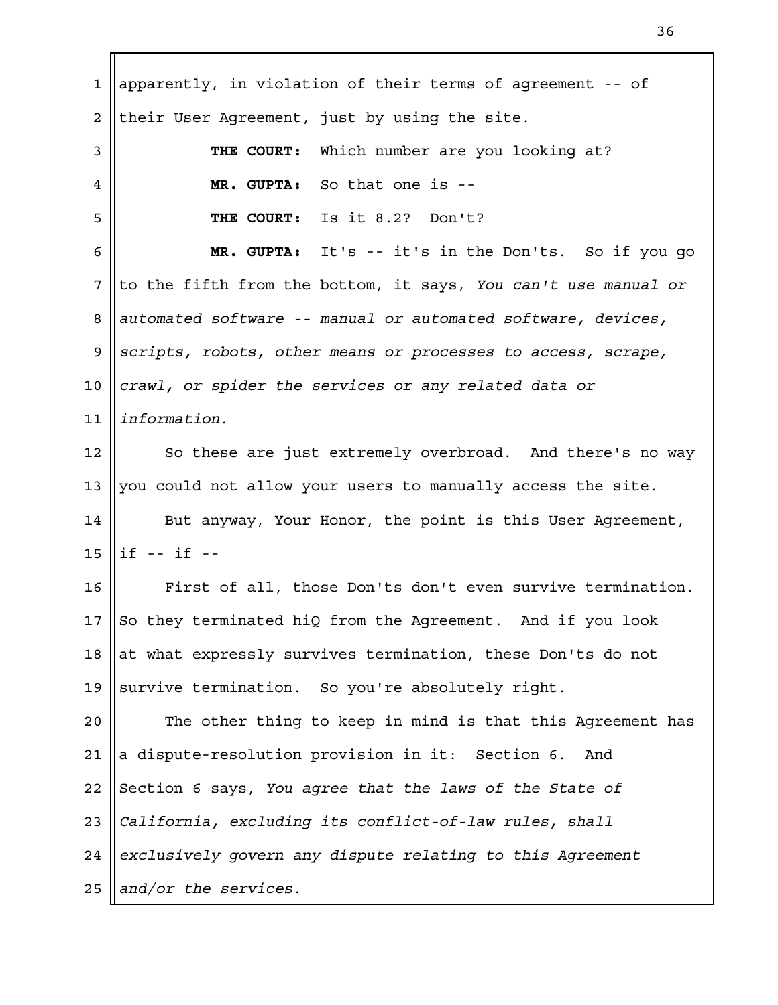| $\mathbf 1$    | apparently, in violation of their terms of agreement -- of     |
|----------------|----------------------------------------------------------------|
| $\overline{a}$ | their User Agreement, just by using the site.                  |
| 3              | Which number are you looking at?<br>THE COURT:                 |
| 4              | MR. GUPTA: So that one is --                                   |
| 5              | Is it 8.2? Don't?<br>THE COURT:                                |
| 6              | MR. GUPTA: It's -- it's in the Don'ts. So if you go            |
| 7              | to the fifth from the bottom, it says, You can't use manual or |
| 8              | automated software -- manual or automated software, devices,   |
| 9              | scripts, robots, other means or processes to access, scrape,   |
| 10             | crawl, or spider the services or any related data or           |
| 11             | information.                                                   |
| 12             | So these are just extremely overbroad. And there's no way      |
| 13             | you could not allow your users to manually access the site.    |
| 14             | But anyway, Your Honor, the point is this User Agreement,      |
| 15             | $if -- if --$                                                  |
| 16             | First of all, those Don'ts don't even survive termination.     |
| 17             | So they terminated hiQ from the Agreement. And if you look     |
| 18             | at what expressly survives termination, these Don'ts do not    |
| 19             | survive termination. So you're absolutely right.               |
| 20             | The other thing to keep in mind is that this Agreement has     |
| 21             | a dispute-resolution provision in it: Section 6. And           |
| 22             | Section 6 says, You agree that the laws of the State of        |
| 23             | California, excluding its conflict-of-law rules, shall         |
| 24             | exclusively govern any dispute relating to this Agreement      |
| 25             | and/or the services.                                           |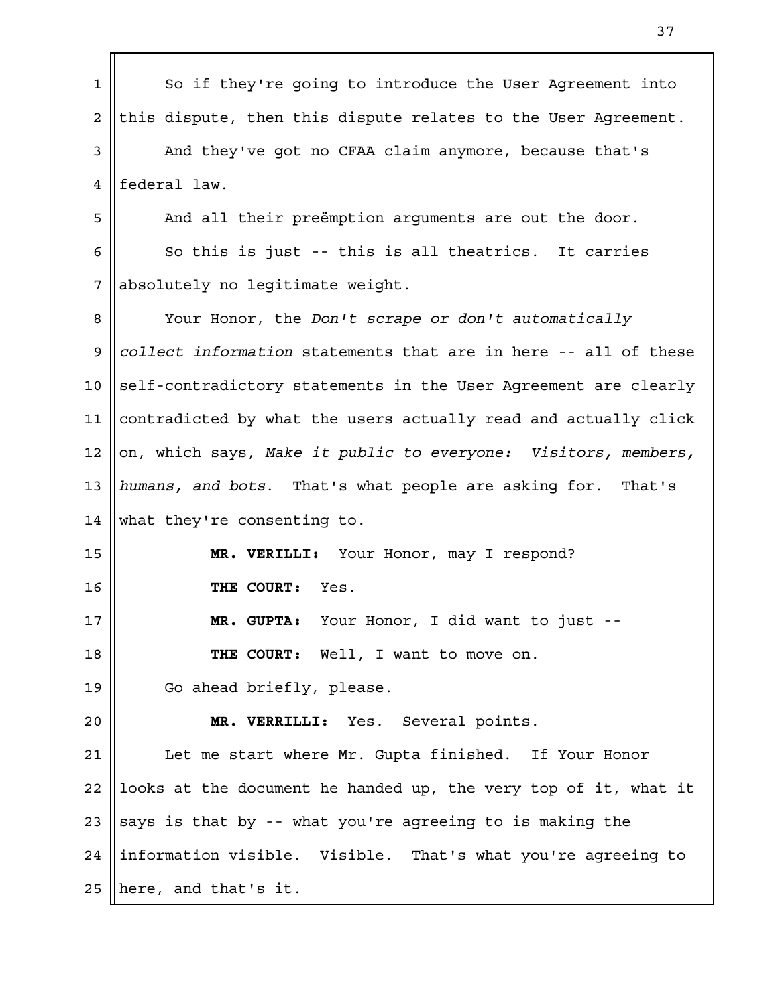| $\mathbf 1$    | So if they're going to introduce the User Agreement into        |
|----------------|-----------------------------------------------------------------|
| $\overline{a}$ | this dispute, then this dispute relates to the User Agreement.  |
| 3              | And they've got no CFAA claim anymore, because that's           |
| 4              | federal law.                                                    |
| 5              | And all their preëmption arguments are out the door.            |
| 6              | So this is just -- this is all theatrics. It carries            |
| 7              | absolutely no legitimate weight.                                |
| 8              | Your Honor, the Don't scrape or don't automatically             |
| 9              | collect information statements that are in here -- all of these |
| 10             | self-contradictory statements in the User Agreement are clearly |
| 11             | contradicted by what the users actually read and actually click |
| 12             | on, which says, Make it public to everyone: Visitors, members,  |
| 13             | humans, and bots. That's what people are asking for. That's     |
| 14             | what they're consenting to.                                     |
| 15             | MR. VERILLI: Your Honor, may I respond?                         |
| 16             | Yes.<br>THE COURT:                                              |
| 17             | MR. GUPTA: Your Honor, I did want to just --                    |
| 18             | THE COURT: Well, I want to move on.                             |
| 19             | Go ahead briefly, please.                                       |
| 20             | MR. VERRILLI: Yes. Several points.                              |
| 21             | Let me start where Mr. Gupta finished. If Your Honor            |
| 22             | looks at the document he handed up, the very top of it, what it |
| 23             | says is that by -- what you're agreeing to is making the        |
| 24             | information visible. Visible. That's what you're agreeing to    |
| 25             | here, and that's it.                                            |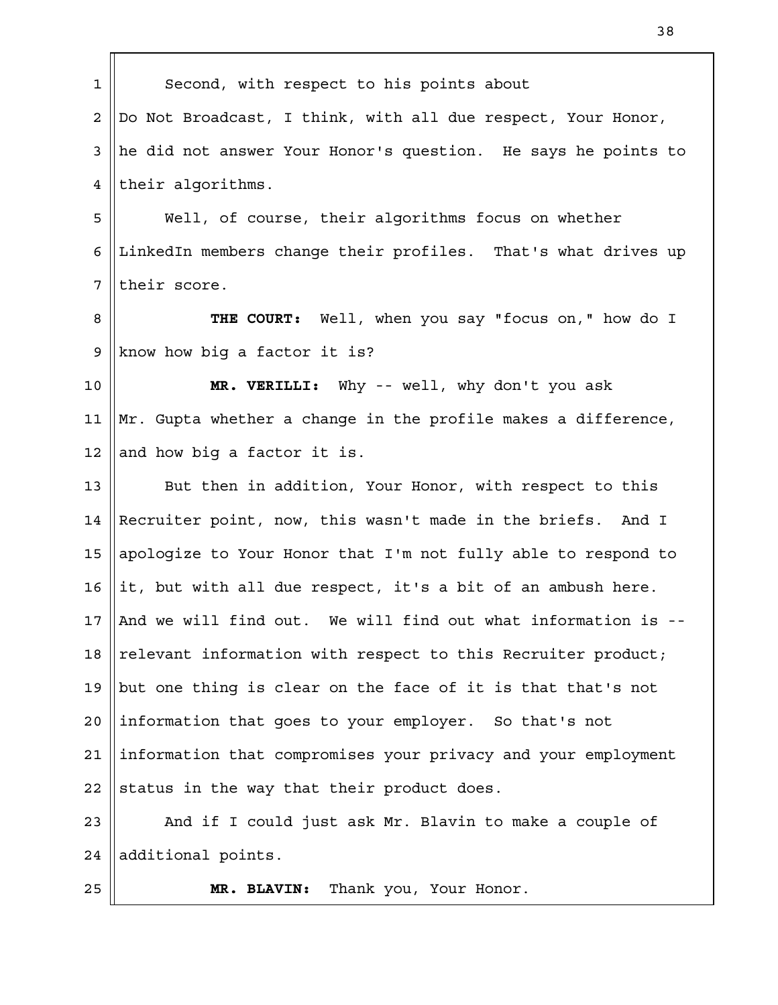| $\mathbf 1$     | Second, with respect to his points about                      |
|-----------------|---------------------------------------------------------------|
| 2               | Do Not Broadcast, I think, with all due respect, Your Honor,  |
| 3               | he did not answer Your Honor's question. He says he points to |
| 4               | their algorithms.                                             |
| 5               | Well, of course, their algorithms focus on whether            |
| 6               | LinkedIn members change their profiles. That's what drives up |
| 7               | their score.                                                  |
| 8               | THE COURT: Well, when you say "focus on," how do I            |
| 9               | know how big a factor it is?                                  |
| 10              | MR. VERILLI: Why -- well, why don't you ask                   |
| 11              | Mr. Gupta whether a change in the profile makes a difference, |
| 12              | and how big a factor it is.                                   |
| 13              | But then in addition, Your Honor, with respect to this        |
| 14              | Recruiter point, now, this wasn't made in the briefs. And I   |
| 15              | apologize to Your Honor that I'm not fully able to respond to |
| 16              | it, but with all due respect, it's a bit of an ambush here.   |
| 17 <sub>2</sub> | And we will find out. We will find out what information is -- |
| 18              | relevant information with respect to this Recruiter product;  |
| 19              | but one thing is clear on the face of it is that that's not   |
| 20              | information that goes to your employer. So that's not         |
| 21              | information that compromises your privacy and your employment |
| 22              | status in the way that their product does.                    |
| 23              | And if I could just ask Mr. Blavin to make a couple of        |
| 24              | additional points.                                            |
| 25              | Thank you, Your Honor.<br>MR. BLAVIN:                         |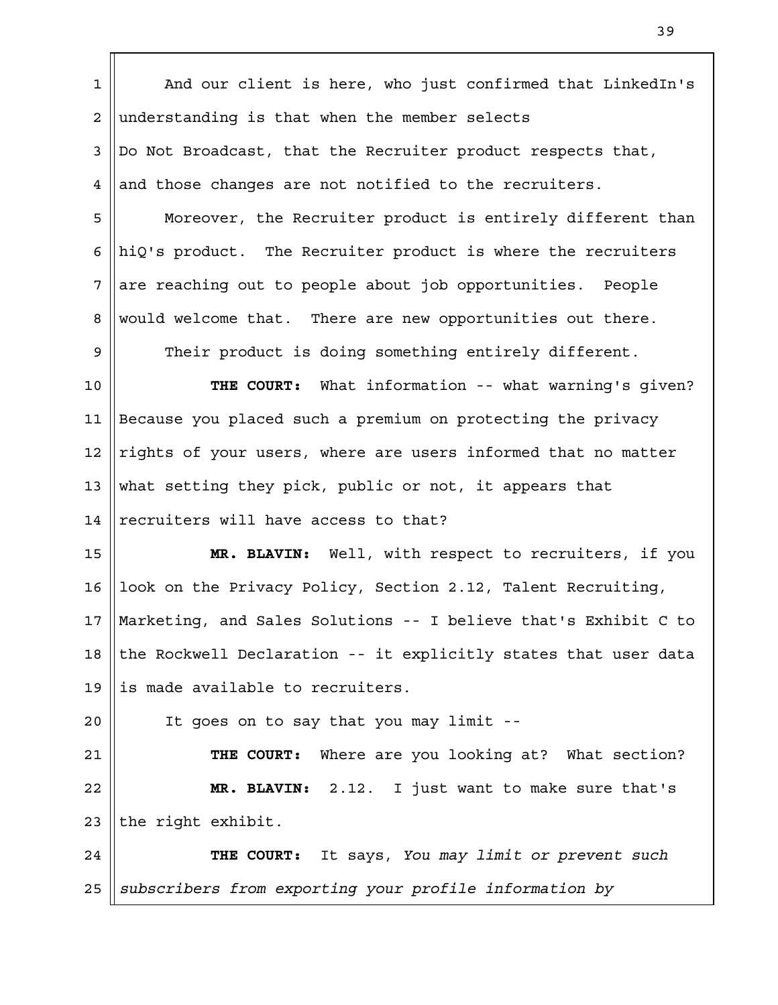And our client is here, who just confirmed that LinkedIn's understanding is that when the member selects Do Not Broadcast, that the Recruiter product respects that, and those changes are not notified to the recruiters. Moreover, the Recruiter product is entirely different than hiQ's product. The Recruiter product is where the recruiters are reaching out to people about job opportunities. People would welcome that. There are new opportunities out there. Their product is doing something entirely different. **THE COURT:** What information -- what warning's given? Because you placed such a premium on protecting the privacy rights of your users, where are users informed that no matter what setting they pick, public or not, it appears that recruiters will have access to that? **MR. BLAVIN:** Well, with respect to recruiters, if you look on the Privacy Policy, Section 2.12, Talent Recruiting, Marketing, and Sales Solutions -- I believe that's Exhibit C to the Rockwell Declaration -- it explicitly states that user data is made available to recruiters. It goes on to say that you may limit -- **THE COURT:** Where are you looking at? What section? **MR. BLAVIN:** 2.12. I just want to make sure that's the right exhibit. **THE COURT:** It says, *You may limit or prevent such subscribers from exporting your profile information by* 1 2 3 4 5 6 7 8 9 10 11 12 13 14 15 16 17 18 19  $2.0$ 21 22 23 24 25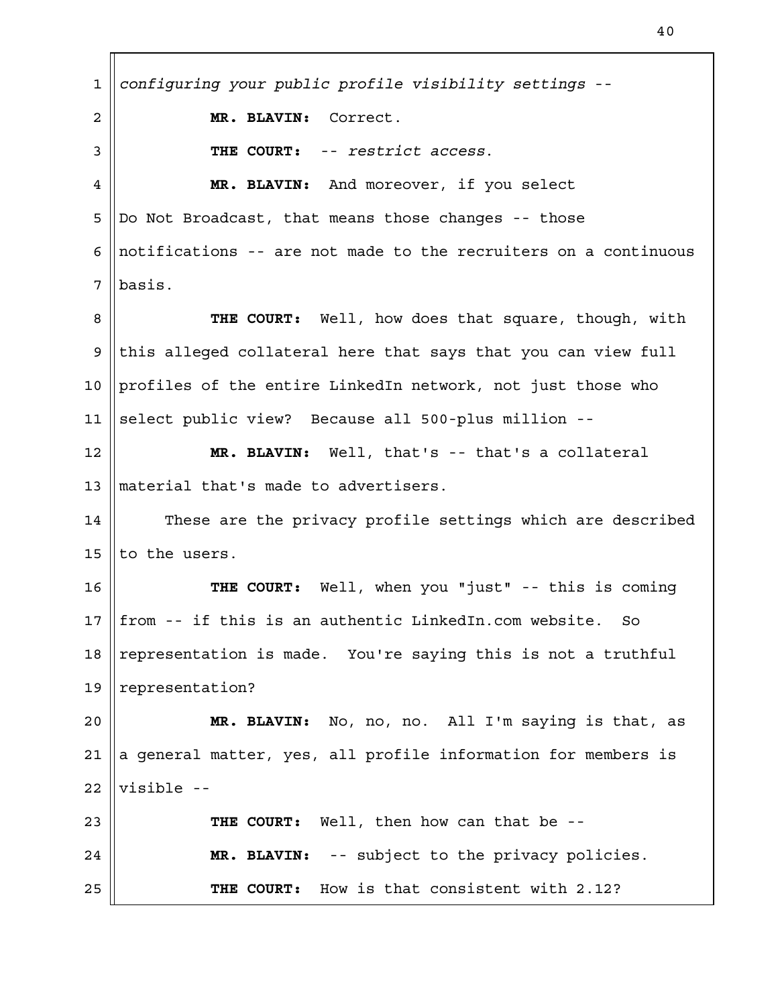*configuring your public profile visibility settings* -- **MR. BLAVIN:** Correct. **THE COURT:** -- *restrict access*. **MR. BLAVIN:** And moreover, if you select Do Not Broadcast, that means those changes -- those notifications -- are not made to the recruiters on a continuous basis. **THE COURT:** Well, how does that square, though, with this alleged collateral here that says that you can view full profiles of the entire LinkedIn network, not just those who select public view? Because all 500-plus million -- **MR. BLAVIN:** Well, that's -- that's a collateral material that's made to advertisers. These are the privacy profile settings which are described to the users. **THE COURT:** Well, when you "just" -- this is coming from -- if this is an authentic LinkedIn.com website. So representation is made. You're saying this is not a truthful representation? **MR. BLAVIN:** No, no, no. All I'm saying is that, as a general matter, yes, all profile information for members is visible -- **THE COURT:** Well, then how can that be -- **MR. BLAVIN:** -- subject to the privacy policies. **THE COURT:** How is that consistent with 2.12? 1 2 3 4 5 6 7 8 9 10 11 12 13 14 15 16 17 18 19  $2.0$ 21 22 23 24 25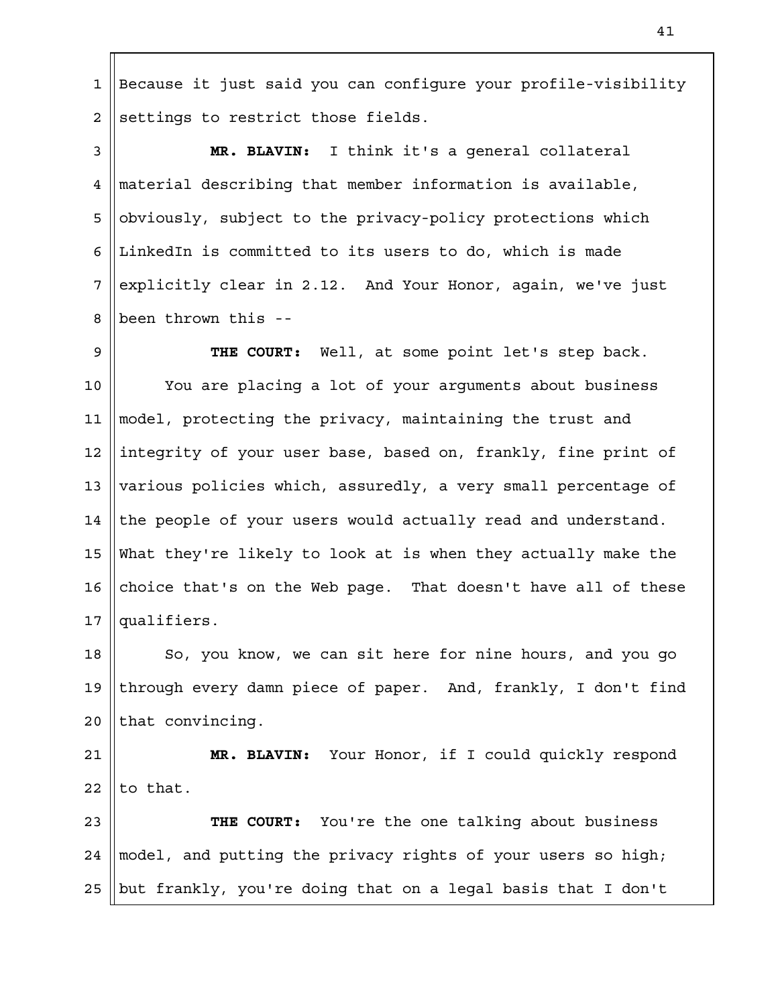Because it just said you can configure your profile-visibility settings to restrict those fields. 1 2

**MR. BLAVIN:** I think it's a general collateral material describing that member information is available, obviously, subject to the privacy-policy protections which LinkedIn is committed to its users to do, which is made explicitly clear in 2.12. And Your Honor, again, we've just been thrown this -- 3 4 5 6 7 8

**THE COURT:** Well, at some point let's step back. You are placing a lot of your arguments about business model, protecting the privacy, maintaining the trust and integrity of your user base, based on, frankly, fine print of various policies which, assuredly, a very small percentage of the people of your users would actually read and understand. What they're likely to look at is when they actually make the choice that's on the Web page. That doesn't have all of these qualifiers. 9 10 11 12 13 14 15 16 17

So, you know, we can sit here for nine hours, and you go through every damn piece of paper. And, frankly, I don't find that convincing. 18 19  $2.0$ 

**MR. BLAVIN:** Your Honor, if I could quickly respond to that. 21 22

**THE COURT:** You're the one talking about business model, and putting the privacy rights of your users so high; but frankly, you're doing that on a legal basis that I don't 23 24 25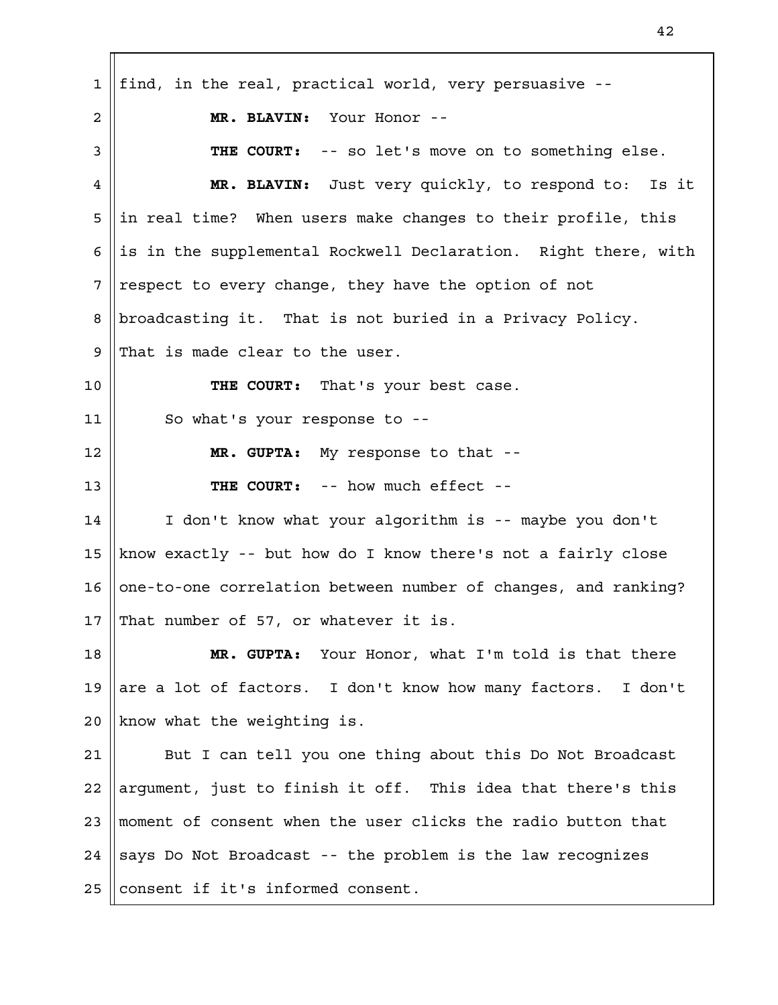find, in the real, practical world, very persuasive -- **MR. BLAVIN:** Your Honor -- **THE COURT:** -- so let's move on to something else. **MR. BLAVIN:** Just very quickly, to respond to: Is it in real time? When users make changes to their profile, this is in the supplemental Rockwell Declaration. Right there, with respect to every change, they have the option of not broadcasting it. That is not buried in a Privacy Policy. That is made clear to the user. **THE COURT:** That's your best case. So what's your response to -- **MR. GUPTA:** My response to that -- **THE COURT:** -- how much effect -- I don't know what your algorithm is -- maybe you don't know exactly -- but how do I know there's not a fairly close one-to-one correlation between number of changes, and ranking? That number of 57, or whatever it is. **MR. GUPTA:** Your Honor, what I'm told is that there are a lot of factors. I don't know how many factors. I don't know what the weighting is. But I can tell you one thing about this Do Not Broadcast argument, just to finish it off. This idea that there's this moment of consent when the user clicks the radio button that says Do Not Broadcast -- the problem is the law recognizes consent if it's informed consent. 1 2 3 4 5 6 7 8 9 10 11 12 13 14 15 16 17 18 19  $2.0$ 21 22 23 24 25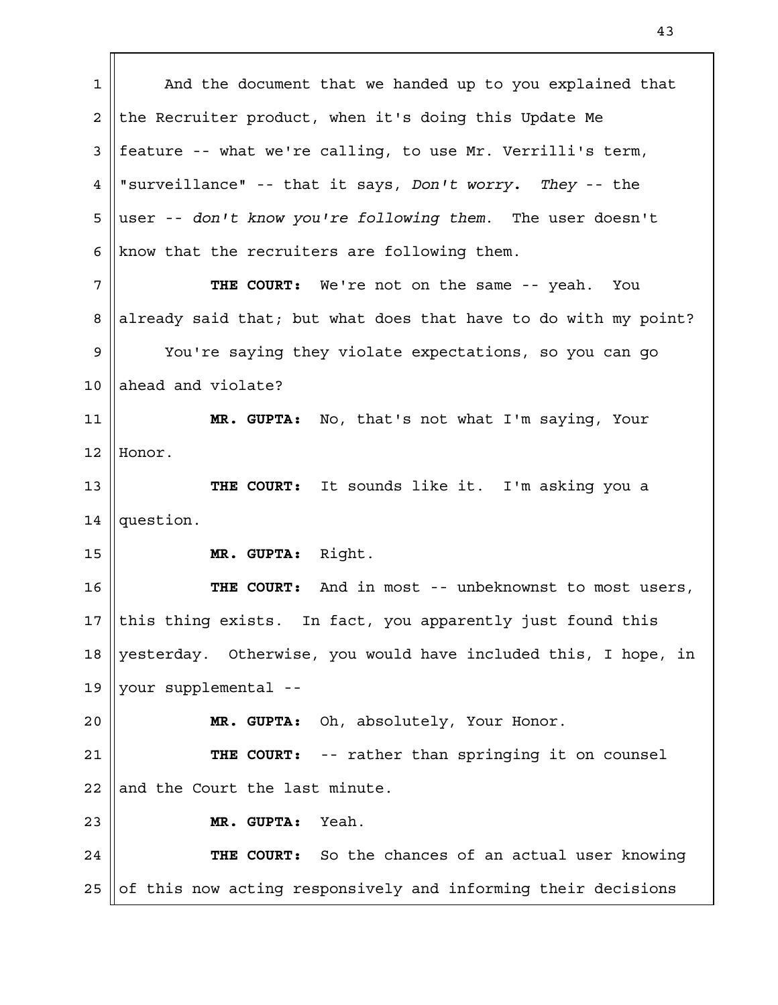And the document that we handed up to you explained that the Recruiter product, when it's doing this Update Me feature -- what we're calling, to use Mr. Verrilli's term, "surveillance" -- that it says, *Don't worry. They* -- the user -- *don't know you're following them*. The user doesn't know that the recruiters are following them. **THE COURT:** We're not on the same -- yeah. You already said that; but what does that have to do with my point? You're saying they violate expectations, so you can go ahead and violate? **MR. GUPTA:** No, that's not what I'm saying, Your Honor. **THE COURT:** It sounds like it. I'm asking you a question. **MR. GUPTA:** Right. **THE COURT:** And in most -- unbeknownst to most users, this thing exists. In fact, you apparently just found this yesterday. Otherwise, you would have included this, I hope, in your supplemental -- **MR. GUPTA:** Oh, absolutely, Your Honor. **THE COURT:** -- rather than springing it on counsel and the Court the last minute. **MR. GUPTA:** Yeah. **THE COURT:** So the chances of an actual user knowing of this now acting responsively and informing their decisions 1 2 3 4 5 6 7 8 9 10 11 12 13 14 15 16 17 18 19  $2.0$ 21 22 23 24 25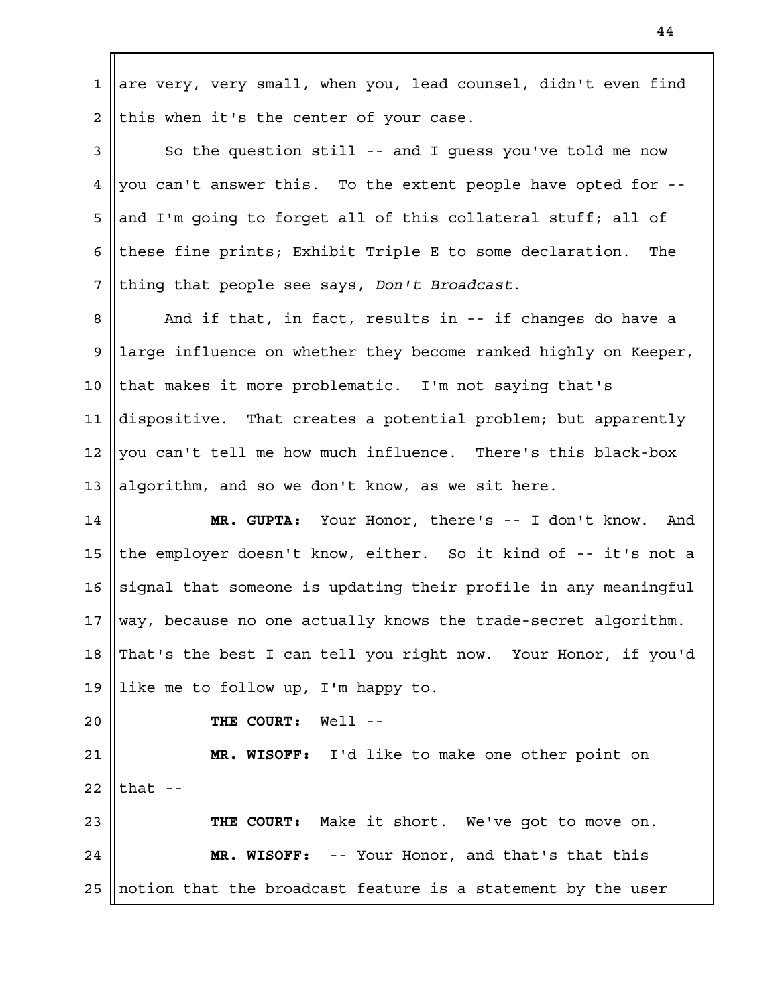are very, very small, when you, lead counsel, didn't even find this when it's the center of your case. 1 2

So the question still -- and I guess you've told me now you can't answer this. To the extent people have opted for - and I'm going to forget all of this collateral stuff; all of these fine prints; Exhibit Triple E to some declaration. The thing that people see says, *Don't Broadcast*. 3 4 5 6 7

And if that, in fact, results in -- if changes do have a large influence on whether they become ranked highly on Keeper, that makes it more problematic. I'm not saying that's dispositive. That creates a potential problem; but apparently you can't tell me how much influence. There's this black-box algorithm, and so we don't know, as we sit here. 8 9 10 11 12 13

**MR. GUPTA:** Your Honor, there's -- I don't know. And the employer doesn't know, either. So it kind of -- it's not a signal that someone is updating their profile in any meaningful way, because no one actually knows the trade-secret algorithm. That's the best I can tell you right now. Your Honor, if you'd like me to follow up, I'm happy to. 14 15 16 17 18 19

 $2.0$ 

**THE COURT:** Well --

**MR. WISOFF:** I'd like to make one other point on that  $-$ 21 22

**THE COURT:** Make it short. We've got to move on. **MR. WISOFF:** -- Your Honor, and that's that this notion that the broadcast feature is a statement by the user 23 24 25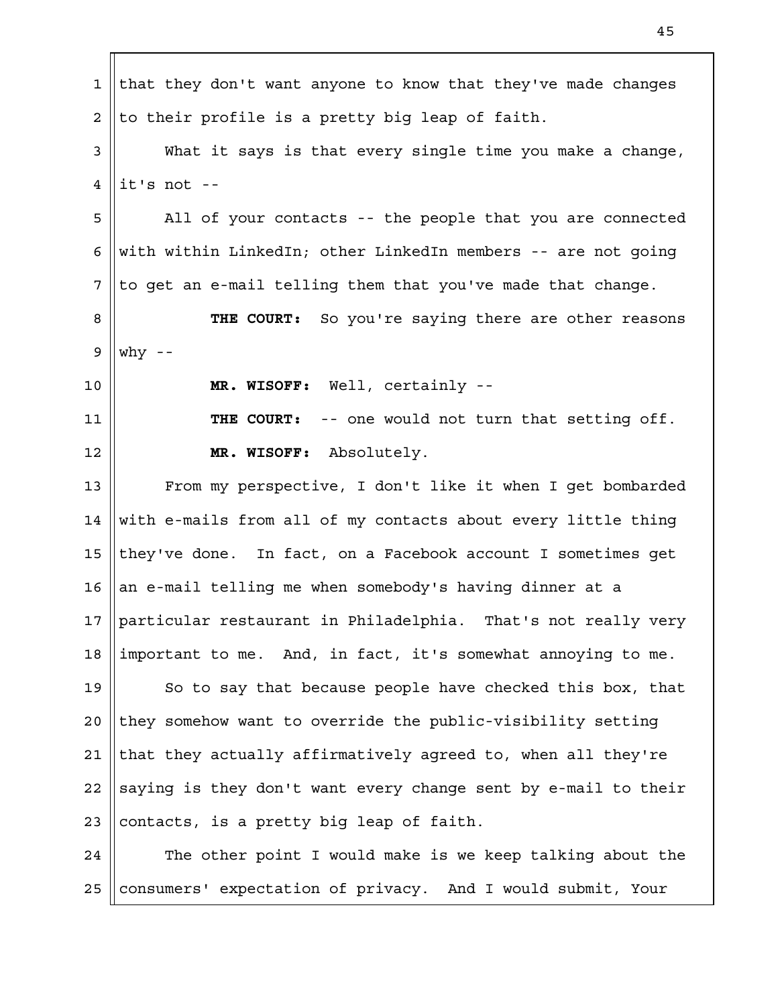that they don't want anyone to know that they've made changes to their profile is a pretty big leap of faith. What it says is that every single time you make a change, it's not -- All of your contacts -- the people that you are connected with within LinkedIn; other LinkedIn members -- are not going to get an e-mail telling them that you've made that change. **THE COURT:** So you're saying there are other reasons why  $-$ **MR. WISOFF:** Well, certainly -- **THE COURT:** -- one would not turn that setting off. **MR. WISOFF:** Absolutely. From my perspective, I don't like it when I get bombarded with e-mails from all of my contacts about every little thing they've done. In fact, on a Facebook account I sometimes get an e-mail telling me when somebody's having dinner at a particular restaurant in Philadelphia. That's not really very important to me. And, in fact, it's somewhat annoying to me. So to say that because people have checked this box, that they somehow want to override the public-visibility setting that they actually affirmatively agreed to, when all they're saying is they don't want every change sent by e-mail to their contacts, is a pretty big leap of faith. The other point I would make is we keep talking about the consumers' expectation of privacy. And I would submit, Your 1 2 3 4 5 6 7 8 9 10 11 12 13 14 15 16 17 18 19  $2.0$ 21 22 23 24 25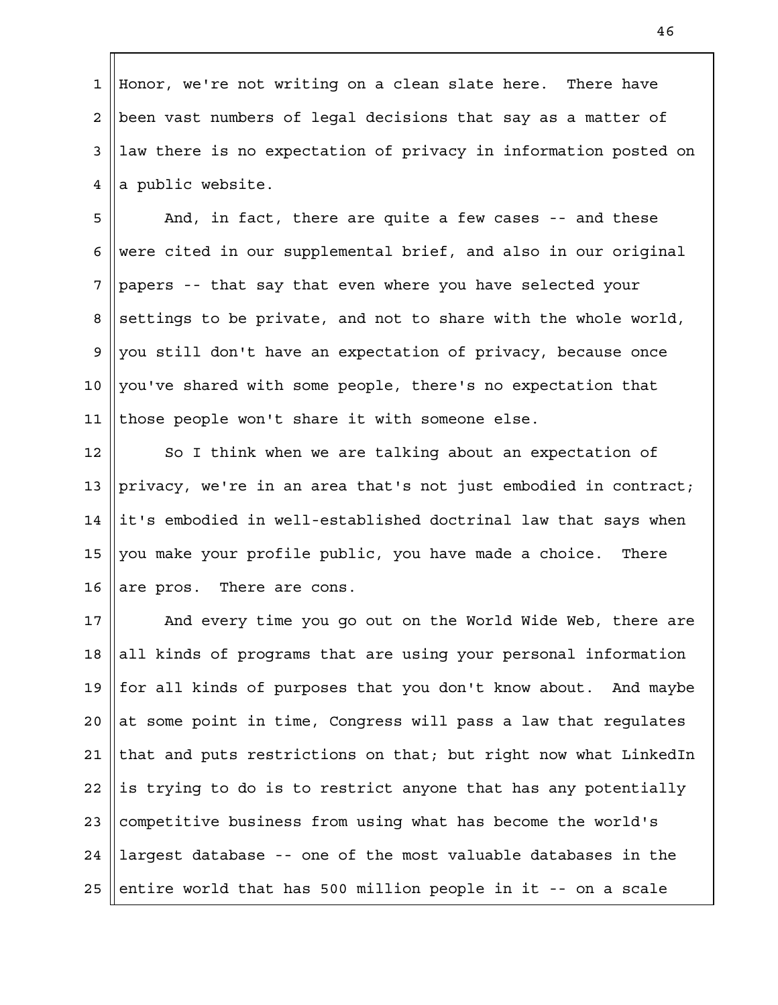Honor, we're not writing on a clean slate here. There have been vast numbers of legal decisions that say as a matter of law there is no expectation of privacy in information posted on a public website. 1 2 3 4

And, in fact, there are quite a few cases -- and these were cited in our supplemental brief, and also in our original papers -- that say that even where you have selected your settings to be private, and not to share with the whole world, you still don't have an expectation of privacy, because once you've shared with some people, there's no expectation that those people won't share it with someone else. 5 6 7 8 9 10 11

So I think when we are talking about an expectation of privacy, we're in an area that's not just embodied in contract; it's embodied in well-established doctrinal law that says when you make your profile public, you have made a choice. There are pros. There are cons. 12 13 14 15 16

And every time you go out on the World Wide Web, there are all kinds of programs that are using your personal information for all kinds of purposes that you don't know about. And maybe at some point in time, Congress will pass a law that regulates that and puts restrictions on that; but right now what LinkedIn is trying to do is to restrict anyone that has any potentially competitive business from using what has become the world's largest database -- one of the most valuable databases in the entire world that has 500 million people in it -- on a scale 17 18 19  $2.0$ 21 22 23 24 25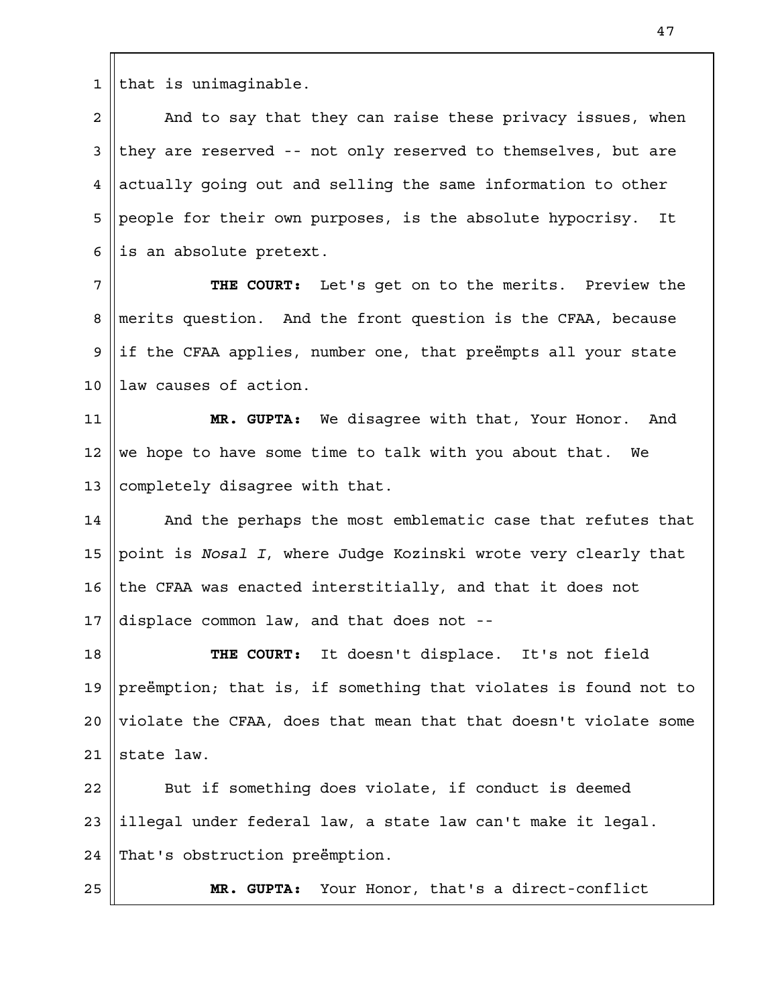that is unimaginable. 1

And to say that they can raise these privacy issues, when they are reserved -- not only reserved to themselves, but are actually going out and selling the same information to other people for their own purposes, is the absolute hypocrisy. It is an absolute pretext. 2 3 4 5 6

**THE COURT:** Let's get on to the merits. Preview the merits question. And the front question is the CFAA, because if the CFAA applies, number one, that preëmpts all your state law causes of action. 7 8 9 10

**MR. GUPTA:** We disagree with that, Your Honor. And we hope to have some time to talk with you about that. We completely disagree with that. 11 12 13

And the perhaps the most emblematic case that refutes that point is *Nosal I*, where Judge Kozinski wrote very clearly that the CFAA was enacted interstitially, and that it does not displace common law, and that does not -- 14 15 16 17

**THE COURT:** It doesn't displace. It's not field preëmption; that is, if something that violates is found not to violate the CFAA, does that mean that that doesn't violate some state law. 18 19  $2.0$ 21

But if something does violate, if conduct is deemed illegal under federal law, a state law can't make it legal. That's obstruction preëmption. 22 23 24

25

**MR. GUPTA:** Your Honor, that's a direct-conflict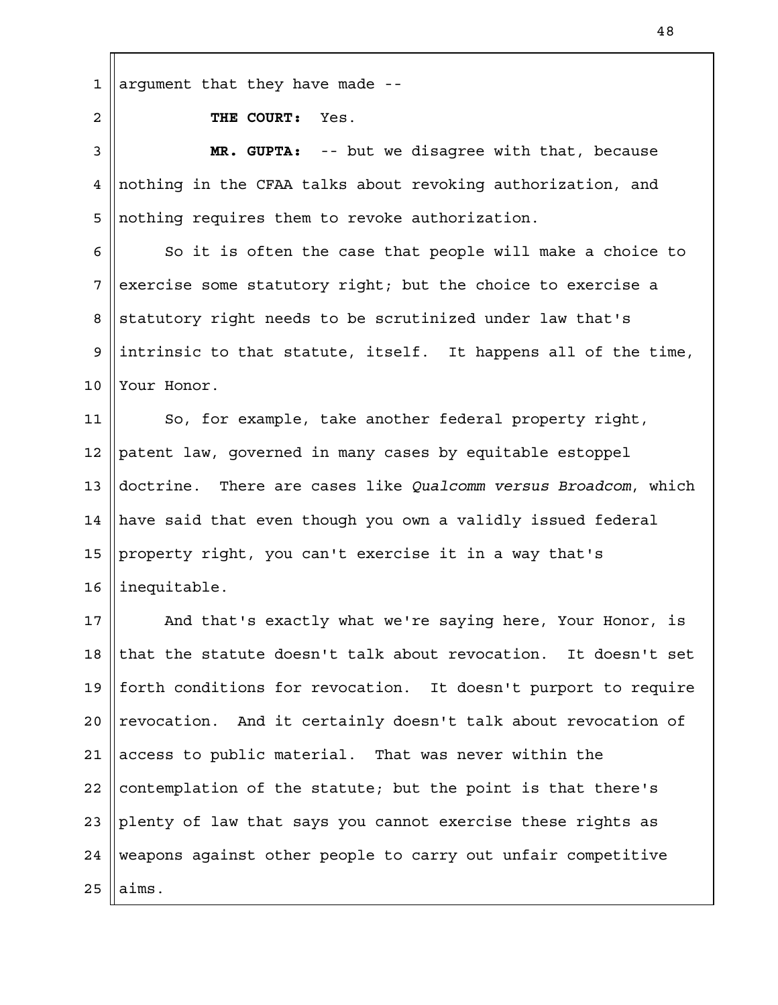argument that they have made -- 1

2

**THE COURT:** Yes.

**MR. GUPTA:** -- but we disagree with that, because nothing in the CFAA talks about revoking authorization, and nothing requires them to revoke authorization. 3 4 5

So it is often the case that people will make a choice to exercise some statutory right; but the choice to exercise a statutory right needs to be scrutinized under law that's intrinsic to that statute, itself. It happens all of the time, Your Honor. 6 7 8 9 10

So, for example, take another federal property right, patent law, governed in many cases by equitable estoppel doctrine. There are cases like *Qualcomm versus Broadcom*, which have said that even though you own a validly issued federal property right, you can't exercise it in a way that's inequitable. 11 12 13 14 15 16

And that's exactly what we're saying here, Your Honor, is that the statute doesn't talk about revocation. It doesn't set forth conditions for revocation. It doesn't purport to require revocation. And it certainly doesn't talk about revocation of access to public material. That was never within the contemplation of the statute; but the point is that there's plenty of law that says you cannot exercise these rights as weapons against other people to carry out unfair competitive aims. 17 18 19  $2.0$ 21 22 23 24 25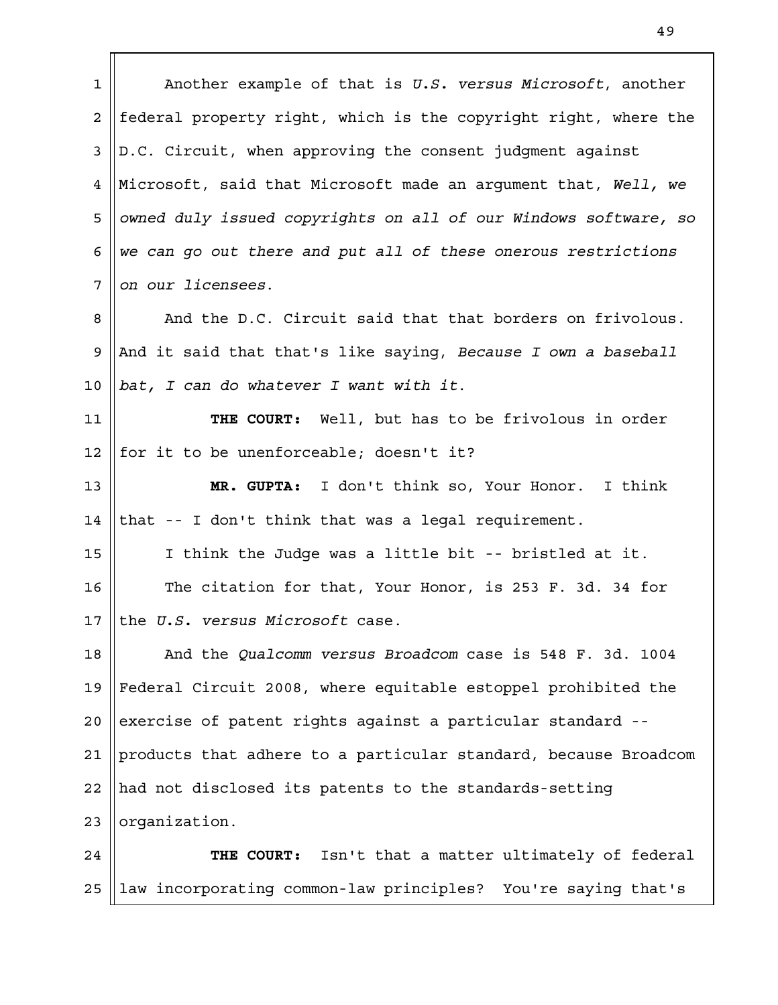Another example of that is *U.S. versus Microsoft*, another federal property right, which is the copyright right, where the D.C. Circuit, when approving the consent judgment against Microsoft, said that Microsoft made an argument that, *Well, we owned duly issued copyrights on all of our Windows software, so we can go out there and put all of these onerous restrictions on our licensees*. And the D.C. Circuit said that that borders on frivolous. And it said that that's like saying, *Because I own a baseball bat, I can do whatever I want with it*. **THE COURT:** Well, but has to be frivolous in order for it to be unenforceable; doesn't it? **MR. GUPTA:** I don't think so, Your Honor. I think that -- I don't think that was a legal requirement. I think the Judge was a little bit -- bristled at it. The citation for that, Your Honor, is 253 F. 3d. 34 for the *U.S. versus Microsoft* case. And the *Qualcomm versus Broadcom* case is 548 F. 3d. 1004 Federal Circuit 2008, where equitable estoppel prohibited the exercise of patent rights against a particular standard - products that adhere to a particular standard, because Broadcom had not disclosed its patents to the standards-setting organization. **THE COURT:** Isn't that a matter ultimately of federal law incorporating common-law principles? You're saying that's 1 2 3 4 5 6 7 8 9 10 11 12 13 14 15 16 17 18 19  $2.0$ 21 22 23 24 25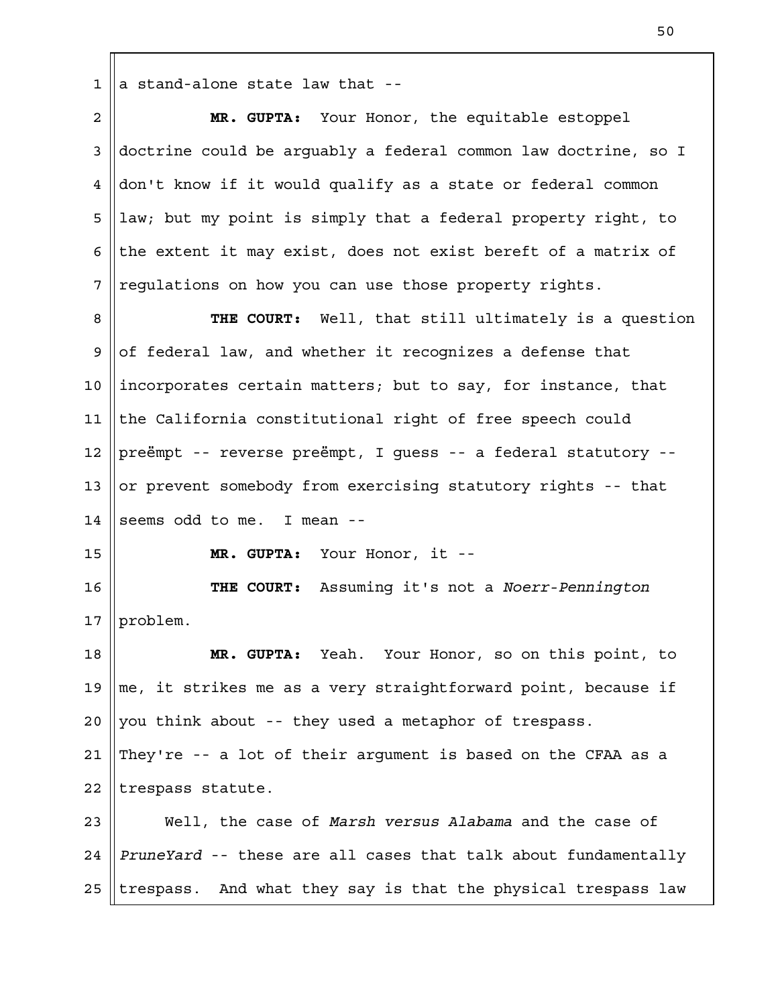$1 \parallel a$  stand-alone state law that --

| $\overline{a}$ | MR. GUPTA: Your Honor, the equitable estoppel                    |
|----------------|------------------------------------------------------------------|
| 3              | doctrine could be arguably a federal common law doctrine, so I   |
| 4              | don't know if it would qualify as a state or federal common      |
| 5              | law; but my point is simply that a federal property right, to    |
| 6              | the extent it may exist, does not exist bereft of a matrix of    |
| 7              | requlations on how you can use those property rights.            |
| 8              | THE COURT: Well, that still ultimately is a question             |
| 9              | of federal law, and whether it recognizes a defense that         |
| 10             | incorporates certain matters; but to say, for instance, that     |
| 11             | the California constitutional right of free speech could         |
| 12             | preëmpt -- reverse preëmpt, I guess -- a federal statutory --    |
| 13             | or prevent somebody from exercising statutory rights -- that     |
| 14             | seems odd to me. I mean --                                       |
| 15             | Your Honor, it --<br>MR. GUPTA:                                  |
| 16             | THE COURT: Assuming it's not a Noerr-Pennington                  |
| 17             | problem.                                                         |
| 18             | Yeah. Your Honor, so on this point, to<br>MR. GUPTA:             |
| 19             | me, it strikes me as a very straightforward point, because if    |
| 20             | you think about -- they used a metaphor of trespass.             |
| 21             | They're -- a lot of their argument is based on the CFAA as a     |
| 22             | trespass statute.                                                |
| 23             | Well, the case of Marsh versus Alabama and the case of           |
| 24             | PruneYard -- these are all cases that talk about fundamentally   |
| 25             | And what they say is that the physical trespass law<br>trespass. |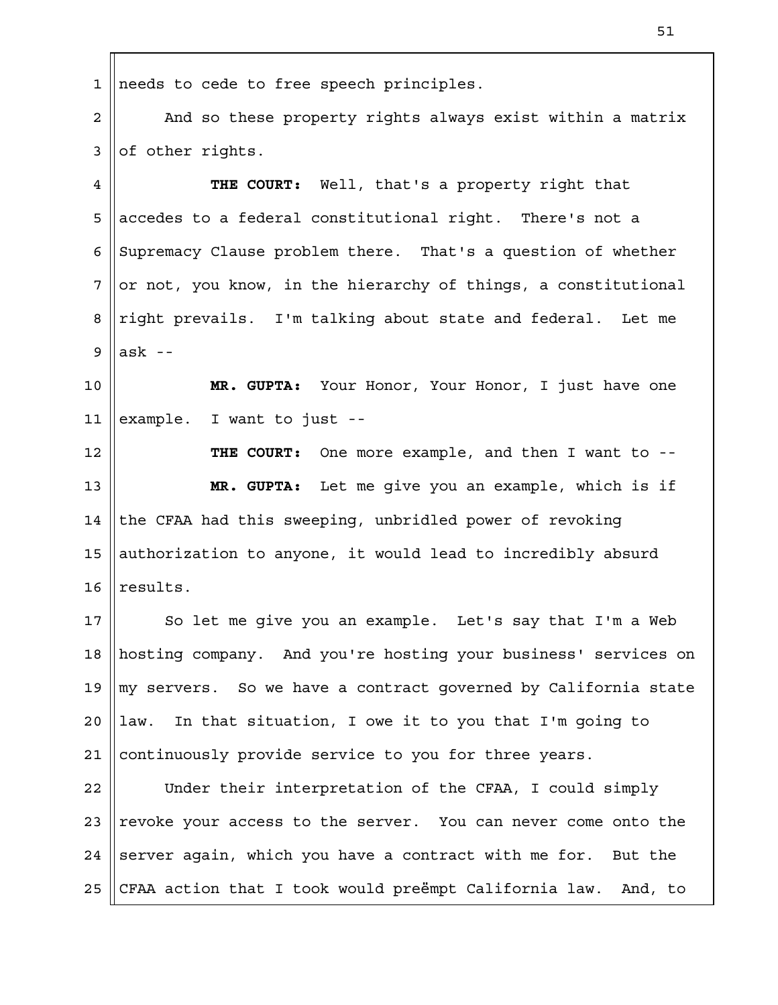needs to cede to free speech principles. 1

And so these property rights always exist within a matrix of other rights. 2 3

**THE COURT:** Well, that's a property right that accedes to a federal constitutional right. There's not a Supremacy Clause problem there. That's a question of whether or not, you know, in the hierarchy of things, a constitutional right prevails. I'm talking about state and federal. Let me ask -- 4 5 6 7 8 9

**MR. GUPTA:** Your Honor, Your Honor, I just have one example. I want to just -- 10 11

**THE COURT:** One more example, and then I want to -- **MR. GUPTA:** Let me give you an example, which is if the CFAA had this sweeping, unbridled power of revoking authorization to anyone, it would lead to incredibly absurd results. 12 13 14 15 16

So let me give you an example. Let's say that I'm a Web hosting company. And you're hosting your business' services on my servers. So we have a contract governed by California state law. In that situation, I owe it to you that I'm going to continuously provide service to you for three years. 17 18 19  $2.0$ 21

Under their interpretation of the CFAA, I could simply revoke your access to the server. You can never come onto the server again, which you have a contract with me for. But the CFAA action that I took would preëmpt California law. And, to 22 23 24 25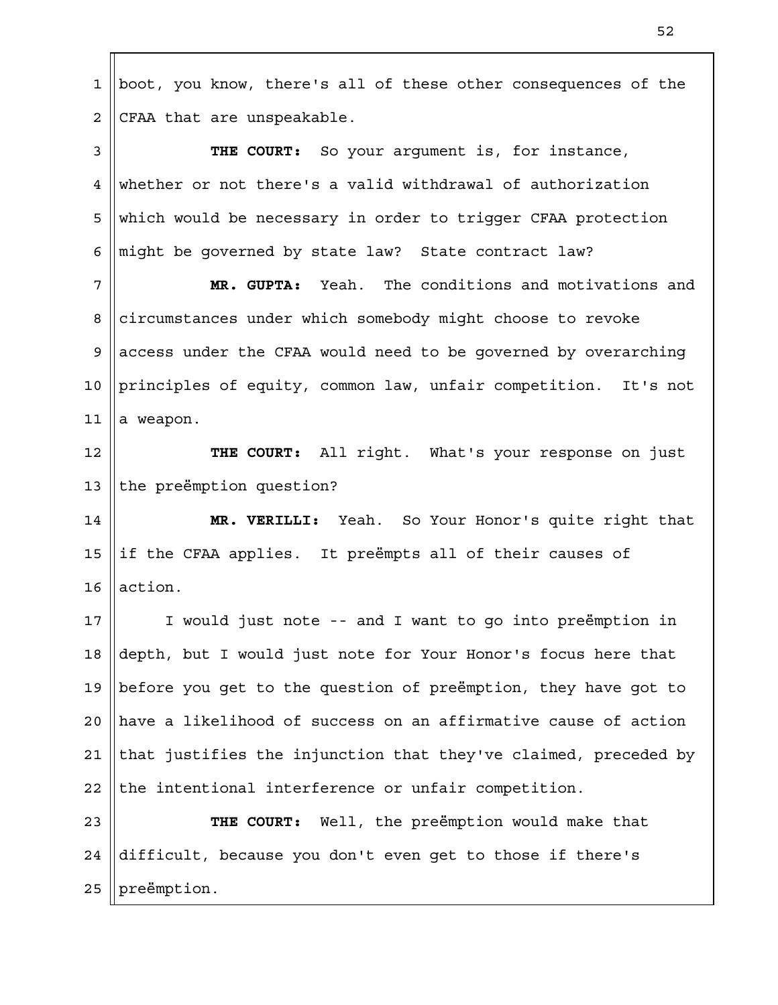boot, you know, there's all of these other consequences of the CFAA that are unspeakable. **THE COURT:** So your argument is, for instance, whether or not there's a valid withdrawal of authorization which would be necessary in order to trigger CFAA protection might be governed by state law? State contract law? **MR. GUPTA:** Yeah. The conditions and motivations and circumstances under which somebody might choose to revoke access under the CFAA would need to be governed by overarching principles of equity, common law, unfair competition. It's not a weapon. **THE COURT:** All right. What's your response on just the preëmption question? **MR. VERILLI:** Yeah. So Your Honor's quite right that if the CFAA applies. It preëmpts all of their causes of action. I would just note -- and I want to go into preëmption in depth, but I would just note for Your Honor's focus here that before you get to the question of preëmption, they have got to have a likelihood of success on an affirmative cause of action that justifies the injunction that they've claimed, preceded by the intentional interference or unfair competition. **THE COURT:** Well, the preëmption would make that difficult, because you don't even get to those if there's preëmption. 1 2 3 4 5 6 7 8 9 10 11 12 13 14 15 16 17 18 19  $2.0$ 21 22 23 24 25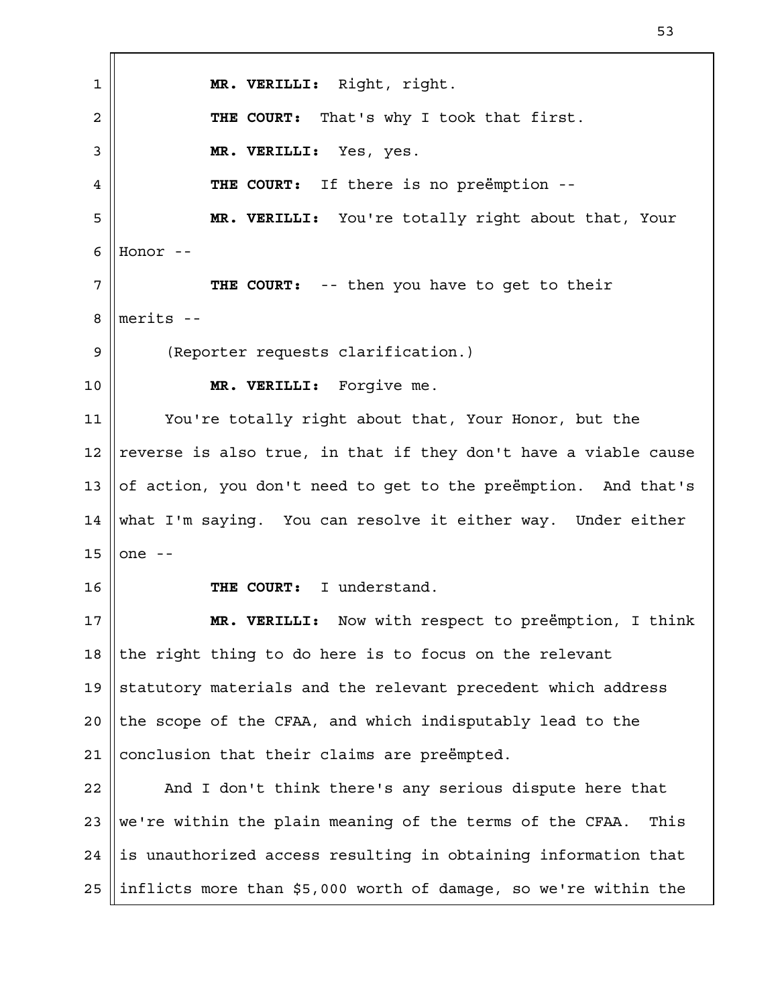**MR. VERILLI:** Right, right. **THE COURT:** That's why I took that first. **MR. VERILLI:** Yes, yes. **THE COURT:** If there is no preëmption -- **MR. VERILLI:** You're totally right about that, Your Honor -- **THE COURT:** -- then you have to get to their merits -- (Reporter requests clarification.) **MR. VERILLI:** Forgive me. You're totally right about that, Your Honor, but the reverse is also true, in that if they don't have a viable cause of action, you don't need to get to the preëmption. And that's what I'm saying. You can resolve it either way. Under either one -- **THE COURT:** I understand. **MR. VERILLI:** Now with respect to preëmption, I think the right thing to do here is to focus on the relevant statutory materials and the relevant precedent which address the scope of the CFAA, and which indisputably lead to the conclusion that their claims are preëmpted. And I don't think there's any serious dispute here that we're within the plain meaning of the terms of the CFAA. This is unauthorized access resulting in obtaining information that inflicts more than \$5,000 worth of damage, so we're within the 1 2 3 4 5 6 7 8 9 10 11 12 13 14 15 16 17 18 19  $2.0$ 21 22 23 24 25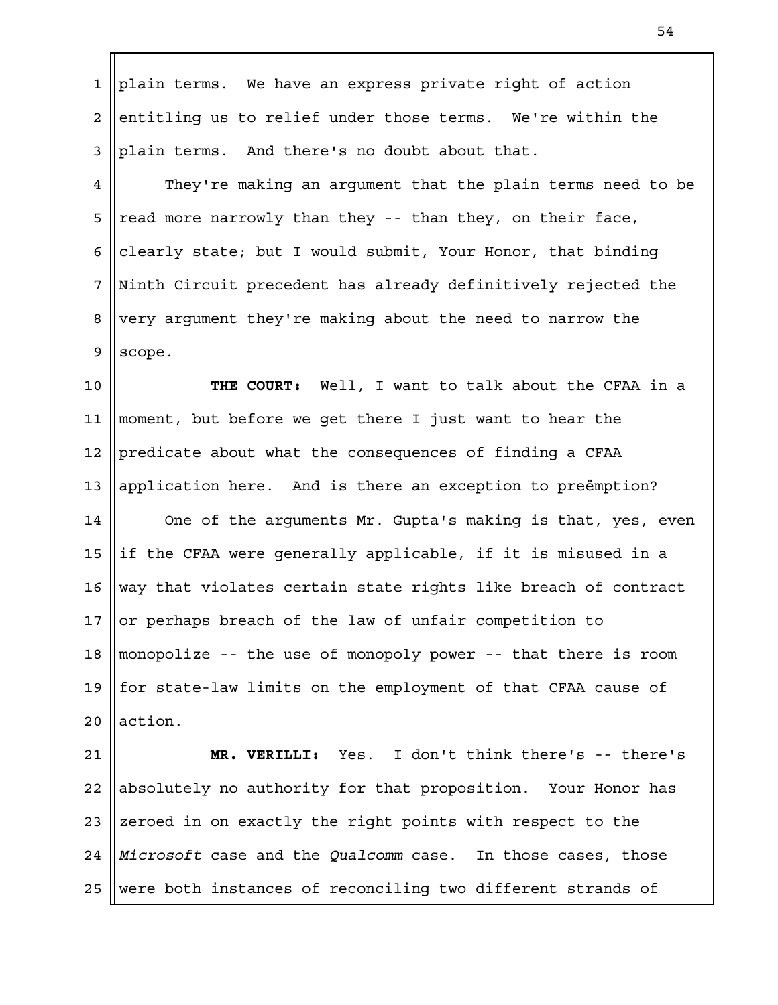| plain terms. We have an express private right of action                  |
|--------------------------------------------------------------------------|
| entitling us to relief under those terms. We're within the               |
| plain terms. And there's no doubt about that.                            |
| They're making an argument that the plain terms need to be               |
| read more narrowly than they -- than they, on their face,                |
| clearly state; but I would submit, Your Honor, that binding              |
| Ninth Circuit precedent has already definitively rejected the            |
| very argument they're making about the need to narrow the                |
| scope.                                                                   |
| THE COURT: Well, I want to talk about the CFAA in a                      |
| moment, but before we get there I just want to hear the                  |
| predicate about what the consequences of finding a CFAA                  |
| application here. And is there an exception to preemption?               |
| One of the arguments Mr. Gupta's making is that, yes, even               |
| if the CFAA were generally applicable, if it is misused in a             |
| way that violates certain state rights like breach of contract           |
| 17 <sup>1</sup><br>or perhaps breach of the law of unfair competition to |
| monopolize -- the use of monopoly power -- that there is room            |
| for state-law limits on the employment of that CFAA cause of             |
| action.                                                                  |
| MR. VERILLI: Yes. I don't think there's -- there's                       |
| absolutely no authority for that proposition. Your Honor has             |
| zeroed in on exactly the right points with respect to the                |
| Microsoft case and the Qualcomm case. In those cases, those              |
|                                                                          |

25 Were both instances of reconciling two different strands of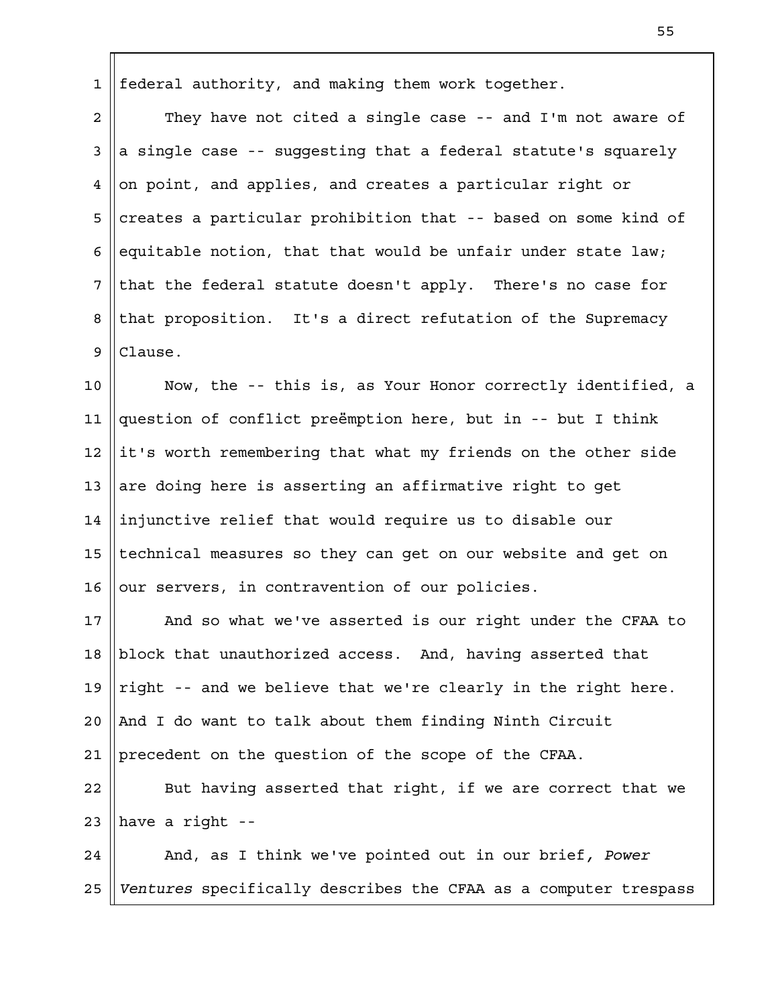federal authority, and making them work together. 1

They have not cited a single case -- and I'm not aware of a single case -- suggesting that a federal statute's squarely on point, and applies, and creates a particular right or creates a particular prohibition that -- based on some kind of equitable notion, that that would be unfair under state law; that the federal statute doesn't apply. There's no case for that proposition. It's a direct refutation of the Supremacy Clause. 2 3 4 5 6 7 8 9

Now, the -- this is, as Your Honor correctly identified, a question of conflict preëmption here, but in -- but I think it's worth remembering that what my friends on the other side are doing here is asserting an affirmative right to get injunctive relief that would require us to disable our technical measures so they can get on our website and get on our servers, in contravention of our policies. 10 11 12 13 14 15 16

And so what we've asserted is our right under the CFAA to block that unauthorized access. And, having asserted that right -- and we believe that we're clearly in the right here. And I do want to talk about them finding Ninth Circuit precedent on the question of the scope of the CFAA. 17 18 19  $2.0$ 21

But having asserted that right, if we are correct that we have a right -- 22 23

And, as I think we've pointed out in our brief*, Power Ventures* specifically describes the CFAA as a computer trespass 24 25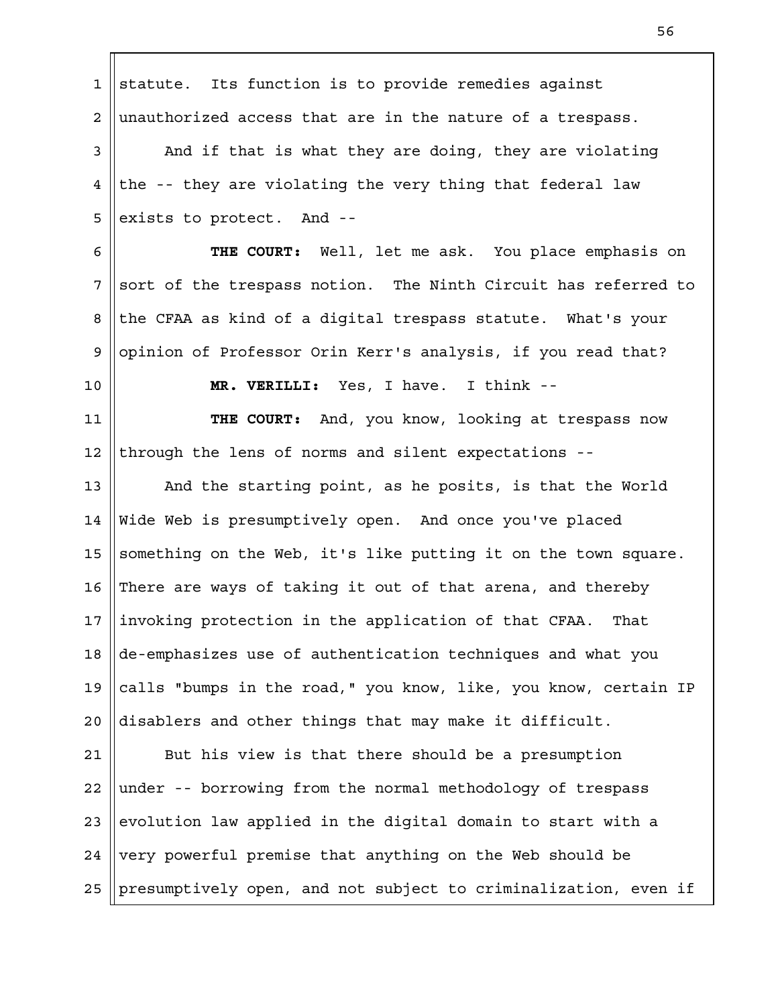statute. Its function is to provide remedies against unauthorized access that are in the nature of a trespass. And if that is what they are doing, they are violating the -- they are violating the very thing that federal law exists to protect. And -- **THE COURT:** Well, let me ask. You place emphasis on sort of the trespass notion. The Ninth Circuit has referred to the CFAA as kind of a digital trespass statute. What's your opinion of Professor Orin Kerr's analysis, if you read that? **MR. VERILLI:** Yes, I have. I think -- **THE COURT:** And, you know, looking at trespass now through the lens of norms and silent expectations -- And the starting point, as he posits, is that the World Wide Web is presumptively open. And once you've placed something on the Web, it's like putting it on the town square. There are ways of taking it out of that arena, and thereby invoking protection in the application of that CFAA. That de-emphasizes use of authentication techniques and what you calls "bumps in the road," you know, like, you know, certain IP disablers and other things that may make it difficult. But his view is that there should be a presumption under -- borrowing from the normal methodology of trespass evolution law applied in the digital domain to start with a very powerful premise that anything on the Web should be presumptively open, and not subject to criminalization, even if 1 2 3 4 5 6 7 8 9 10 11 12 13 14 15 16 17 18 19  $2.0$ 21 22 23 24 25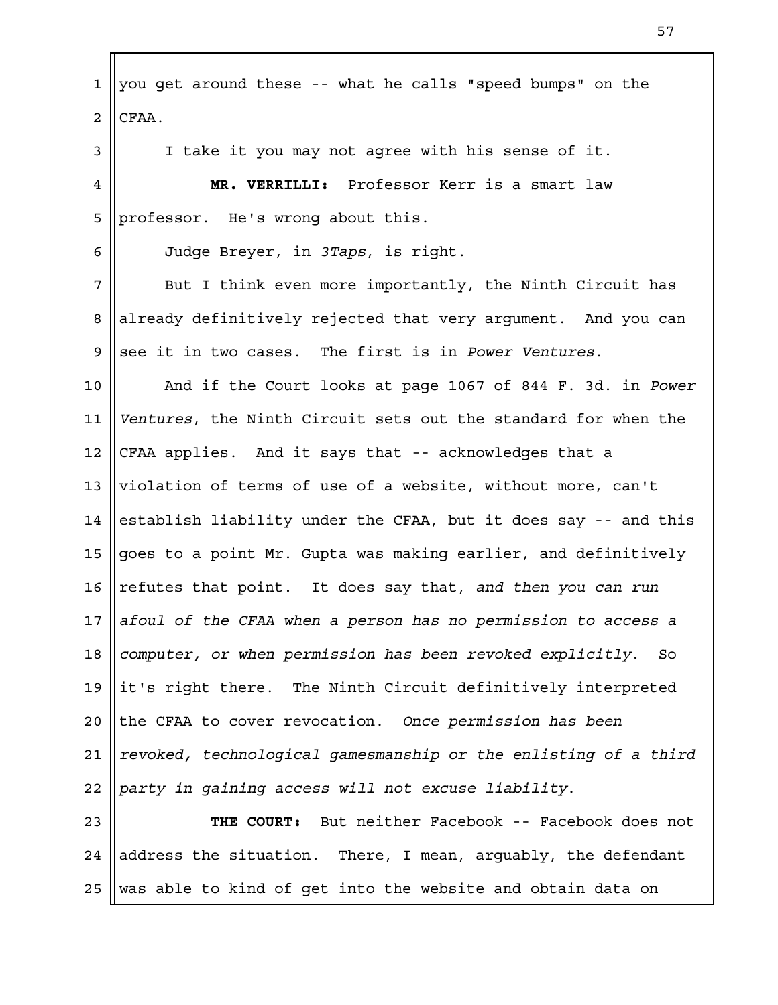you get around these -- what he calls "speed bumps" on the CFAA. I take it you may not agree with his sense of it. **MR. VERRILLI:** Professor Kerr is a smart law professor. He's wrong about this. Judge Breyer, in *3Taps*, is right. But I think even more importantly, the Ninth Circuit has already definitively rejected that very argument. And you can see it in two cases. The first is in *Power Ventures*. And if the Court looks at page 1067 of 844 F. 3d. in *Power Ventures*, the Ninth Circuit sets out the standard for when the CFAA applies. And it says that -- acknowledges that a violation of terms of use of a website, without more, can't establish liability under the CFAA, but it does say -- and this goes to a point Mr. Gupta was making earlier, and definitively refutes that point. It does say that, *and then you can run afoul of the CFAA when a person has no permission to access a computer, or when permission has been revoked explicitly*. So it's right there. The Ninth Circuit definitively interpreted the CFAA to cover revocation. *Once permission has been revoked, technological gamesmanship or the enlisting of a third party in gaining access will not excuse liability*. **THE COURT:** But neither Facebook -- Facebook does not address the situation. There, I mean, arguably, the defendant was able to kind of get into the website and obtain data on 1 2 3 4 5 6 7 8 9 10 11 12 13 14 15 16 17 18 19  $2.0$ 21 22 23 24 25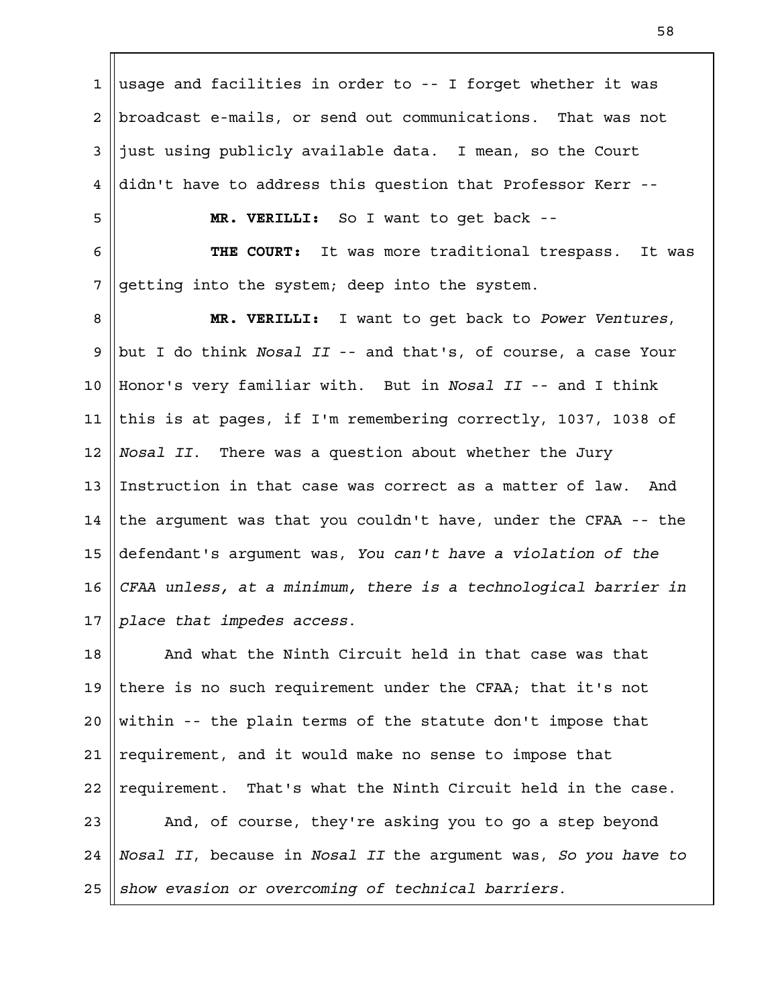usage and facilities in order to -- I forget whether it was broadcast e-mails, or send out communications. That was not just using publicly available data. I mean, so the Court didn't have to address this question that Professor Kerr -- **MR. VERILLI:** So I want to get back -- **THE COURT:** It was more traditional trespass. It was getting into the system; deep into the system. **MR. VERILLI:** I want to get back to *Power Ventures*, but I do think *Nosal II* -- and that's, of course, a case Your Honor's very familiar with. But in *Nosal II* -- and I think this is at pages, if I'm remembering correctly, 1037, 1038 of *Nosal II*. There was a question about whether the Jury Instruction in that case was correct as a matter of law. And the argument was that you couldn't have, under the CFAA -- the defendant's argument was, *You can't have a violation of the CFAA unless, at a minimum, there is a technological barrier in place that impedes access*. And what the Ninth Circuit held in that case was that there is no such requirement under the CFAA; that it's not within -- the plain terms of the statute don't impose that requirement, and it would make no sense to impose that requirement. That's what the Ninth Circuit held in the case. And, of course, they're asking you to go a step beyond *Nosal II*, because in *Nosal II* the argument was, *So you have to show evasion or overcoming of technical barriers*. 1 2 3 4 5 6 7 8 9 10 11 12 13 14 15 16 17 18 19  $2.0$ 21 22 23 24 25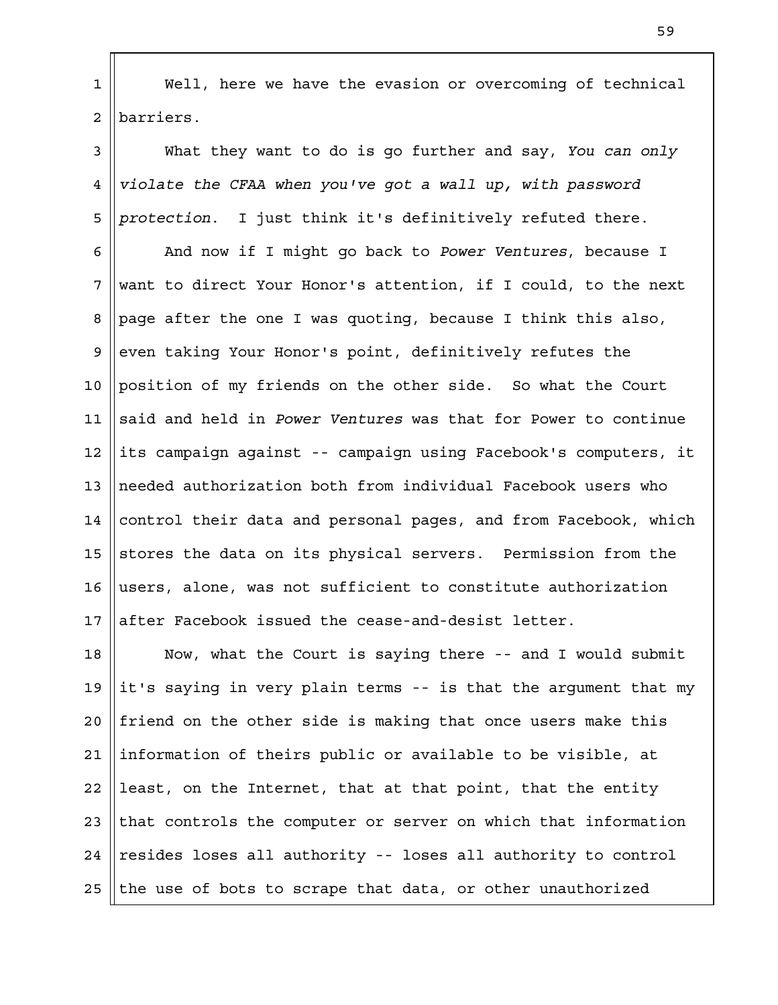Well, here we have the evasion or overcoming of technical barriers. 1 2

What they want to do is go further and say, *You can only violate the CFAA when you've got a wall up, with password protection*. I just think it's definitively refuted there. 3 4 5

And now if I might go back to *Power Ventures*, because I want to direct Your Honor's attention, if I could, to the next page after the one I was quoting, because I think this also, even taking Your Honor's point, definitively refutes the position of my friends on the other side. So what the Court said and held in *Power Ventures* was that for Power to continue its campaign against -- campaign using Facebook's computers, it needed authorization both from individual Facebook users who control their data and personal pages, and from Facebook, which stores the data on its physical servers. Permission from the users, alone, was not sufficient to constitute authorization after Facebook issued the cease-and-desist letter. 6 7 8 9 10 11 12 13 14 15 16 17

Now, what the Court is saying there -- and I would submit it's saying in very plain terms -- is that the argument that my friend on the other side is making that once users make this information of theirs public or available to be visible, at least, on the Internet, that at that point, that the entity that controls the computer or server on which that information resides loses all authority -- loses all authority to control the use of bots to scrape that data, or other unauthorized 18 19  $2.0$ 21 22 23 24 25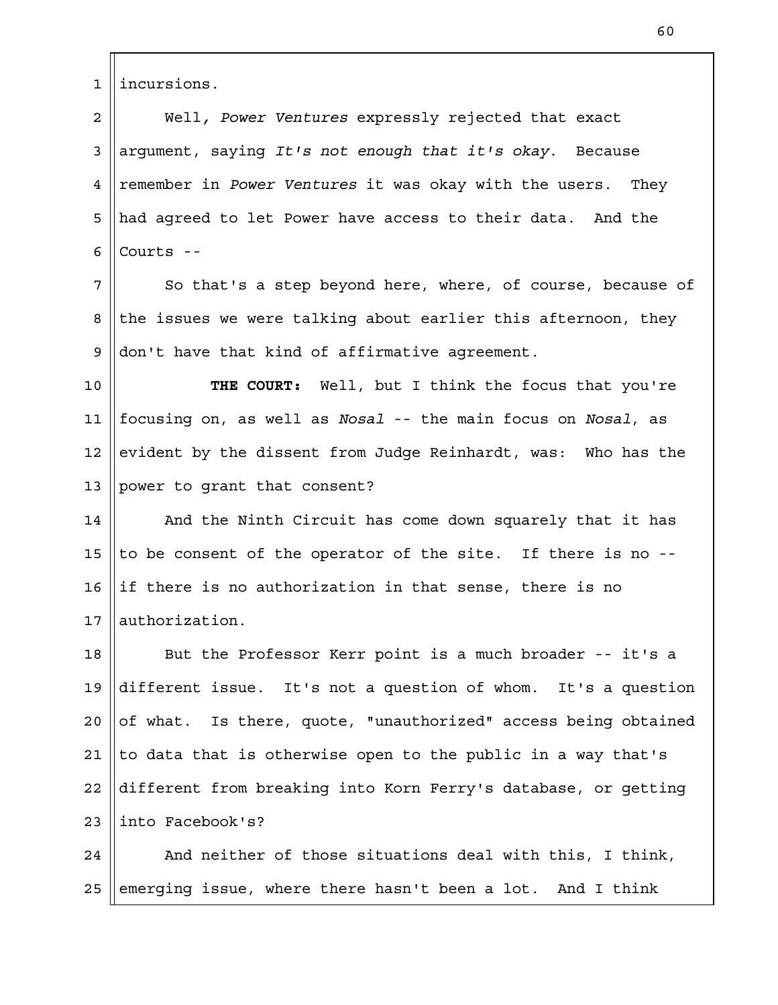incursions. 1

Well*, Power Ventures* expressly rejected that exact argument, saying *It's not enough that it's okay*. Because remember in *Power Ventures* it was okay with the users. They had agreed to let Power have access to their data. And the Courts -- 2 3 4 5 6

So that's a step beyond here, where, of course, because of the issues we were talking about earlier this afternoon, they don't have that kind of affirmative agreement. 7 8 9

**THE COURT:** Well, but I think the focus that you're focusing on, as well as *Nosal* -- the main focus on *Nosal*, as evident by the dissent from Judge Reinhardt, was: Who has the power to grant that consent? 10 11 12 13

And the Ninth Circuit has come down squarely that it has to be consent of the operator of the site. If there is no - if there is no authorization in that sense, there is no authorization. 14 15 16 17

But the Professor Kerr point is a much broader -- it's a different issue. It's not a question of whom. It's a question of what. Is there, quote, "unauthorized" access being obtained to data that is otherwise open to the public in a way that's different from breaking into Korn Ferry's database, or getting into Facebook's? 18 19  $2.0$ 21 22 23

And neither of those situations deal with this, I think, emerging issue, where there hasn't been a lot. And I think 24 25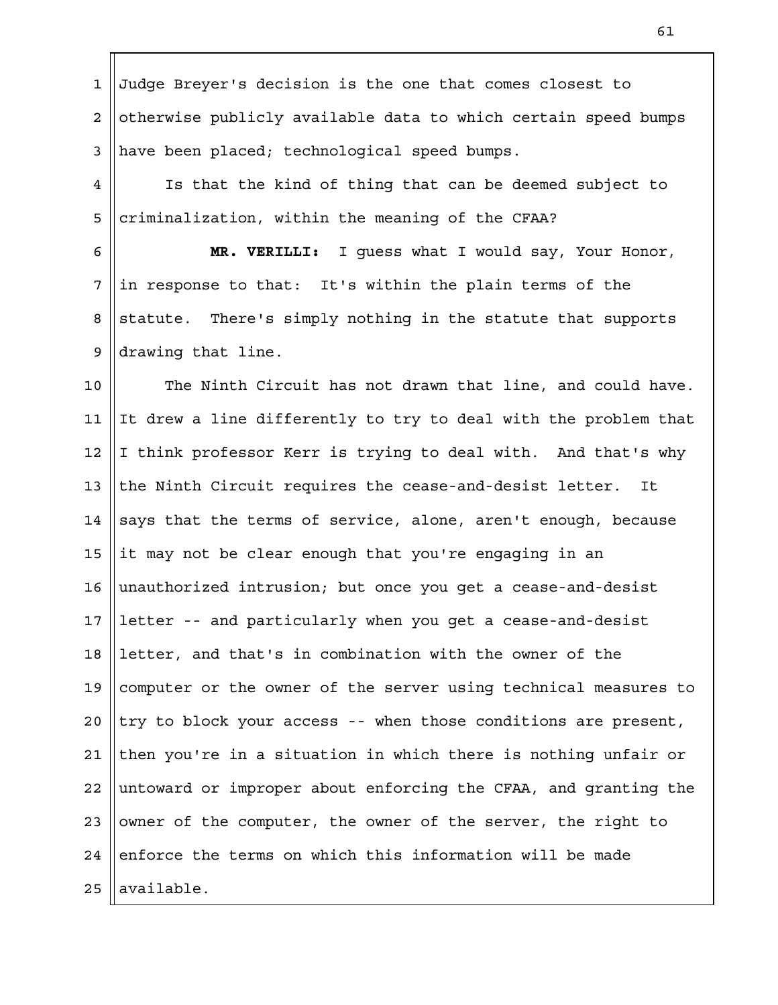Judge Breyer's decision is the one that comes closest to otherwise publicly available data to which certain speed bumps have been placed; technological speed bumps. 1 2 3

Is that the kind of thing that can be deemed subject to criminalization, within the meaning of the CFAA? 4 5

**MR. VERILLI:** I guess what I would say, Your Honor, in response to that: It's within the plain terms of the statute. There's simply nothing in the statute that supports drawing that line. 6 7 8 9

The Ninth Circuit has not drawn that line, and could have. It drew a line differently to try to deal with the problem that I think professor Kerr is trying to deal with. And that's why the Ninth Circuit requires the cease-and-desist letter. It says that the terms of service, alone, aren't enough, because it may not be clear enough that you're engaging in an unauthorized intrusion; but once you get a cease-and-desist letter -- and particularly when you get a cease-and-desist letter, and that's in combination with the owner of the computer or the owner of the server using technical measures to try to block your access -- when those conditions are present, then you're in a situation in which there is nothing unfair or untoward or improper about enforcing the CFAA, and granting the owner of the computer, the owner of the server, the right to enforce the terms on which this information will be made available. 10 11 12 13 14 15 16 17 18 19  $2.0$ 21 22 23 24 25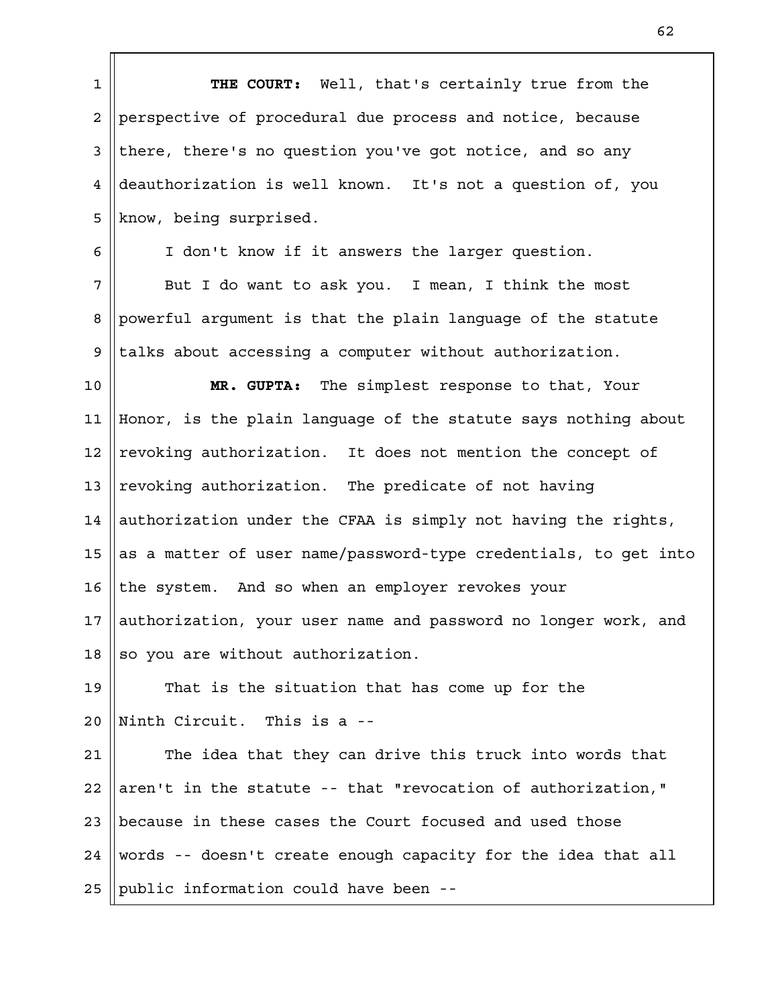**THE COURT:** Well, that's certainly true from the perspective of procedural due process and notice, because there, there's no question you've got notice, and so any deauthorization is well known. It's not a question of, you know, being surprised. I don't know if it answers the larger question. But I do want to ask you. I mean, I think the most 1 2 3 4 5 6 7

powerful argument is that the plain language of the statute talks about accessing a computer without authorization. 8 9

**MR. GUPTA:** The simplest response to that, Your Honor, is the plain language of the statute says nothing about revoking authorization. It does not mention the concept of revoking authorization. The predicate of not having authorization under the CFAA is simply not having the rights, as a matter of user name/password-type credentials, to get into the system. And so when an employer revokes your authorization, your user name and password no longer work, and so you are without authorization. 10 11 12 13 14 15 16 17 18

That is the situation that has come up for the Ninth Circuit. This is a -- 19  $2.0$ 

The idea that they can drive this truck into words that aren't in the statute -- that "revocation of authorization," because in these cases the Court focused and used those words -- doesn't create enough capacity for the idea that all public information could have been -- 21 22 23 24 25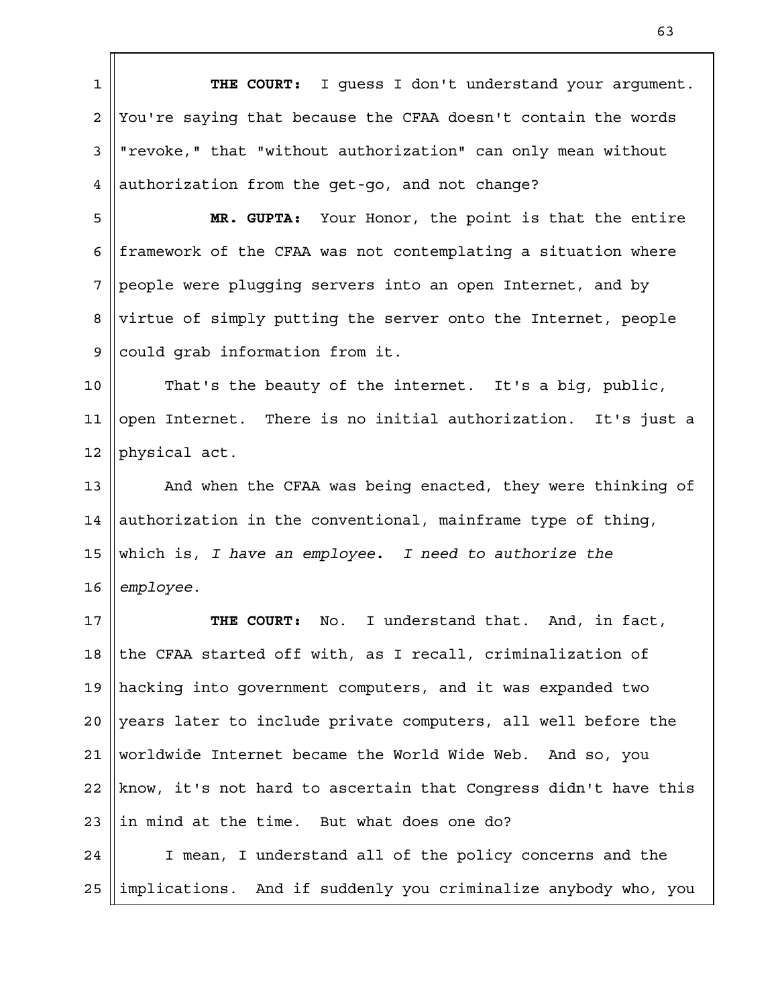**THE COURT:** I guess I don't understand your argument. You're saying that because the CFAA doesn't contain the words "revoke," that "without authorization" can only mean without authorization from the get-go, and not change? 1 2 3 4

**MR. GUPTA:** Your Honor, the point is that the entire framework of the CFAA was not contemplating a situation where people were plugging servers into an open Internet, and by virtue of simply putting the server onto the Internet, people could grab information from it. 5 6 7 8 9

That's the beauty of the internet. It's a big, public, open Internet. There is no initial authorization. It's just a physical act. 10 11 12

And when the CFAA was being enacted, they were thinking of authorization in the conventional, mainframe type of thing, which is, *I have an employee. I need to authorize the employee*. 13 14 15 16

**THE COURT:** No. I understand that. And, in fact, the CFAA started off with, as I recall, criminalization of hacking into government computers, and it was expanded two years later to include private computers, all well before the worldwide Internet became the World Wide Web. And so, you know, it's not hard to ascertain that Congress didn't have this in mind at the time. But what does one do? I mean, I understand all of the policy concerns and the 17 18 19  $2.0$ 21 22 23 24

implications. And if suddenly you criminalize anybody who, you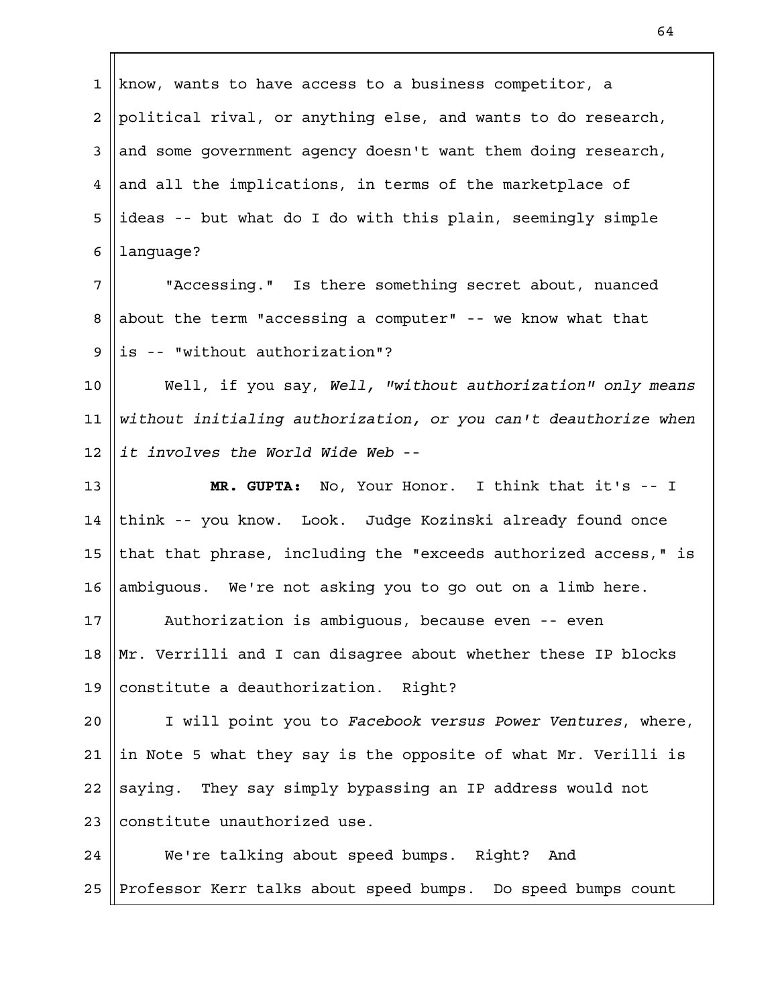know, wants to have access to a business competitor, a political rival, or anything else, and wants to do research, and some government agency doesn't want them doing research, and all the implications, in terms of the marketplace of ideas -- but what do I do with this plain, seemingly simple language? 1 2 3 4 5 6

"Accessing." Is there something secret about, nuanced about the term "accessing a computer" -- we know what that is -- "without authorization"? 7 8 9

Well, if you say, *Well, "without authorization" only means without initialing authorization, or you can't deauthorize when it involves the World Wide Web* -- 10 11 12

**MR. GUPTA:** No, Your Honor. I think that it's -- I think -- you know. Look. Judge Kozinski already found once that that phrase, including the "exceeds authorized access," is ambiguous. We're not asking you to go out on a limb here. 13 14 15 16

Authorization is ambiguous, because even -- even Mr. Verrilli and I can disagree about whether these IP blocks constitute a deauthorization. Right? 17 18 19

I will point you to *Facebook versus Power Ventures*, where, in Note 5 what they say is the opposite of what Mr. Verilli is saying. They say simply bypassing an IP address would not constitute unauthorized use.  $2.0$ 21 22 23

We're talking about speed bumps. Right? And Professor Kerr talks about speed bumps. Do speed bumps count 24 25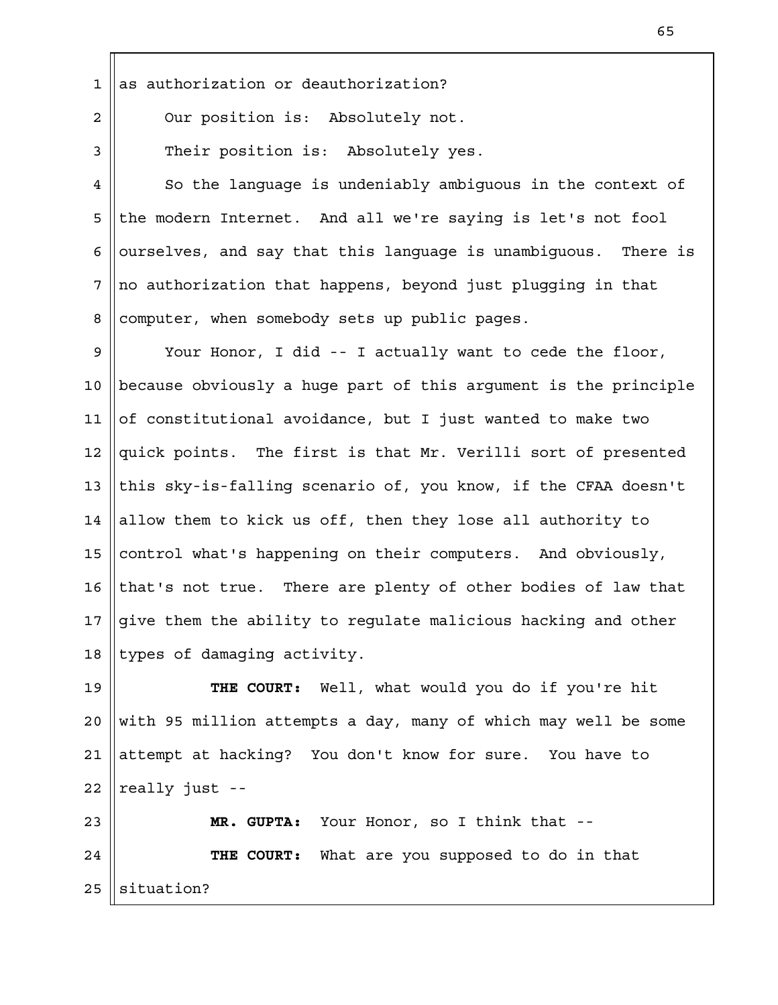as authorization or deauthorization? 1

2

3

Our position is: Absolutely not.

Their position is: Absolutely yes.

So the language is undeniably ambiguous in the context of the modern Internet. And all we're saying is let's not fool ourselves, and say that this language is unambiguous. There is no authorization that happens, beyond just plugging in that computer, when somebody sets up public pages. 4 5 6 7 8

Your Honor, I did -- I actually want to cede the floor, because obviously a huge part of this argument is the principle of constitutional avoidance, but I just wanted to make two quick points. The first is that Mr. Verilli sort of presented this sky-is-falling scenario of, you know, if the CFAA doesn't allow them to kick us off, then they lose all authority to control what's happening on their computers. And obviously, that's not true. There are plenty of other bodies of law that give them the ability to regulate malicious hacking and other types of damaging activity. 9 10 11 12 13 14 15 16 17 18

**THE COURT:** Well, what would you do if you're hit with 95 million attempts a day, many of which may well be some attempt at hacking? You don't know for sure. You have to really just -- 19  $2.0$ 21 22

**MR. GUPTA:** Your Honor, so I think that -- **THE COURT:** What are you supposed to do in that situation? 23 24 25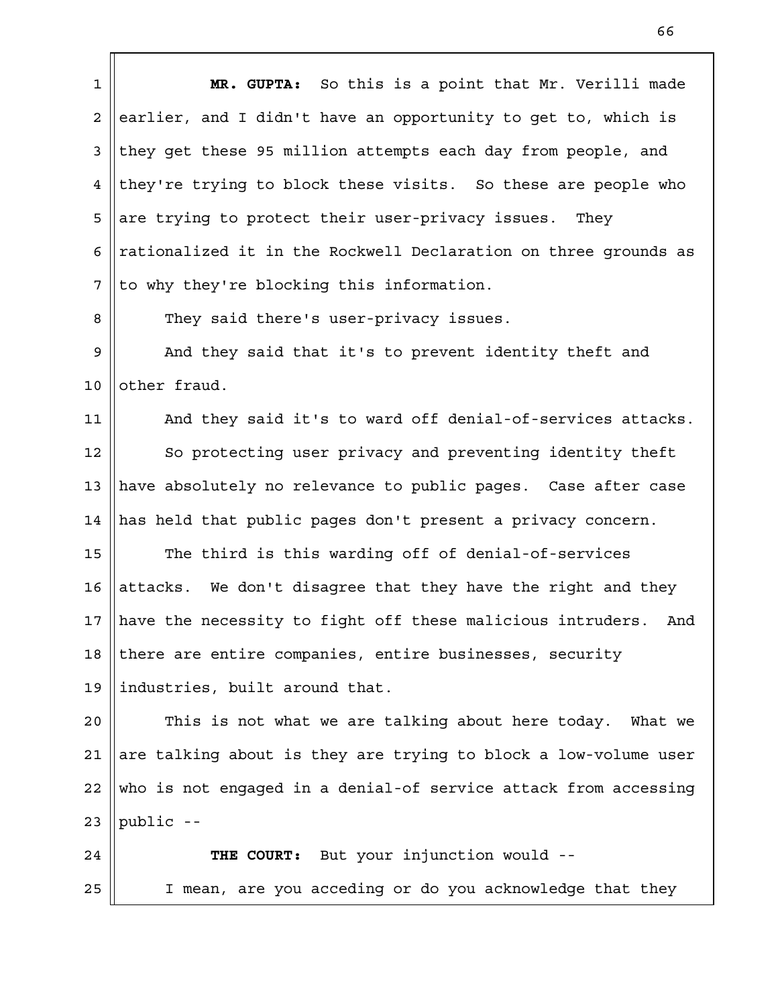**MR. GUPTA:** So this is a point that Mr. Verilli made earlier, and I didn't have an opportunity to get to, which is they get these 95 million attempts each day from people, and they're trying to block these visits. So these are people who are trying to protect their user-privacy issues. They rationalized it in the Rockwell Declaration on three grounds as to why they're blocking this information. They said there's user-privacy issues. And they said that it's to prevent identity theft and other fraud. And they said it's to ward off denial-of-services attacks. So protecting user privacy and preventing identity theft have absolutely no relevance to public pages. Case after case has held that public pages don't present a privacy concern. The third is this warding off of denial-of-services attacks. We don't disagree that they have the right and they have the necessity to fight off these malicious intruders. And there are entire companies, entire businesses, security industries, built around that. This is not what we are talking about here today. What we are talking about is they are trying to block a low-volume user who is not engaged in a denial-of service attack from accessing public -- **THE COURT:** But your injunction would -- I mean, are you acceding or do you acknowledge that they 1 2 3 4 5 6 7 8 9 10 11 12 13 14 15 16 17 18 19  $2.0$ 21 22 23 24 25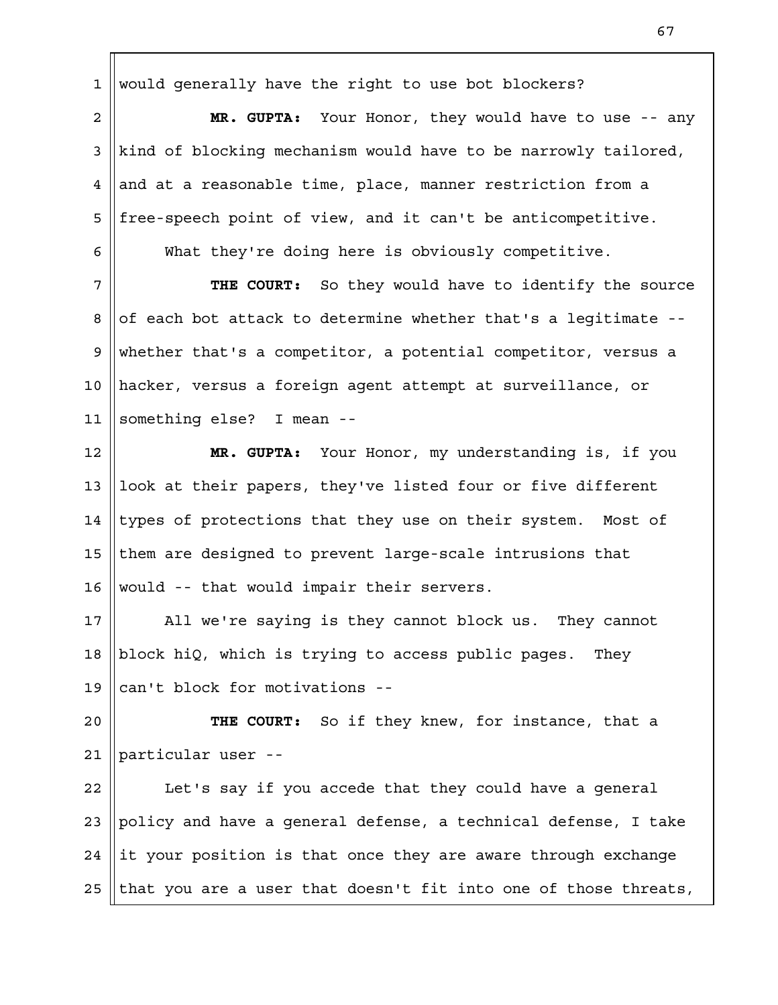would generally have the right to use bot blockers? 1

**MR. GUPTA:** Your Honor, they would have to use -- any kind of blocking mechanism would have to be narrowly tailored, and at a reasonable time, place, manner restriction from a free-speech point of view, and it can't be anticompetitive. 2 3 4 5 6

What they're doing here is obviously competitive.

**THE COURT:** So they would have to identify the source of each bot attack to determine whether that's a legitimate - whether that's a competitor, a potential competitor, versus a hacker, versus a foreign agent attempt at surveillance, or something else? I mean -- 7 8 9 10 11

**MR. GUPTA:** Your Honor, my understanding is, if you look at their papers, they've listed four or five different types of protections that they use on their system. Most of them are designed to prevent large-scale intrusions that would -- that would impair their servers. 12 13 14 15 16

All we're saying is they cannot block us. They cannot block hiQ, which is trying to access public pages. They can't block for motivations -- 17 18 19

**THE COURT:** So if they knew, for instance, that a particular user -- 20 21

Let's say if you accede that they could have a general policy and have a general defense, a technical defense, I take it your position is that once they are aware through exchange that you are a user that doesn't fit into one of those threats, 22 23 24 25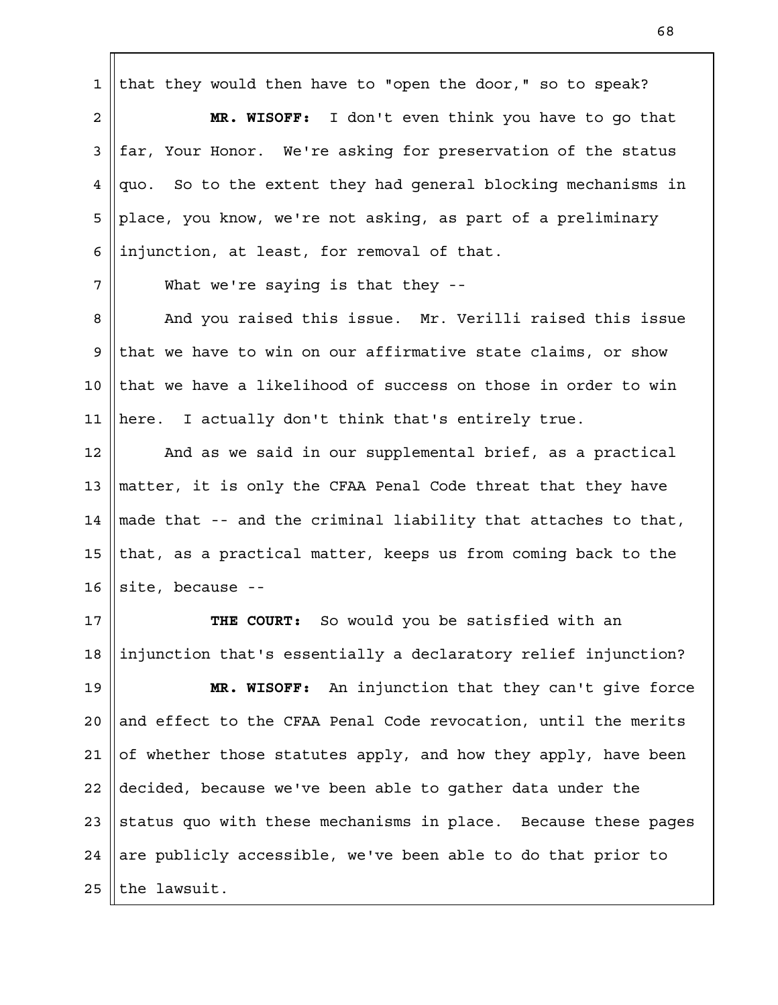that they would then have to "open the door," so to speak? 1

**MR. WISOFF:** I don't even think you have to go that far, Your Honor. We're asking for preservation of the status quo. So to the extent they had general blocking mechanisms in place, you know, we're not asking, as part of a preliminary injunction, at least, for removal of that. 2 3 4 5 6

What we're saying is that they --

7

And you raised this issue. Mr. Verilli raised this issue that we have to win on our affirmative state claims, or show that we have a likelihood of success on those in order to win here. I actually don't think that's entirely true. 8 9 10 11

And as we said in our supplemental brief, as a practical matter, it is only the CFAA Penal Code threat that they have made that -- and the criminal liability that attaches to that, that, as a practical matter, keeps us from coming back to the site, because -- 12 13 14 15 16

**THE COURT:** So would you be satisfied with an injunction that's essentially a declaratory relief injunction? 17 18

**MR. WISOFF:** An injunction that they can't give force and effect to the CFAA Penal Code revocation, until the merits of whether those statutes apply, and how they apply, have been decided, because we've been able to gather data under the status quo with these mechanisms in place. Because these pages are publicly accessible, we've been able to do that prior to the lawsuit. 19  $2.0$ 21 22 23 24 25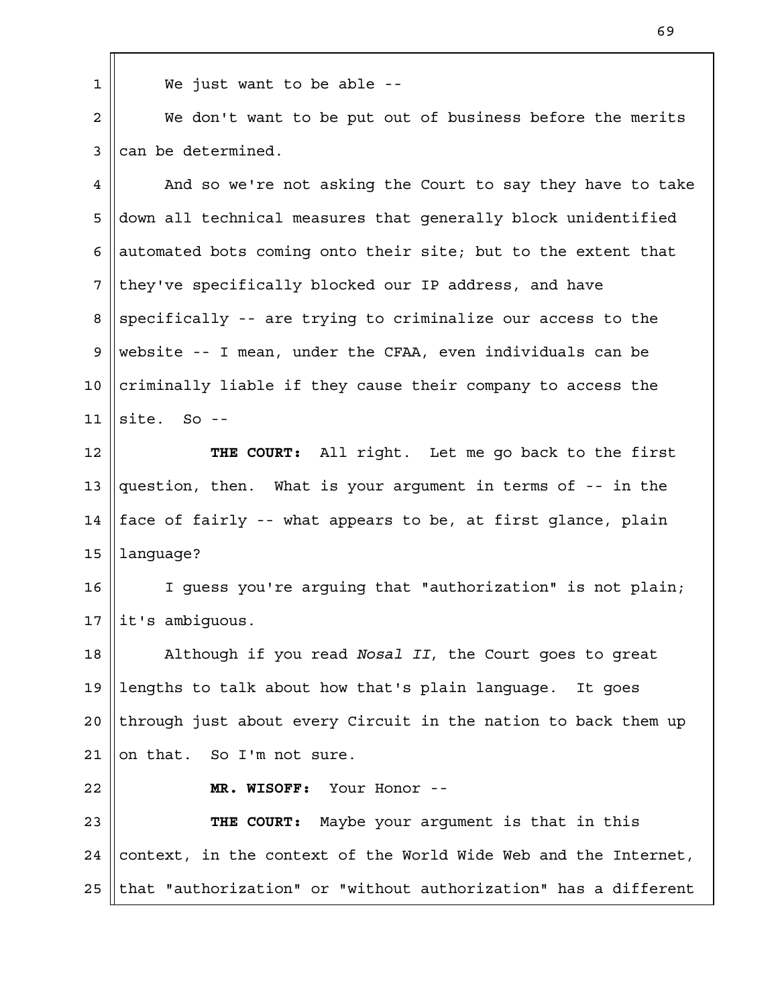We just want to be able --

We don't want to be put out of business before the merits can be determined. 2 3

And so we're not asking the Court to say they have to take down all technical measures that generally block unidentified automated bots coming onto their site; but to the extent that they've specifically blocked our IP address, and have specifically -- are trying to criminalize our access to the website -- I mean, under the CFAA, even individuals can be criminally liable if they cause their company to access the site. So -- 4 5 6 7 8 9 10 11

**THE COURT:** All right. Let me go back to the first question, then. What is your argument in terms of -- in the face of fairly -- what appears to be, at first glance, plain language? 12 13 14 15

I guess you're arguing that "authorization" is not plain; it's ambiguous. 16 17

Although if you read *Nosal II*, the Court goes to great lengths to talk about how that's plain language. It goes through just about every Circuit in the nation to back them up on that. So I'm not sure. 18 19  $2.0$ 21

22

1

**MR. WISOFF:** Your Honor --

**THE COURT:** Maybe your argument is that in this context, in the context of the World Wide Web and the Internet, that "authorization" or "without authorization" has a different 23 24 25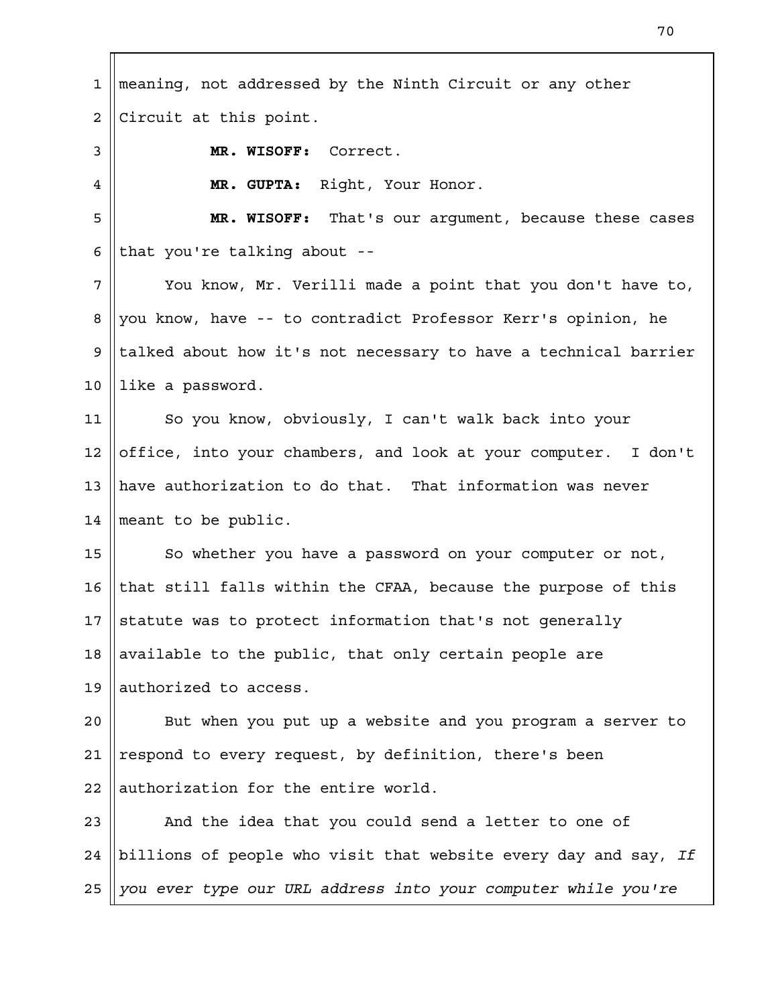meaning, not addressed by the Ninth Circuit or any other Circuit at this point. **MR. WISOFF:** Correct. **MR. GUPTA:** Right, Your Honor. **MR. WISOFF:** That's our argument, because these cases that you're talking about -- You know, Mr. Verilli made a point that you don't have to, you know, have -- to contradict Professor Kerr's opinion, he talked about how it's not necessary to have a technical barrier like a password. So you know, obviously, I can't walk back into your office, into your chambers, and look at your computer. I don't have authorization to do that. That information was never meant to be public. So whether you have a password on your computer or not, that still falls within the CFAA, because the purpose of this statute was to protect information that's not generally available to the public, that only certain people are authorized to access. But when you put up a website and you program a server to respond to every request, by definition, there's been authorization for the entire world. And the idea that you could send a letter to one of billions of people who visit that website every day and say, *If you ever type our URL address into your computer while you're* 1 2 3 4 5 6 7 8 9 10 11 12 13 14 15 16 17 18 19  $2.0$ 21 22 23 24 25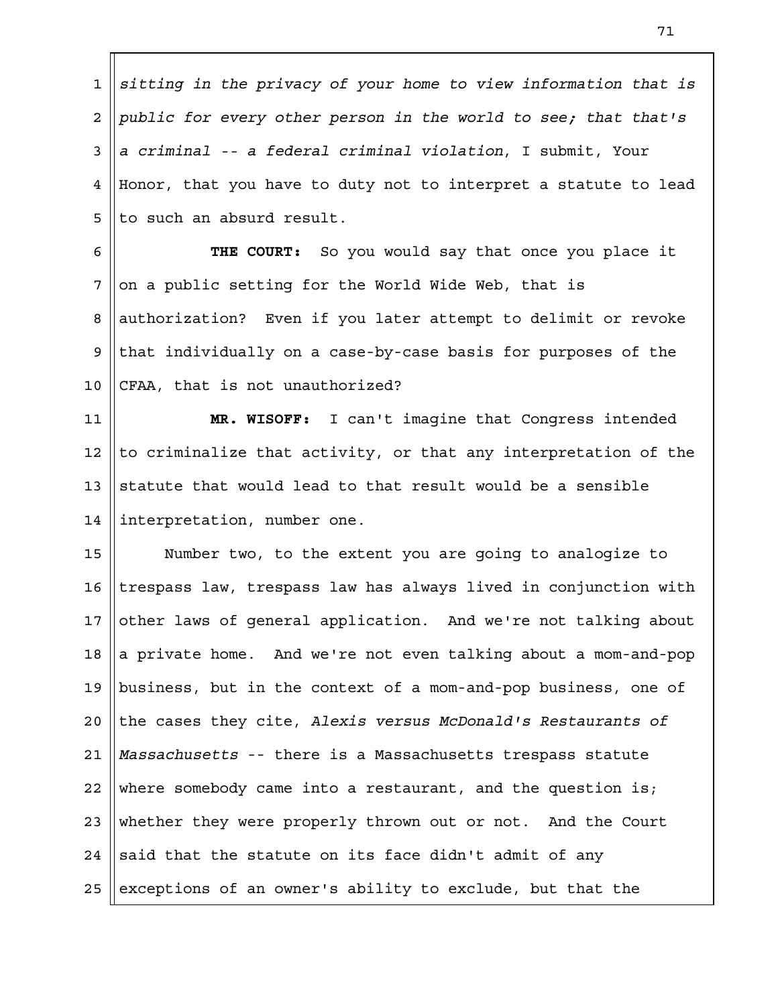*sitting in the privacy of your home to view information that is public for every other person in the world to see; that that's a criminal -- a federal criminal violation*, I submit, Your Honor, that you have to duty not to interpret a statute to lead to such an absurd result. 1 2 3 4 5

**THE COURT:** So you would say that once you place it on a public setting for the World Wide Web, that is authorization? Even if you later attempt to delimit or revoke that individually on a case-by-case basis for purposes of the CFAA, that is not unauthorized? 6 7 8 9 10

**MR. WISOFF:** I can't imagine that Congress intended to criminalize that activity, or that any interpretation of the statute that would lead to that result would be a sensible interpretation, number one. 11 12 13 14

Number two, to the extent you are going to analogize to trespass law, trespass law has always lived in conjunction with other laws of general application. And we're not talking about a private home. And we're not even talking about a mom-and-pop business, but in the context of a mom-and-pop business, one of the cases they cite, *Alexis versus McDonald's Restaurants of Massachusetts* -- there is a Massachusetts trespass statute where somebody came into a restaurant, and the question is; whether they were properly thrown out or not. And the Court said that the statute on its face didn't admit of any exceptions of an owner's ability to exclude, but that the 15 16 17 18 19  $2.0$ 21 22 23 24 25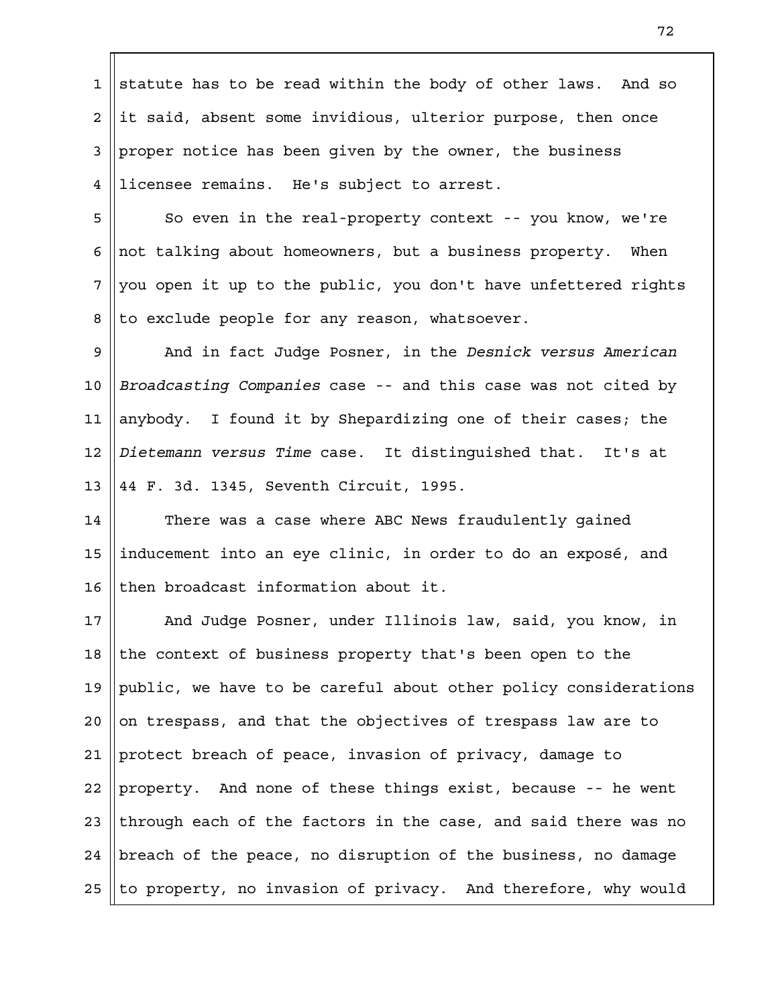statute has to be read within the body of other laws. And so it said, absent some invidious, ulterior purpose, then once proper notice has been given by the owner, the business licensee remains. He's subject to arrest. 1 2 3 4

So even in the real-property context -- you know, we're not talking about homeowners, but a business property. When you open it up to the public, you don't have unfettered rights to exclude people for any reason, whatsoever. 5 6 7 8

And in fact Judge Posner, in the *Desnick versus American Broadcasting Companies* case -- and this case was not cited by anybody. I found it by Shepardizing one of their cases; the *Dietemann versus Time* case. It distinguished that. It's at 44 F. 3d. 1345, Seventh Circuit, 1995. 9 10 11 12 13

There was a case where ABC News fraudulently gained inducement into an eye clinic, in order to do an exposé, and then broadcast information about it. 14 15 16

And Judge Posner, under Illinois law, said, you know, in the context of business property that's been open to the public, we have to be careful about other policy considerations on trespass, and that the objectives of trespass law are to protect breach of peace, invasion of privacy, damage to property. And none of these things exist, because -- he went through each of the factors in the case, and said there was no breach of the peace, no disruption of the business, no damage to property, no invasion of privacy. And therefore, why would 17 18 19  $2.0$ 21 22 23 24 25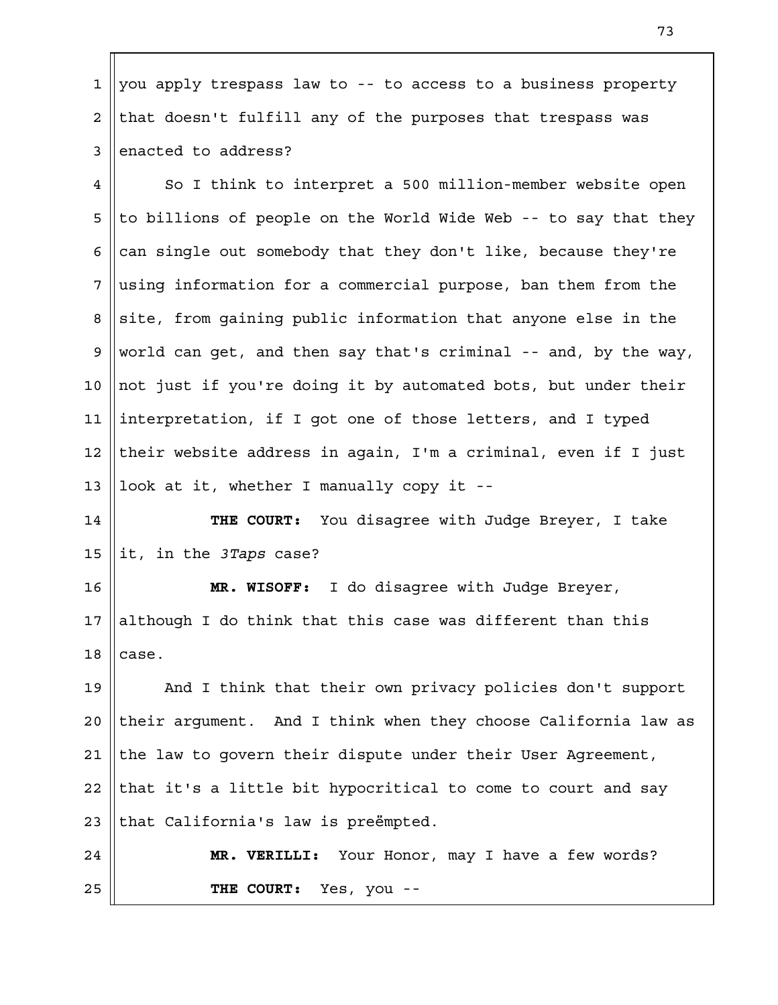you apply trespass law to -- to access to a business property that doesn't fulfill any of the purposes that trespass was enacted to address? 1 2 3

So I think to interpret a 500 million-member website open to billions of people on the World Wide Web -- to say that they can single out somebody that they don't like, because they're using information for a commercial purpose, ban them from the site, from gaining public information that anyone else in the world can get, and then say that's criminal -- and, by the way, not just if you're doing it by automated bots, but under their interpretation, if I got one of those letters, and I typed their website address in again, I'm a criminal, even if I just look at it, whether I manually copy it -- 4 5 6 7 8 9 10 11 12 13

**THE COURT:** You disagree with Judge Breyer, I take it, in the *3Taps* case? 14 15

**MR. WISOFF:** I do disagree with Judge Breyer, although I do think that this case was different than this case. 16 17 18

And I think that their own privacy policies don't support their argument. And I think when they choose California law as the law to govern their dispute under their User Agreement, that it's a little bit hypocritical to come to court and say that California's law is preëmpted. 19  $2.0$ 21 22 23

**MR. VERILLI:** Your Honor, may I have a few words? **THE COURT:** Yes, you -- 24 25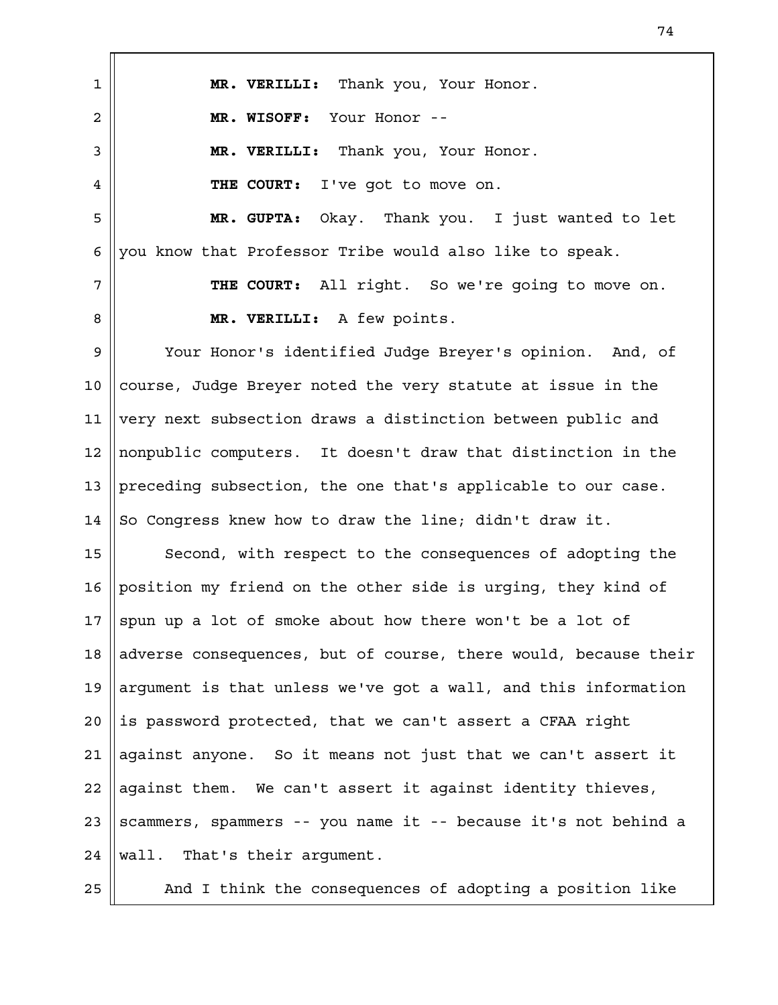**MR. VERILLI:** Thank you, Your Honor. **MR. WISOFF:** Your Honor -- **MR. VERILLI:** Thank you, Your Honor. **THE COURT:** I've got to move on. **MR. GUPTA:** Okay. Thank you. I just wanted to let you know that Professor Tribe would also like to speak. **THE COURT:** All right. So we're going to move on. **MR. VERILLI:** A few points. Your Honor's identified Judge Breyer's opinion. And, of course, Judge Breyer noted the very statute at issue in the very next subsection draws a distinction between public and nonpublic computers. It doesn't draw that distinction in the preceding subsection, the one that's applicable to our case. So Congress knew how to draw the line; didn't draw it. Second, with respect to the consequences of adopting the position my friend on the other side is urging, they kind of spun up a lot of smoke about how there won't be a lot of adverse consequences, but of course, there would, because their argument is that unless we've got a wall, and this information is password protected, that we can't assert a CFAA right against anyone. So it means not just that we can't assert it against them. We can't assert it against identity thieves, scammers, spammers -- you name it -- because it's not behind a wall. That's their argument. And I think the consequences of adopting a position like 1 2 3 4 5 6 7 8 9 10 11 12 13 14 15 16 17 18 19  $2.0$ 21 22 23 24 25

74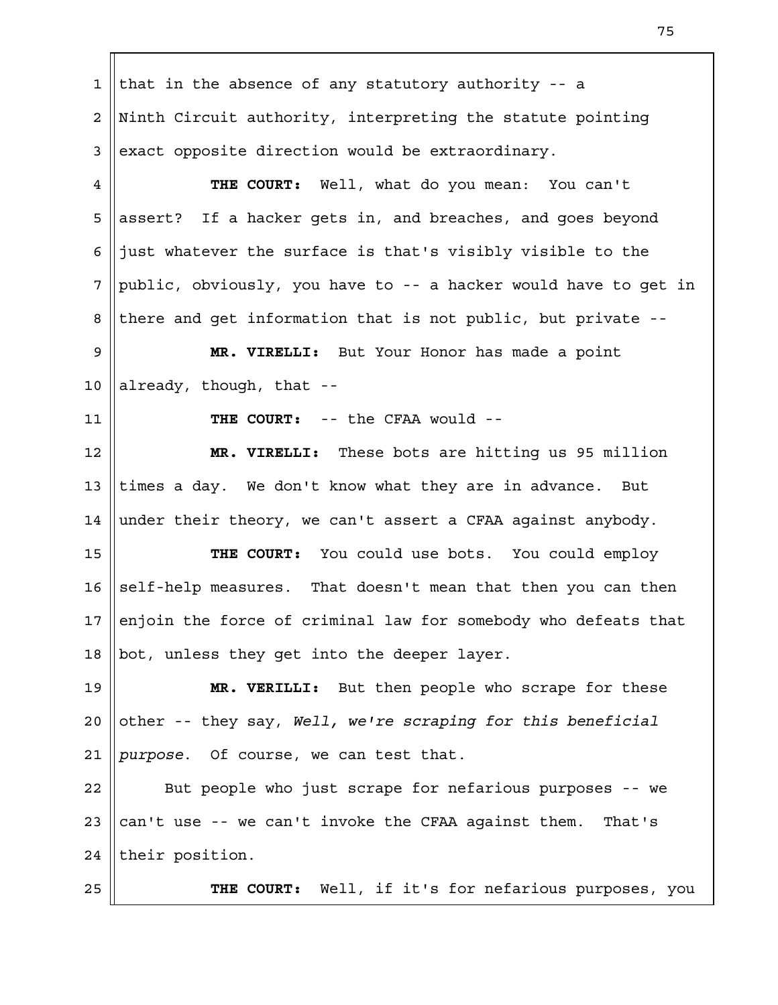that in the absence of any statutory authority -- a Ninth Circuit authority, interpreting the statute pointing exact opposite direction would be extraordinary. **THE COURT:** Well, what do you mean: You can't assert? If a hacker gets in, and breaches, and goes beyond just whatever the surface is that's visibly visible to the public, obviously, you have to -- a hacker would have to get in there and get information that is not public, but private -- **MR. VIRELLI:** But Your Honor has made a point already, though, that -- **THE COURT:** -- the CFAA would -- **MR. VIRELLI:** These bots are hitting us 95 million times a day. We don't know what they are in advance. But under their theory, we can't assert a CFAA against anybody. **THE COURT:** You could use bots. You could employ self-help measures. That doesn't mean that then you can then enjoin the force of criminal law for somebody who defeats that bot, unless they get into the deeper layer. **MR. VERILLI:** But then people who scrape for these other -- they say, *Well, we're scraping for this beneficial purpose*. Of course, we can test that. But people who just scrape for nefarious purposes -- we can't use -- we can't invoke the CFAA against them. That's their position. **THE COURT:** Well, if it's for nefarious purposes, you 1 2 3 4 5 6 7 8 9 10 11 12 13 14 15 16 17 18 19  $2.0$ 21 22 23 24 25

75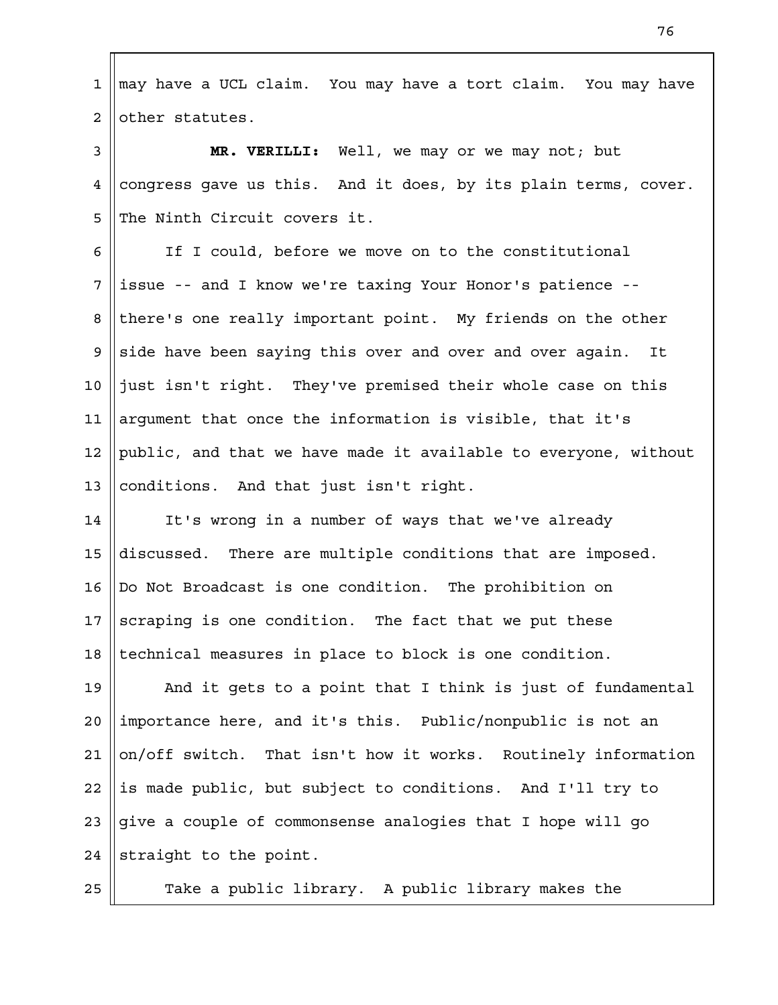may have a UCL claim. You may have a tort claim. You may have

other statutes. 2

1

25

**MR. VERILLI:** Well, we may or we may not; but congress gave us this. And it does, by its plain terms, cover. The Ninth Circuit covers it. 3 4 5

If I could, before we move on to the constitutional issue -- and I know we're taxing Your Honor's patience - there's one really important point. My friends on the other side have been saying this over and over and over again. It just isn't right. They've premised their whole case on this argument that once the information is visible, that it's public, and that we have made it available to everyone, without conditions. And that just isn't right. 6 7 8 9 10 11 12 13

It's wrong in a number of ways that we've already discussed. There are multiple conditions that are imposed. Do Not Broadcast is one condition. The prohibition on scraping is one condition. The fact that we put these technical measures in place to block is one condition. 14 15 16 17 18

And it gets to a point that I think is just of fundamental importance here, and it's this. Public/nonpublic is not an on/off switch. That isn't how it works. Routinely information is made public, but subject to conditions. And I'll try to give a couple of commonsense analogies that I hope will go straight to the point. 19  $2.0$ 21 22 23 24

Take a public library. A public library makes the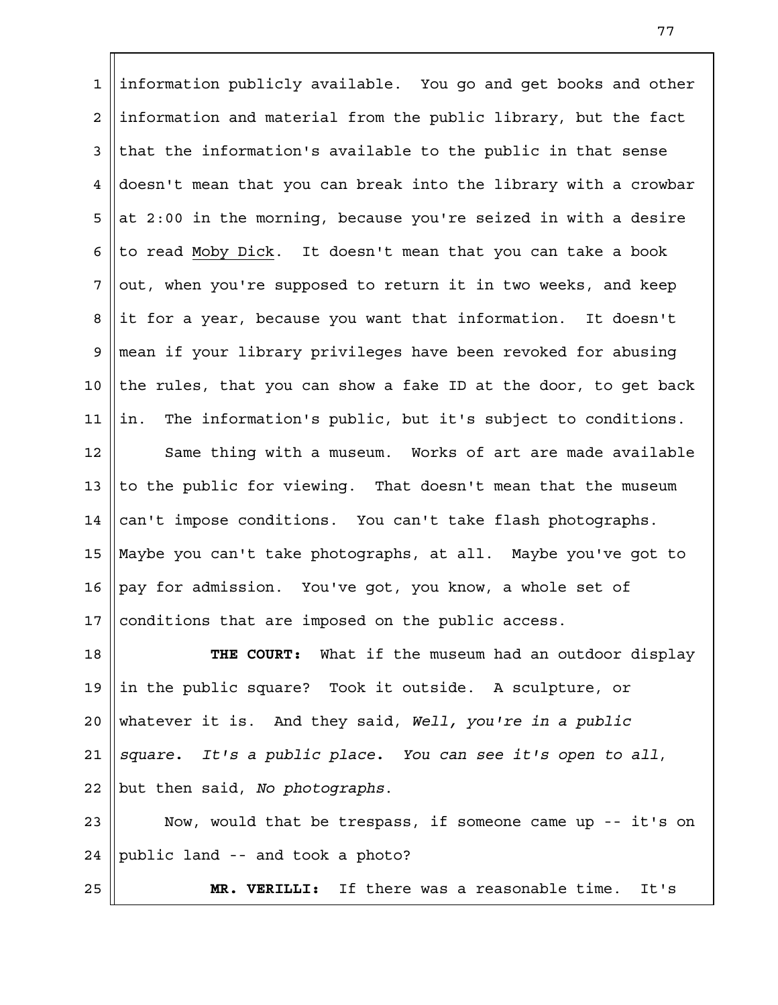information publicly available. You go and get books and other information and material from the public library, but the fact that the information's available to the public in that sense doesn't mean that you can break into the library with a crowbar at 2:00 in the morning, because you're seized in with a desire to read Moby Dick. It doesn't mean that you can take a book out, when you're supposed to return it in two weeks, and keep it for a year, because you want that information. It doesn't mean if your library privileges have been revoked for abusing the rules, that you can show a fake ID at the door, to get back in. The information's public, but it's subject to conditions. 1 2 3 4 5 6 7 8 9 10 11

Same thing with a museum. Works of art are made available to the public for viewing. That doesn't mean that the museum can't impose conditions. You can't take flash photographs. Maybe you can't take photographs, at all. Maybe you've got to pay for admission. You've got, you know, a whole set of conditions that are imposed on the public access. 12 13 14 15 16 17

**THE COURT:** What if the museum had an outdoor display in the public square? Took it outside. A sculpture, or whatever it is. And they said, *Well, you're in a public square. It's a public place. You can see it's open to all*, but then said, *No photographs*. 18 19  $2.0$ 21 22

Now, would that be trespass, if someone came up -- it's on public land -- and took a photo? 23 24

25

**MR. VERILLI:** If there was a reasonable time. It's

77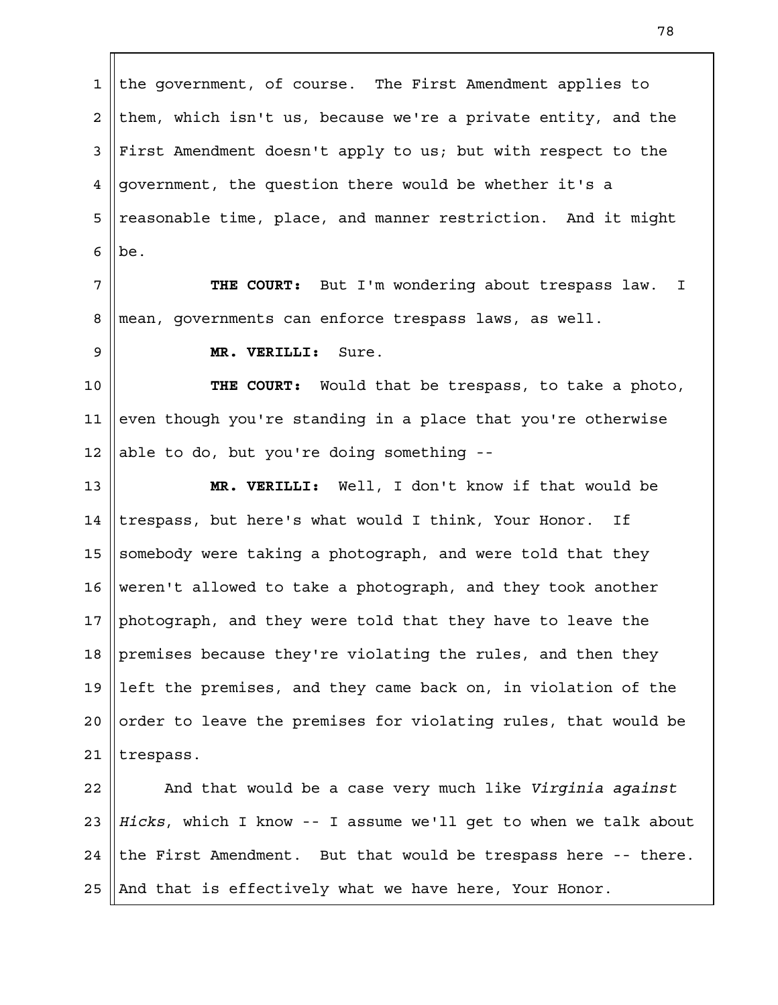the government, of course. The First Amendment applies to them, which isn't us, because we're a private entity, and the First Amendment doesn't apply to us; but with respect to the government, the question there would be whether it's a reasonable time, place, and manner restriction. And it might be. 1 2 3 4 5 6

**THE COURT:** But I'm wondering about trespass law. I mean, governments can enforce trespass laws, as well. 7 8

9

**MR. VERILLI:** Sure.

**THE COURT:** Would that be trespass, to take a photo, even though you're standing in a place that you're otherwise able to do, but you're doing something -- 10 11 12

**MR. VERILLI:** Well, I don't know if that would be trespass, but here's what would I think, Your Honor. If somebody were taking a photograph, and were told that they weren't allowed to take a photograph, and they took another photograph, and they were told that they have to leave the premises because they're violating the rules, and then they left the premises, and they came back on, in violation of the order to leave the premises for violating rules, that would be trespass. 13 14 15 16 17 18 19  $2.0$ 21

And that would be a case very much like *Virginia against Hicks*, which I know -- I assume we'll get to when we talk about the First Amendment. But that would be trespass here -- there. And that is effectively what we have here, Your Honor. 22 23 24 25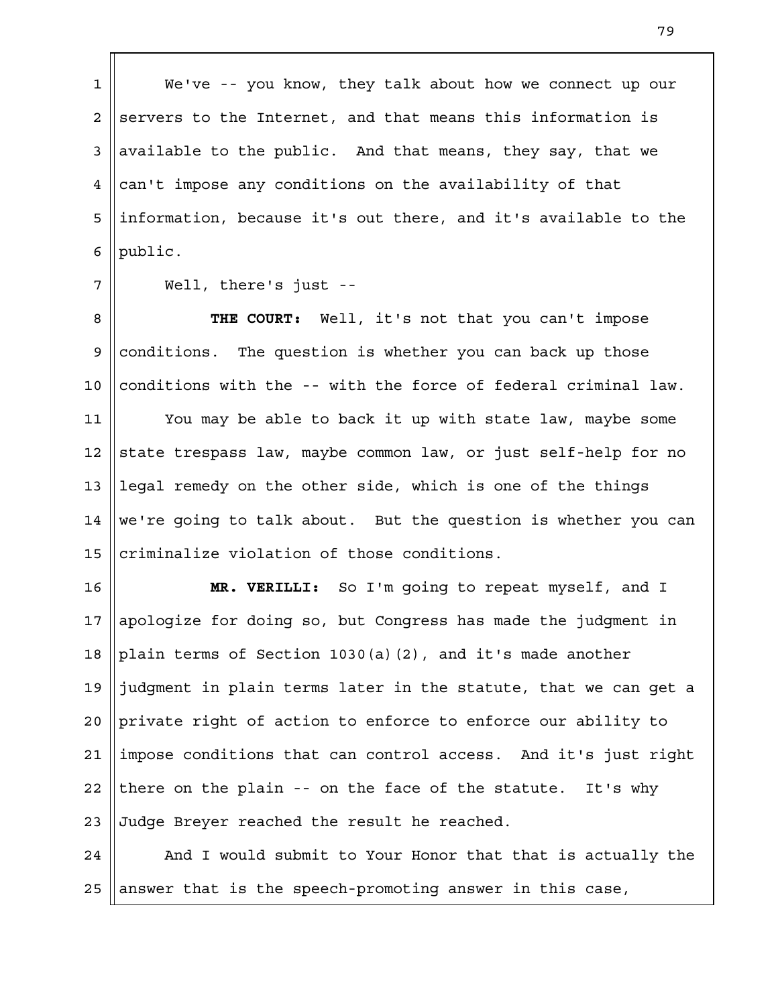We've -- you know, they talk about how we connect up our servers to the Internet, and that means this information is available to the public. And that means, they say, that we can't impose any conditions on the availability of that information, because it's out there, and it's available to the public. 1 2 3 4 5 6

7

Well, there's just --

**THE COURT:** Well, it's not that you can't impose conditions. The question is whether you can back up those conditions with the -- with the force of federal criminal law. 8 9 10

You may be able to back it up with state law, maybe some state trespass law, maybe common law, or just self-help for no legal remedy on the other side, which is one of the things we're going to talk about. But the question is whether you can criminalize violation of those conditions. 11 12 13 14 15

**MR. VERILLI:** So I'm going to repeat myself, and I apologize for doing so, but Congress has made the judgment in plain terms of Section 1030(a)(2), and it's made another judgment in plain terms later in the statute, that we can get a private right of action to enforce to enforce our ability to impose conditions that can control access. And it's just right there on the plain -- on the face of the statute. It's why Judge Breyer reached the result he reached. 16 17 18 19  $2.0$ 21 22 23

And I would submit to Your Honor that that is actually the answer that is the speech-promoting answer in this case, 24 25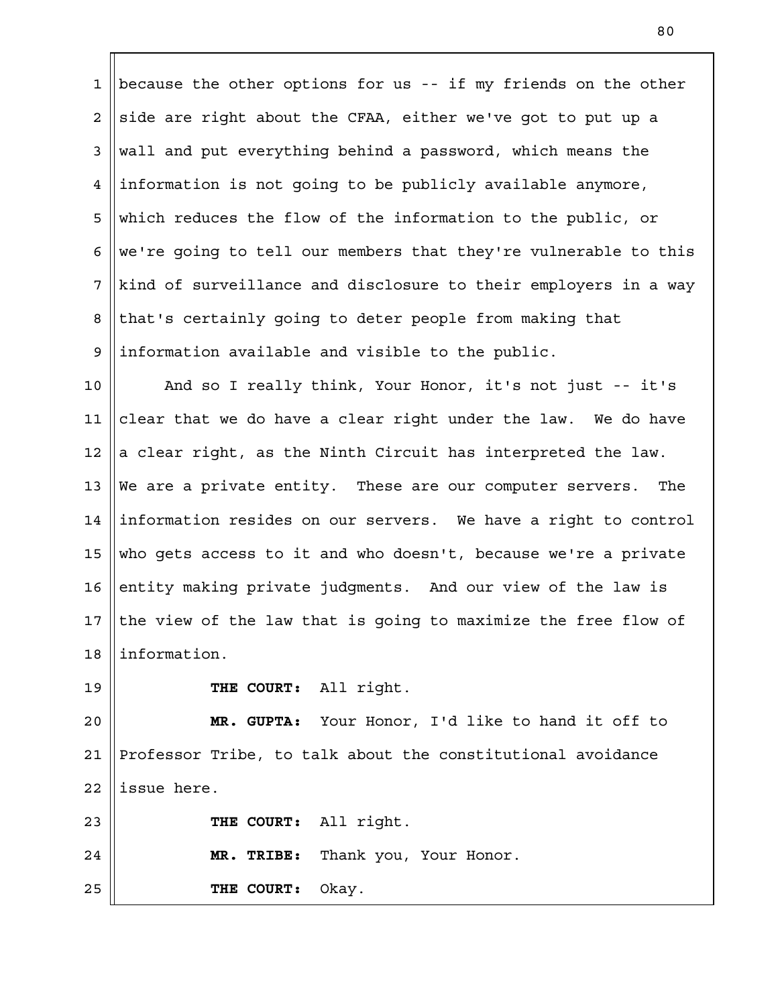because the other options for us -- if my friends on the other side are right about the CFAA, either we've got to put up a wall and put everything behind a password, which means the information is not going to be publicly available anymore, which reduces the flow of the information to the public, or we're going to tell our members that they're vulnerable to this kind of surveillance and disclosure to their employers in a way that's certainly going to deter people from making that information available and visible to the public. 1 2 3 4 5 6 7 8 9

And so I really think, Your Honor, it's not just -- it's clear that we do have a clear right under the law. We do have a clear right, as the Ninth Circuit has interpreted the law. We are a private entity. These are our computer servers. The information resides on our servers. We have a right to control who gets access to it and who doesn't, because we're a private entity making private judgments. And our view of the law is the view of the law that is going to maximize the free flow of information. 10 11 12 13 14 15 16 17 18

19

**THE COURT:** All right.

**MR. GUPTA:** Your Honor, I'd like to hand it off to Professor Tribe, to talk about the constitutional avoidance issue here.  $2.0$ 21 22

**THE COURT:** All right. **MR. TRIBE:** Thank you, Your Honor. 23 24

**THE COURT:** Okay. 25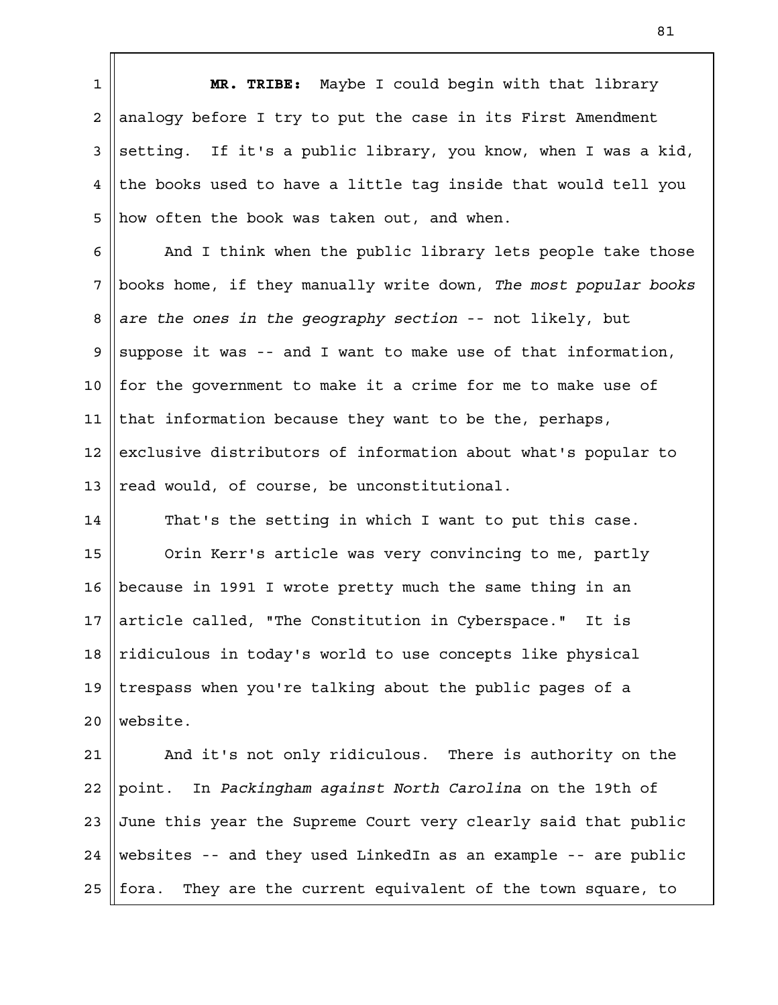**MR. TRIBE:** Maybe I could begin with that library analogy before I try to put the case in its First Amendment setting. If it's a public library, you know, when I was a kid, the books used to have a little tag inside that would tell you how often the book was taken out, and when. 1 2 3 4 5

And I think when the public library lets people take those books home, if they manually write down, *The most popular books are the ones in the geography section* -- not likely, but suppose it was -- and I want to make use of that information, for the government to make it a crime for me to make use of that information because they want to be the, perhaps, exclusive distributors of information about what's popular to read would, of course, be unconstitutional. 6 7 8 9 10 11 12 13

That's the setting in which I want to put this case. Orin Kerr's article was very convincing to me, partly because in 1991 I wrote pretty much the same thing in an article called, "The Constitution in Cyberspace." It is ridiculous in today's world to use concepts like physical trespass when you're talking about the public pages of a website. 14 15 16 17 18 19  $2.0$ 

And it's not only ridiculous. There is authority on the point. In *Packingham against North Carolina* on the 19th of June this year the Supreme Court very clearly said that public websites -- and they used LinkedIn as an example -- are public fora. They are the current equivalent of the town square, to 21 22 23 24 25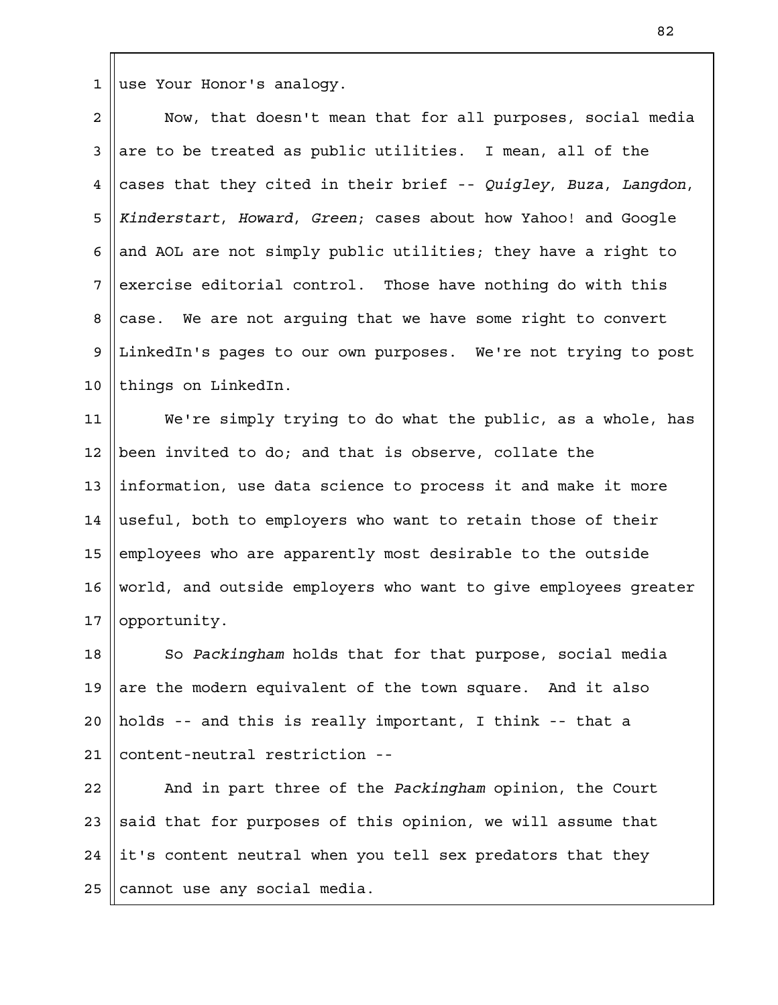use Your Honor's analogy. 1

Now, that doesn't mean that for all purposes, social media are to be treated as public utilities. I mean, all of the cases that they cited in their brief -- *Quigley*, *Buza*, *Langdon*, *Kinderstart*, *Howard*, *Green*; cases about how Yahoo! and Google and AOL are not simply public utilities; they have a right to exercise editorial control. Those have nothing do with this case. We are not arguing that we have some right to convert LinkedIn's pages to our own purposes. We're not trying to post things on LinkedIn. 2 3 4 5 6 7 8 9 10

We're simply trying to do what the public, as a whole, has been invited to do; and that is observe, collate the information, use data science to process it and make it more useful, both to employers who want to retain those of their employees who are apparently most desirable to the outside world, and outside employers who want to give employees greater opportunity. 11 12 13 14 15 16 17

So *Packingham* holds that for that purpose, social media are the modern equivalent of the town square. And it also holds -- and this is really important, I think -- that a content-neutral restriction -- 18 19  $2.0$ 21

And in part three of the *Packingham* opinion, the Court said that for purposes of this opinion, we will assume that it's content neutral when you tell sex predators that they cannot use any social media. 22 23 24 25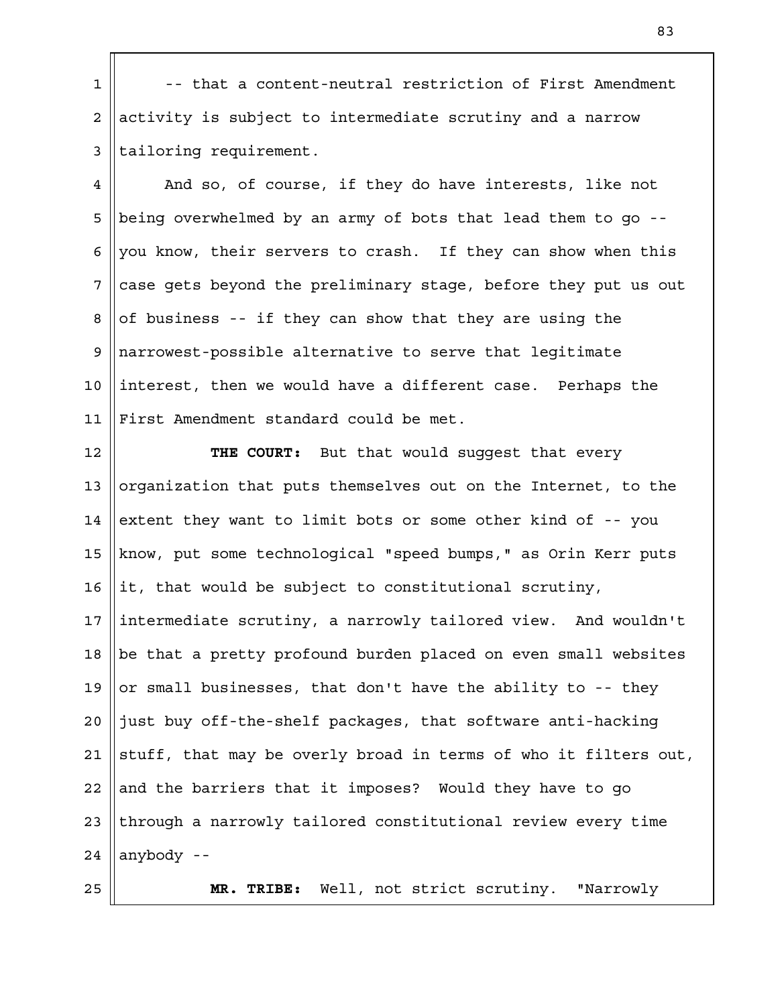-- that a content-neutral restriction of First Amendment activity is subject to intermediate scrutiny and a narrow tailoring requirement. 1 2 3

And so, of course, if they do have interests, like not being overwhelmed by an army of bots that lead them to go - you know, their servers to crash. If they can show when this case gets beyond the preliminary stage, before they put us out of business -- if they can show that they are using the narrowest-possible alternative to serve that legitimate interest, then we would have a different case. Perhaps the First Amendment standard could be met. 4 5 6 7 8 9 10 11

**THE COURT:** But that would suggest that every organization that puts themselves out on the Internet, to the extent they want to limit bots or some other kind of -- you know, put some technological "speed bumps," as Orin Kerr puts it, that would be subject to constitutional scrutiny, intermediate scrutiny, a narrowly tailored view. And wouldn't be that a pretty profound burden placed on even small websites or small businesses, that don't have the ability to -- they just buy off-the-shelf packages, that software anti-hacking stuff, that may be overly broad in terms of who it filters out, and the barriers that it imposes? Would they have to go through a narrowly tailored constitutional review every time anybody -- 12 13 14 15 16 17 18 19  $2.0$ 21 22 23 24

**MR. TRIBE:** Well, not strict scrutiny. "Narrowly

25

83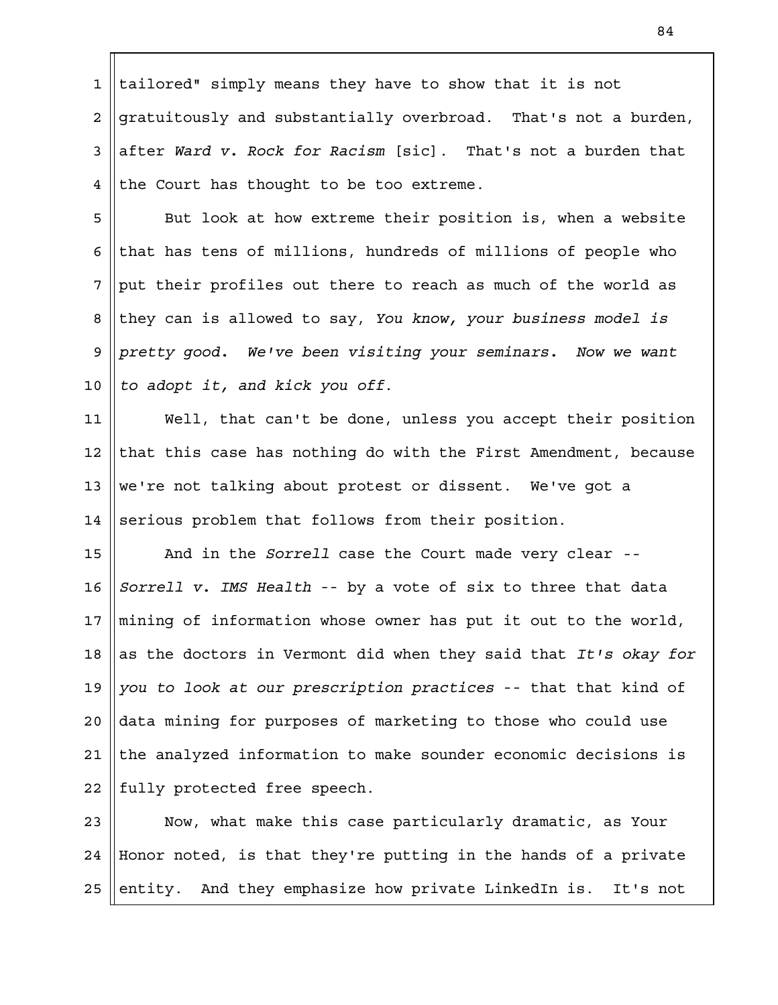tailored" simply means they have to show that it is not gratuitously and substantially overbroad. That's not a burden, after *Ward v. Rock for Racism* [sic]. That's not a burden that the Court has thought to be too extreme. 1 2 3 4

But look at how extreme their position is, when a website that has tens of millions, hundreds of millions of people who put their profiles out there to reach as much of the world as they can is allowed to say, *You know, your business model is pretty good. We've been visiting your seminars. Now we want to adopt it, and kick you off*. 5 6 7 8 9 10

Well, that can't be done, unless you accept their position that this case has nothing do with the First Amendment, because we're not talking about protest or dissent. We've got a serious problem that follows from their position. 11 12 13 14

And in the *Sorrell* case the Court made very clear *-- Sorrell v. IMS Health* -- by a vote of six to three that data mining of information whose owner has put it out to the world, as the doctors in Vermont did when they said that *It's okay for you to look at our prescription practices* -- that that kind of data mining for purposes of marketing to those who could use the analyzed information to make sounder economic decisions is fully protected free speech. 15 16 17 18 19  $2.0$ 21 22

Now, what make this case particularly dramatic, as Your Honor noted, is that they're putting in the hands of a private entity. And they emphasize how private LinkedIn is. It's not 23 24 25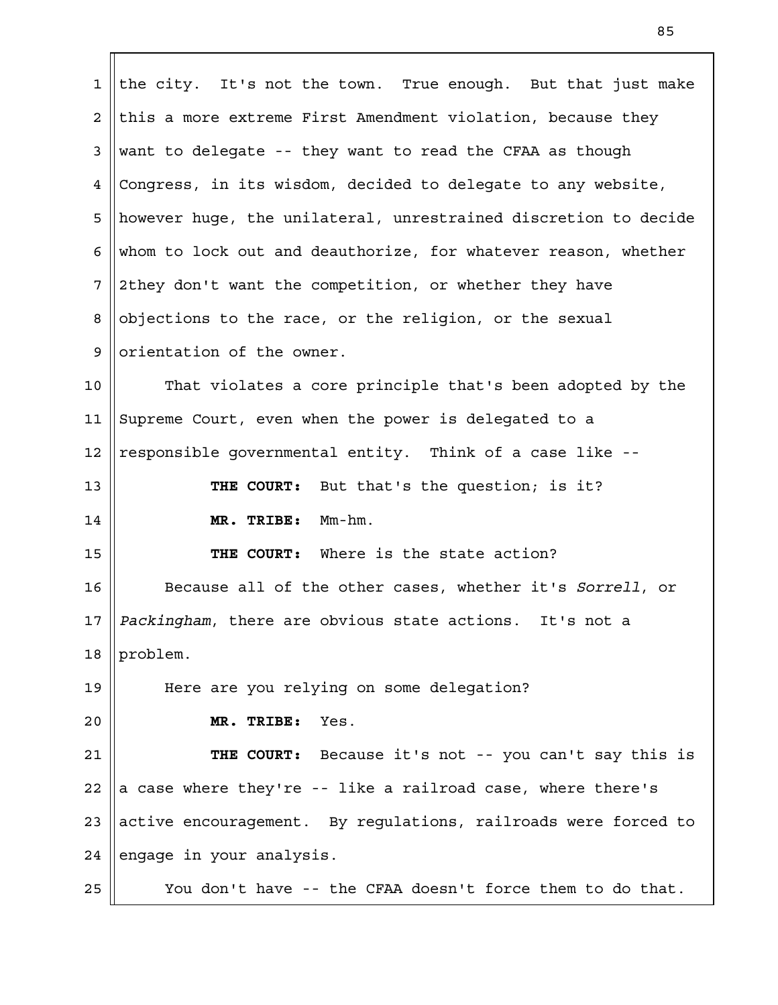the city. It's not the town. True enough. But that just make this a more extreme First Amendment violation, because they want to delegate -- they want to read the CFAA as though Congress, in its wisdom, decided to delegate to any website, however huge, the unilateral, unrestrained discretion to decide whom to lock out and deauthorize, for whatever reason, whether 2they don't want the competition, or whether they have objections to the race, or the religion, or the sexual orientation of the owner. That violates a core principle that's been adopted by the Supreme Court, even when the power is delegated to a responsible governmental entity. Think of a case like -- **THE COURT:** But that's the question; is it? **MR. TRIBE:** Mm-hm. **THE COURT:** Where is the state action? Because all of the other cases, whether it's *Sorrell*, or *Packingham*, there are obvious state actions. It's not a problem. Here are you relying on some delegation? **MR. TRIBE:** Yes. **THE COURT:** Because it's not -- you can't say this is a case where they're -- like a railroad case, where there's active encouragement. By regulations, railroads were forced to engage in your analysis. You don't have -- the CFAA doesn't force them to do that. 1 2 3 4 5 6 7 8 9 10 11 12 13 14 15 16 17 18 19  $2.0$ 21 22 23 24 25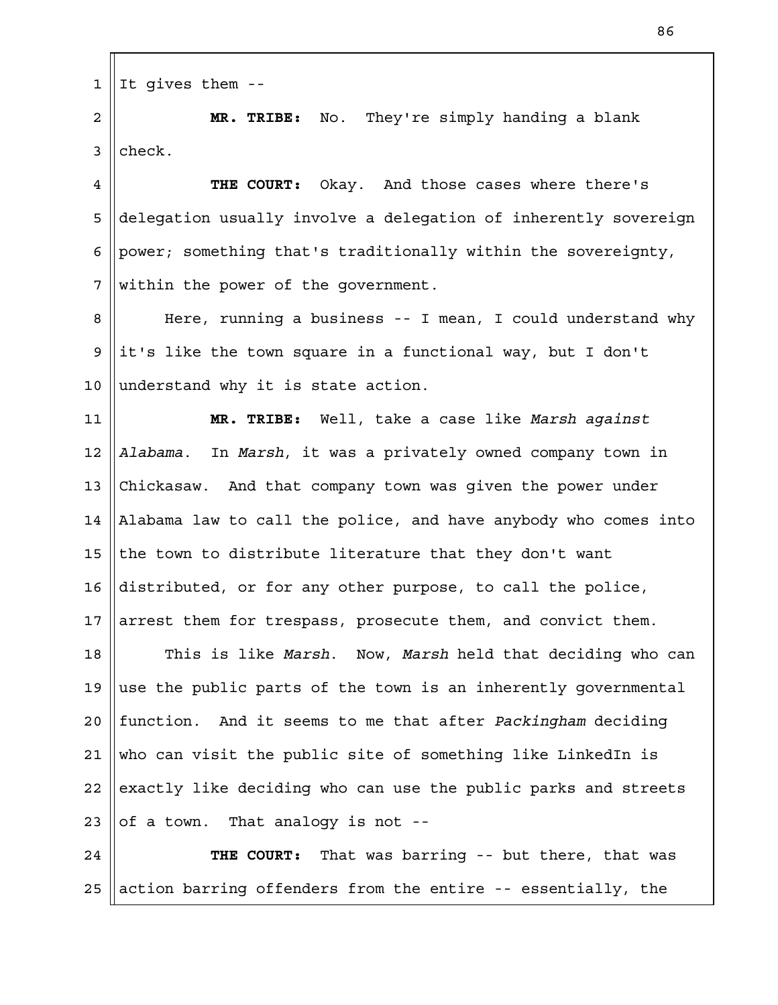It gives them -- 1

**MR. TRIBE:** No. They're simply handing a blank check. 2 3

**THE COURT:** Okay. And those cases where there's delegation usually involve a delegation of inherently sovereign power; something that's traditionally within the sovereignty, within the power of the government. 4 5 6 7

Here, running a business -- I mean, I could understand why it's like the town square in a functional way, but I don't understand why it is state action. 8 9 10

**MR. TRIBE:** Well, take a case like *Marsh against Alabama*. In *Marsh*, it was a privately owned company town in Chickasaw. And that company town was given the power under Alabama law to call the police, and have anybody who comes into the town to distribute literature that they don't want distributed, or for any other purpose, to call the police, arrest them for trespass, prosecute them, and convict them. 11 12 13 14 15 16 17

This is like *Marsh*. Now, *Marsh* held that deciding who can use the public parts of the town is an inherently governmental function. And it seems to me that after *Packingham* deciding who can visit the public site of something like LinkedIn is exactly like deciding who can use the public parks and streets of a town. That analogy is not -- 18 19  $2.0$ 21 22 23

**THE COURT:** That was barring -- but there, that was action barring offenders from the entire -- essentially, the 24 25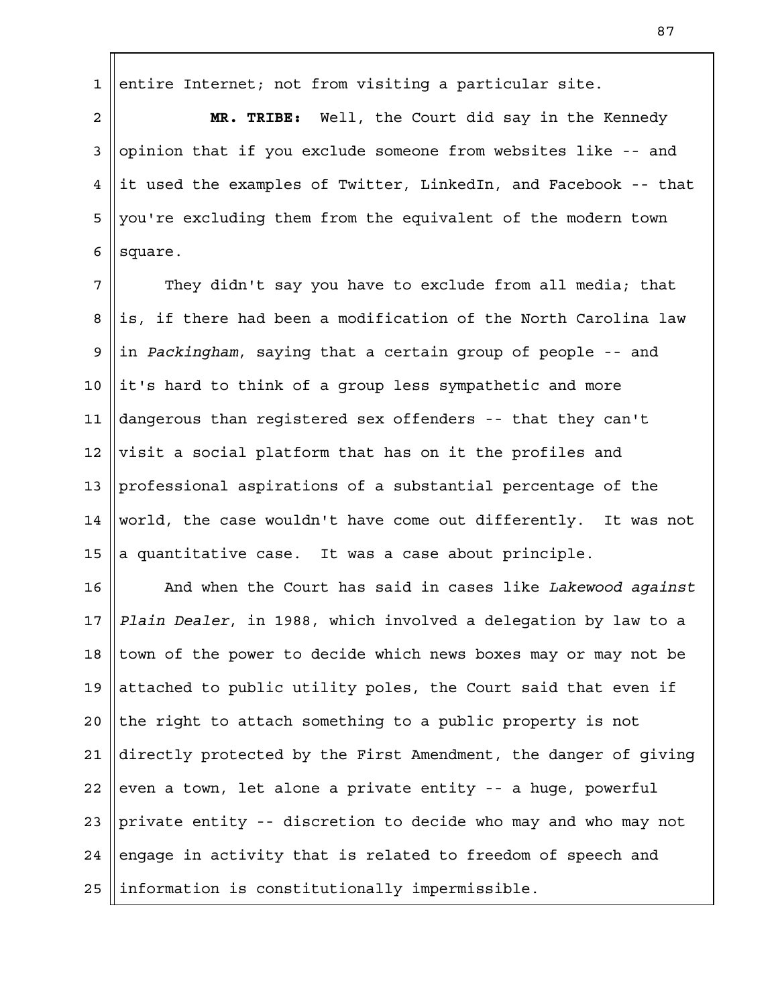entire Internet; not from visiting a particular site. 1

**MR. TRIBE:** Well, the Court did say in the Kennedy opinion that if you exclude someone from websites like -- and it used the examples of Twitter, LinkedIn, and Facebook -- that you're excluding them from the equivalent of the modern town square. 2 3 4 5 6

They didn't say you have to exclude from all media; that is, if there had been a modification of the North Carolina law in *Packingham*, saying that a certain group of people -- and it's hard to think of a group less sympathetic and more dangerous than registered sex offenders -- that they can't visit a social platform that has on it the profiles and professional aspirations of a substantial percentage of the world, the case wouldn't have come out differently. It was not a quantitative case. It was a case about principle. 7 8 9 10 11 12 13 14 15

And when the Court has said in cases like *Lakewood against Plain Dealer*, in 1988, which involved a delegation by law to a town of the power to decide which news boxes may or may not be attached to public utility poles, the Court said that even if the right to attach something to a public property is not directly protected by the First Amendment, the danger of giving even a town, let alone a private entity -- a huge, powerful private entity -- discretion to decide who may and who may not engage in activity that is related to freedom of speech and information is constitutionally impermissible. 16 17 18 19  $2.0$ 21 22 23 24 25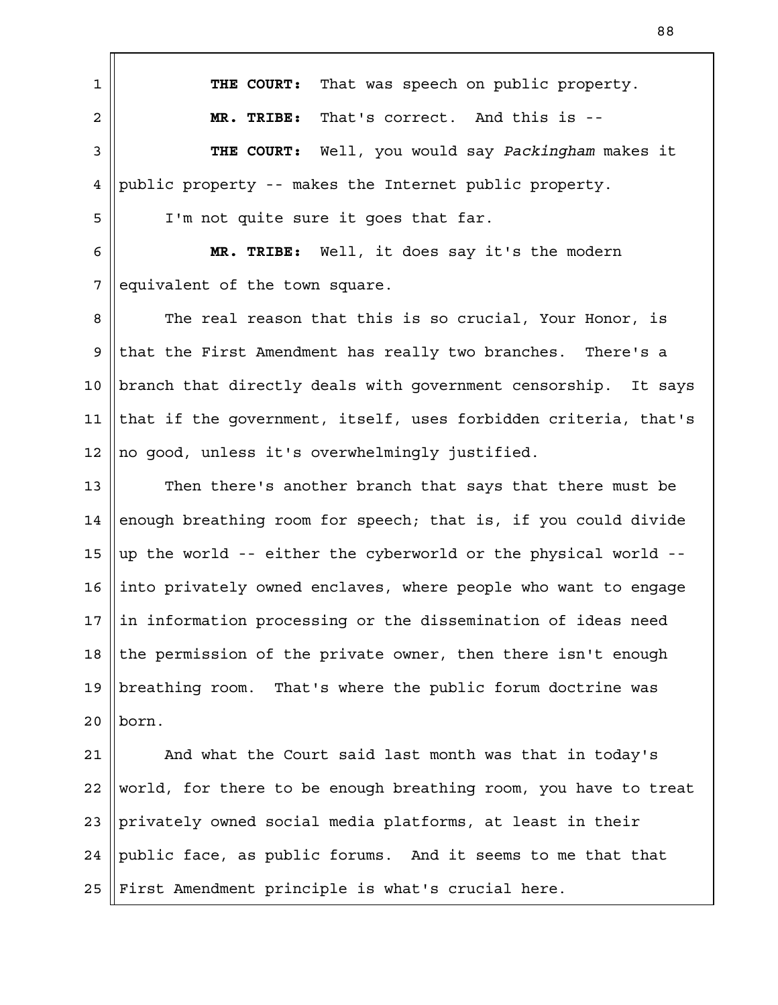**THE COURT:** That was speech on public property. **MR. TRIBE:** That's correct. And this is -- **THE COURT:** Well, you would say *Packingham* makes it public property -- makes the Internet public property. I'm not quite sure it goes that far. **MR. TRIBE:** Well, it does say it's the modern equivalent of the town square. The real reason that this is so crucial, Your Honor, is that the First Amendment has really two branches. There's a branch that directly deals with government censorship. It says that if the government, itself, uses forbidden criteria, that's no good, unless it's overwhelmingly justified. Then there's another branch that says that there must be enough breathing room for speech; that is, if you could divide up the world -- either the cyberworld or the physical world - into privately owned enclaves, where people who want to engage in information processing or the dissemination of ideas need the permission of the private owner, then there isn't enough breathing room. That's where the public forum doctrine was born. And what the Court said last month was that in today's world, for there to be enough breathing room, you have to treat privately owned social media platforms, at least in their public face, as public forums. And it seems to me that that First Amendment principle is what's crucial here. 1 2 3 4 5 6 7 8 9 10 11 12 13 14 15 16 17 18 19  $2.0$ 21 22 23 24 25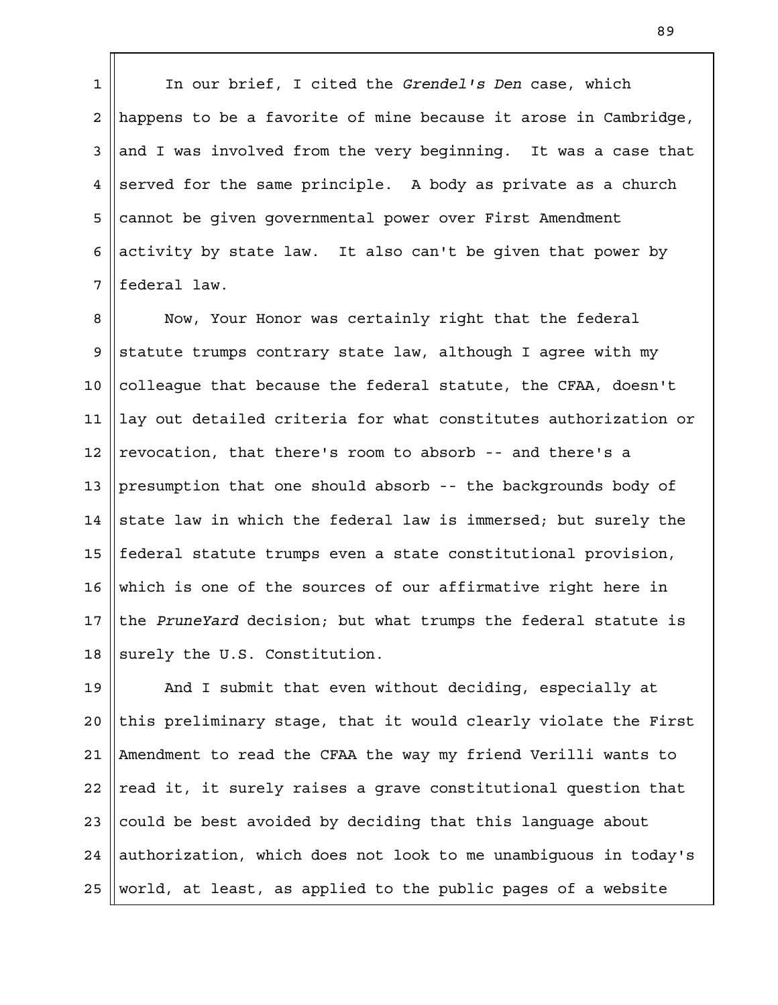In our brief, I cited the *Grendel's Den* case, which happens to be a favorite of mine because it arose in Cambridge, and I was involved from the very beginning. It was a case that served for the same principle. A body as private as a church cannot be given governmental power over First Amendment activity by state law. It also can't be given that power by federal law. 1 2 3 4 5 6 7

Now, Your Honor was certainly right that the federal statute trumps contrary state law, although I agree with my colleague that because the federal statute, the CFAA, doesn't lay out detailed criteria for what constitutes authorization or revocation, that there's room to absorb -- and there's a presumption that one should absorb -- the backgrounds body of state law in which the federal law is immersed; but surely the federal statute trumps even a state constitutional provision, which is one of the sources of our affirmative right here in the *PruneYard* decision; but what trumps the federal statute is surely the U.S. Constitution. 8 9 10 11 12 13 14 15 16 17 18

And I submit that even without deciding, especially at this preliminary stage, that it would clearly violate the First Amendment to read the CFAA the way my friend Verilli wants to read it, it surely raises a grave constitutional question that could be best avoided by deciding that this language about authorization, which does not look to me unambiguous in today's world, at least, as applied to the public pages of a website 19  $2.0$ 21 22 23 24 25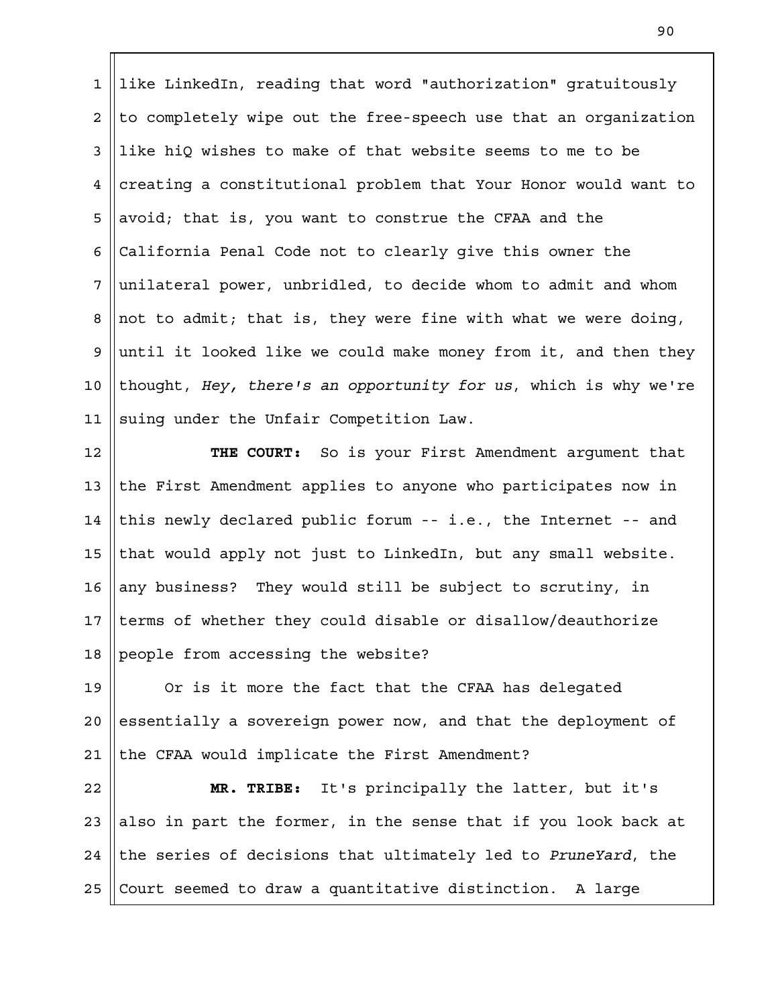like LinkedIn, reading that word "authorization" gratuitously to completely wipe out the free-speech use that an organization like hiQ wishes to make of that website seems to me to be creating a constitutional problem that Your Honor would want to avoid; that is, you want to construe the CFAA and the California Penal Code not to clearly give this owner the unilateral power, unbridled, to decide whom to admit and whom not to admit; that is, they were fine with what we were doing, until it looked like we could make money from it, and then they thought, *Hey, there's an opportunity for us*, which is why we're suing under the Unfair Competition Law. 1 2 3 4 5 6 7 8 9 10 11

**THE COURT:** So is your First Amendment argument that the First Amendment applies to anyone who participates now in this newly declared public forum -- i.e., the Internet -- and that would apply not just to LinkedIn, but any small website. any business? They would still be subject to scrutiny, in terms of whether they could disable or disallow/deauthorize people from accessing the website? 12 13 14 15 16 17 18

Or is it more the fact that the CFAA has delegated essentially a sovereign power now, and that the deployment of the CFAA would implicate the First Amendment? 19  $2.0$ 21

**MR. TRIBE:** It's principally the latter, but it's also in part the former, in the sense that if you look back at the series of decisions that ultimately led to *PruneYard*, the Court seemed to draw a quantitative distinction. A large 22 23 24 25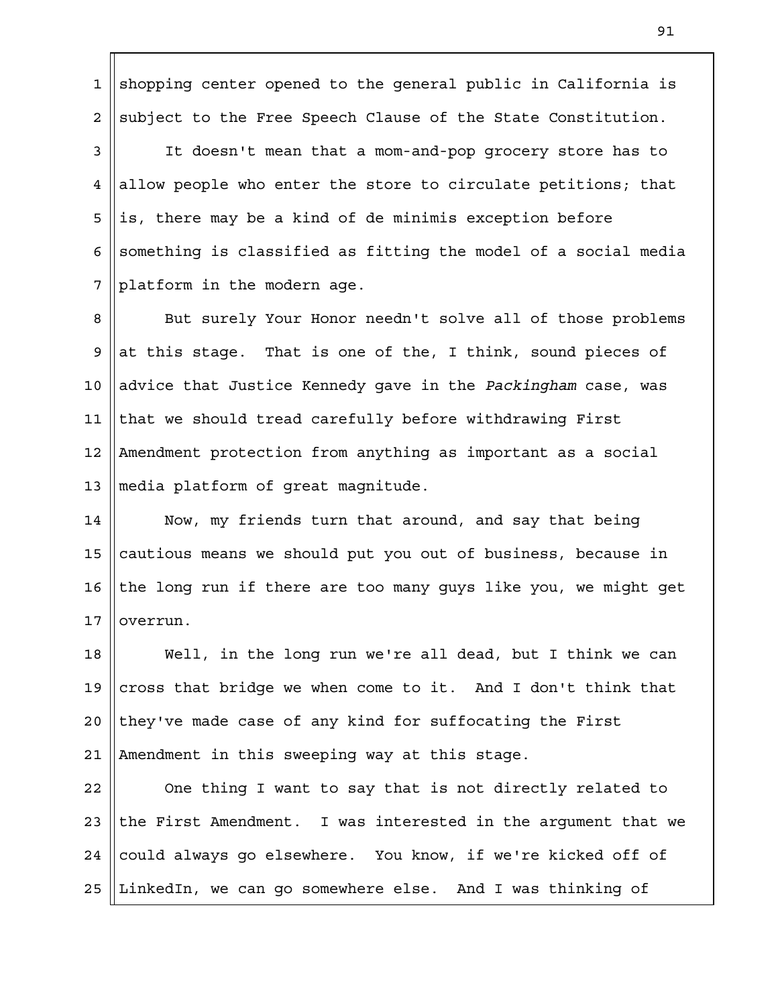shopping center opened to the general public in California is subject to the Free Speech Clause of the State Constitution. 1 2

It doesn't mean that a mom-and-pop grocery store has to allow people who enter the store to circulate petitions; that is, there may be a kind of de minimis exception before something is classified as fitting the model of a social media platform in the modern age. 3 4 5 6 7

But surely Your Honor needn't solve all of those problems at this stage. That is one of the, I think, sound pieces of advice that Justice Kennedy gave in the *Packingham* case, was that we should tread carefully before withdrawing First Amendment protection from anything as important as a social media platform of great magnitude. 8 9 10 11 12 13

Now, my friends turn that around, and say that being cautious means we should put you out of business, because in the long run if there are too many guys like you, we might get overrun. 14 15 16 17

Well, in the long run we're all dead, but I think we can cross that bridge we when come to it. And I don't think that they've made case of any kind for suffocating the First Amendment in this sweeping way at this stage. 18 19  $2.0$ 21

One thing I want to say that is not directly related to the First Amendment. I was interested in the argument that we could always go elsewhere. You know, if we're kicked off of LinkedIn, we can go somewhere else. And I was thinking of 22 23 24 25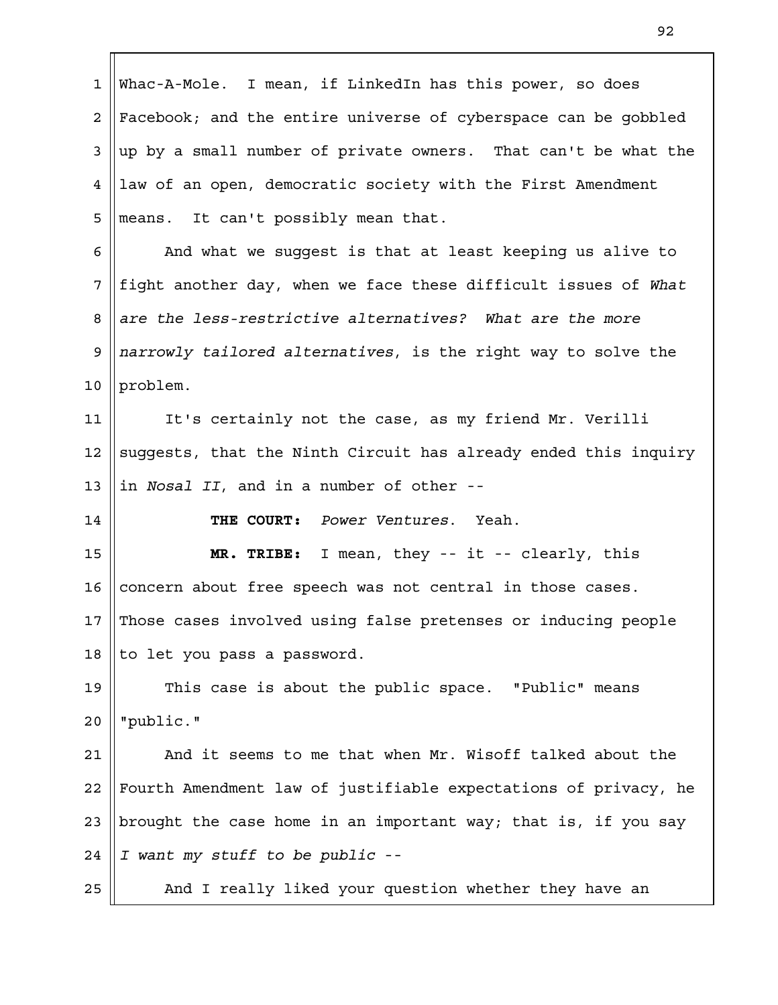| $\mathbf{1}$    | Whac-A-Mole. I mean, if LinkedIn has this power, so does        |
|-----------------|-----------------------------------------------------------------|
| $\overline{a}$  | Facebook; and the entire universe of cyberspace can be gobbled  |
| 3               | up by a small number of private owners. That can't be what the  |
| 4               | law of an open, democratic society with the First Amendment     |
| 5               | means. It can't possibly mean that.                             |
| 6               | And what we suggest is that at least keeping us alive to        |
| 7               | fight another day, when we face these difficult issues of What  |
| 8               | are the less-restrictive alternatives? What are the more        |
| 9               | narrowly tailored alternatives, is the right way to solve the   |
| 10              | problem.                                                        |
| 11              | It's certainly not the case, as my friend Mr. Verilli           |
| 12              | suggests, that the Ninth Circuit has already ended this inquiry |
| 13              | in Nosal II, and in a number of other --                        |
| 14              | THE COURT: Power Ventures. Yeah.                                |
| 15              | MR. TRIBE: I mean, they -- it -- clearly, this                  |
| 16              | concern about free speech was not central in those cases.       |
| 17 <sup>1</sup> | Those cases involved using false pretenses or inducing people   |
| 18              | to let you pass a password.                                     |
| 19              | This case is about the public space. "Public" means             |
| 20              | "public."                                                       |
| 21              | And it seems to me that when Mr. Wisoff talked about the        |
| 22              | Fourth Amendment law of justifiable expectations of privacy, he |
| 23              | brought the case home in an important way; that is, if you say  |
| 24              | I want my stuff to be public --                                 |
| 25              | And I really liked your question whether they have an           |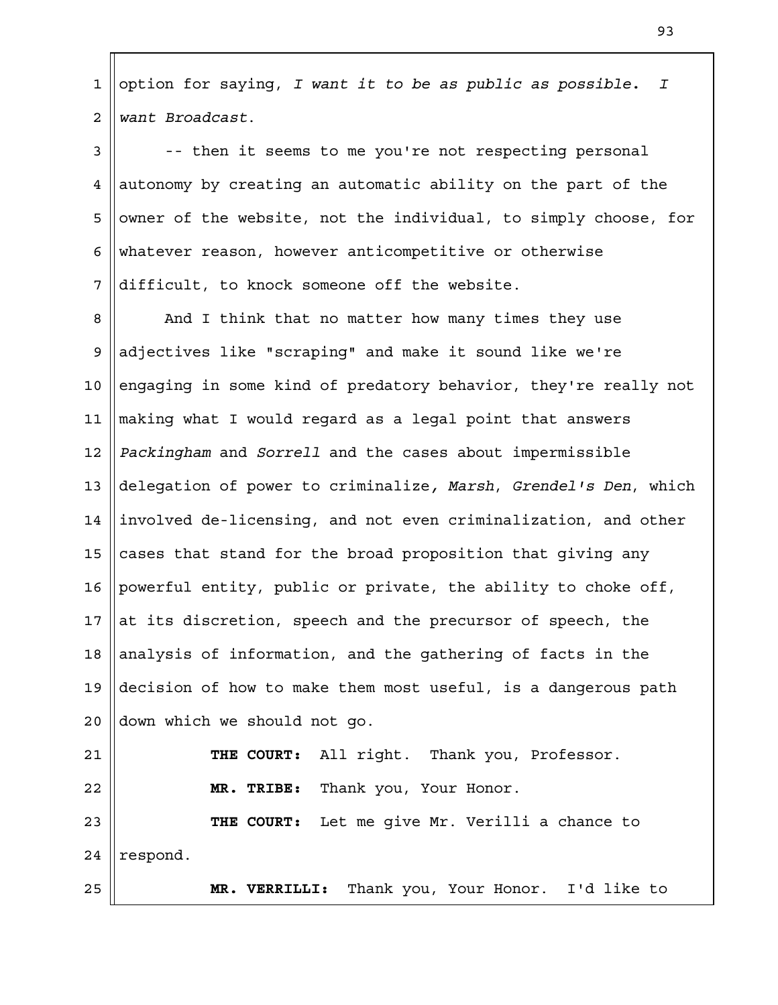option for saying, *I want it to be as public as possible. I want Broadcast*. 1 2

-- then it seems to me you're not respecting personal autonomy by creating an automatic ability on the part of the owner of the website, not the individual, to simply choose, for whatever reason, however anticompetitive or otherwise difficult, to knock someone off the website. 3 4 5 6 7

And I think that no matter how many times they use adjectives like "scraping" and make it sound like we're engaging in some kind of predatory behavior, they're really not making what I would regard as a legal point that answers *Packingham* and *Sorrell* and the cases about impermissible delegation of power to criminalize*, Marsh*, *Grendel's Den*, which involved de-licensing, and not even criminalization, and other cases that stand for the broad proposition that giving any powerful entity, public or private, the ability to choke off, at its discretion, speech and the precursor of speech, the analysis of information, and the gathering of facts in the decision of how to make them most useful, is a dangerous path down which we should not go. **THE COURT:** All right. Thank you, Professor. **MR. TRIBE:** Thank you, Your Honor. **THE COURT:** Let me give Mr. Verilli a chance to respond. 8 9 10 11 12 13 14 15 16 17 18 19  $2.0$ 21 22 23 24

**MR. VERRILLI:** Thank you, Your Honor. I'd like to

25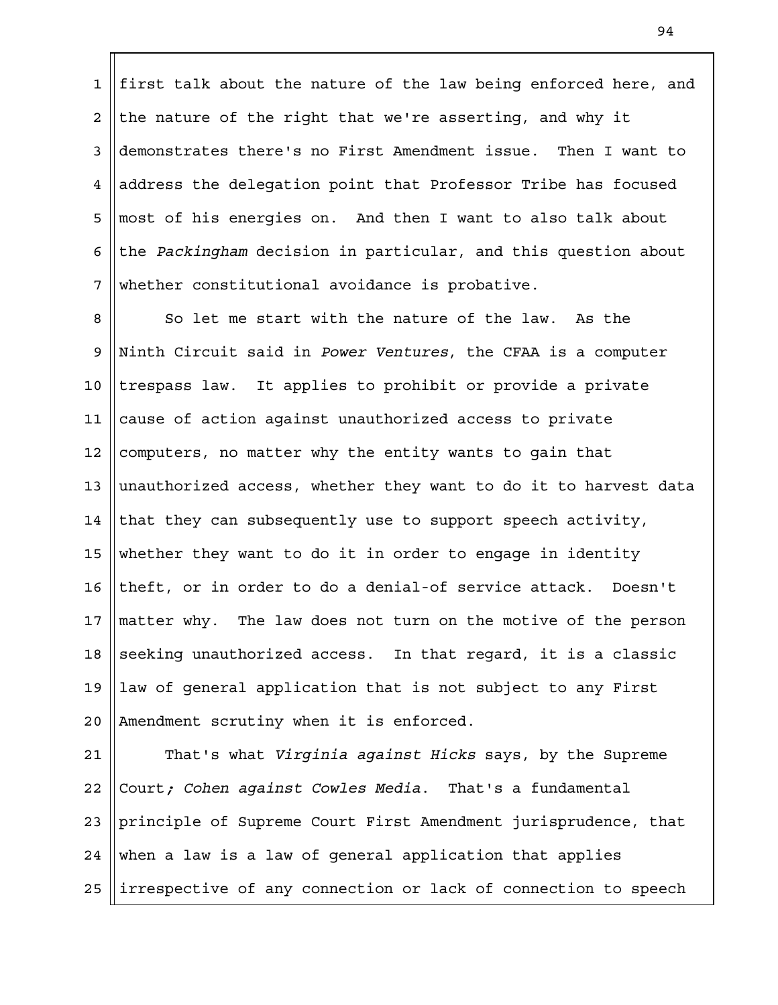first talk about the nature of the law being enforced here, and the nature of the right that we're asserting, and why it demonstrates there's no First Amendment issue. Then I want to address the delegation point that Professor Tribe has focused most of his energies on. And then I want to also talk about the *Packingham* decision in particular, and this question about whether constitutional avoidance is probative. 1 2 3 4 5 6 7

So let me start with the nature of the law. As the Ninth Circuit said in *Power Ventures*, the CFAA is a computer trespass law. It applies to prohibit or provide a private cause of action against unauthorized access to private computers, no matter why the entity wants to gain that unauthorized access, whether they want to do it to harvest data that they can subsequently use to support speech activity, whether they want to do it in order to engage in identity theft, or in order to do a denial-of service attack. Doesn't matter why. The law does not turn on the motive of the person seeking unauthorized access. In that regard, it is a classic law of general application that is not subject to any First Amendment scrutiny when it is enforced. 8 9 10 11 12 13 14 15 16 17 18 19  $2.0$ 

That's what *Virginia against Hicks* says, by the Supreme Court*; Cohen against Cowles Media*. That's a fundamental principle of Supreme Court First Amendment jurisprudence, that when a law is a law of general application that applies irrespective of any connection or lack of connection to speech 21 22 23 24 25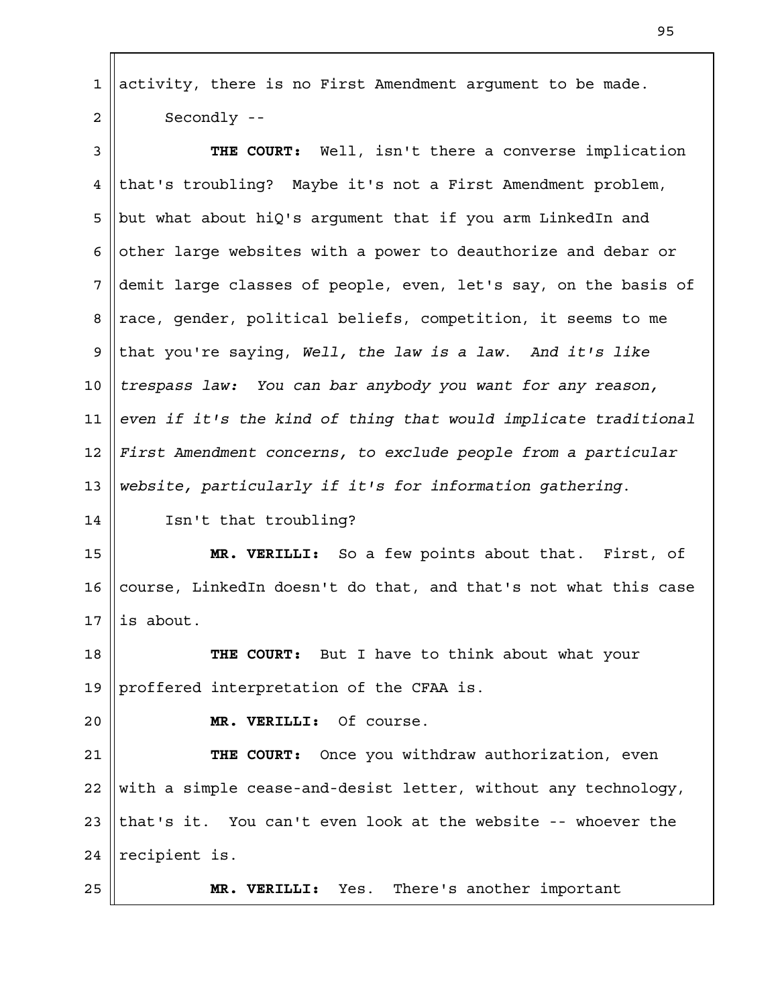activity, there is no First Amendment argument to be made. Secondly -- 1 2

**THE COURT:** Well, isn't there a converse implication that's troubling? Maybe it's not a First Amendment problem, but what about hiQ's argument that if you arm LinkedIn and other large websites with a power to deauthorize and debar or demit large classes of people, even, let's say, on the basis of race, gender, political beliefs, competition, it seems to me that you're saying, *Well, the law is a law*. *And it's like trespass law: You can bar anybody you want for any reason, even if it's the kind of thing that would implicate traditional First Amendment concerns, to exclude people from a particular website, particularly if it's for information gathering*. 3 4 5 6 7 8 9 10 11 12 13

Isn't that troubling? 14

**MR. VERILLI:** So a few points about that. First, of course, LinkedIn doesn't do that, and that's not what this case is about. 15 16 17

**THE COURT:** But I have to think about what your proffered interpretation of the CFAA is. 18 19

 $2.0$ 

**MR. VERILLI:** Of course.

**THE COURT:** Once you withdraw authorization, even with a simple cease-and-desist letter, without any technology, that's it. You can't even look at the website -- whoever the recipient is. 21 22 23 24

25

**MR. VERILLI:** Yes. There's another important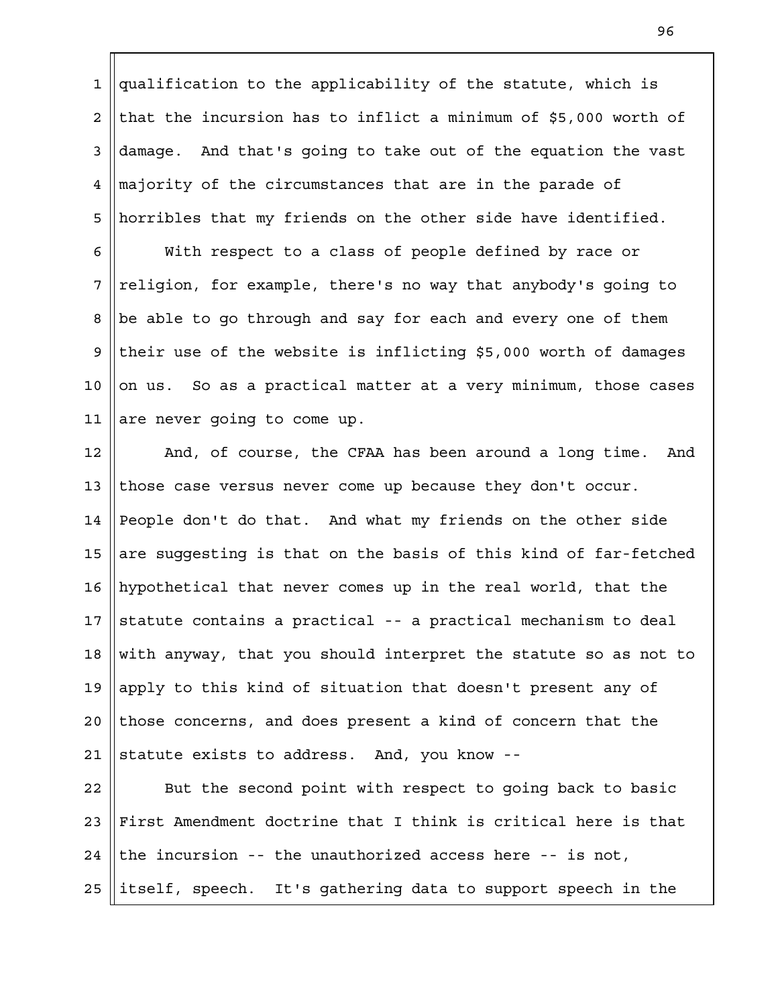qualification to the applicability of the statute, which is that the incursion has to inflict a minimum of \$5,000 worth of damage. And that's going to take out of the equation the vast majority of the circumstances that are in the parade of horribles that my friends on the other side have identified. 1 2 3 4 5

With respect to a class of people defined by race or religion, for example, there's no way that anybody's going to be able to go through and say for each and every one of them their use of the website is inflicting \$5,000 worth of damages on us. So as a practical matter at a very minimum, those cases are never going to come up. 6 7 8 9 10 11

And, of course, the CFAA has been around a long time. And those case versus never come up because they don't occur. People don't do that. And what my friends on the other side are suggesting is that on the basis of this kind of far-fetched hypothetical that never comes up in the real world, that the statute contains a practical -- a practical mechanism to deal with anyway, that you should interpret the statute so as not to apply to this kind of situation that doesn't present any of those concerns, and does present a kind of concern that the statute exists to address. And, you know -- 12 13 14 15 16 17 18 19  $2.0$ 21

But the second point with respect to going back to basic First Amendment doctrine that I think is critical here is that the incursion -- the unauthorized access here -- is not, itself, speech. It's gathering data to support speech in the 22 23 24 25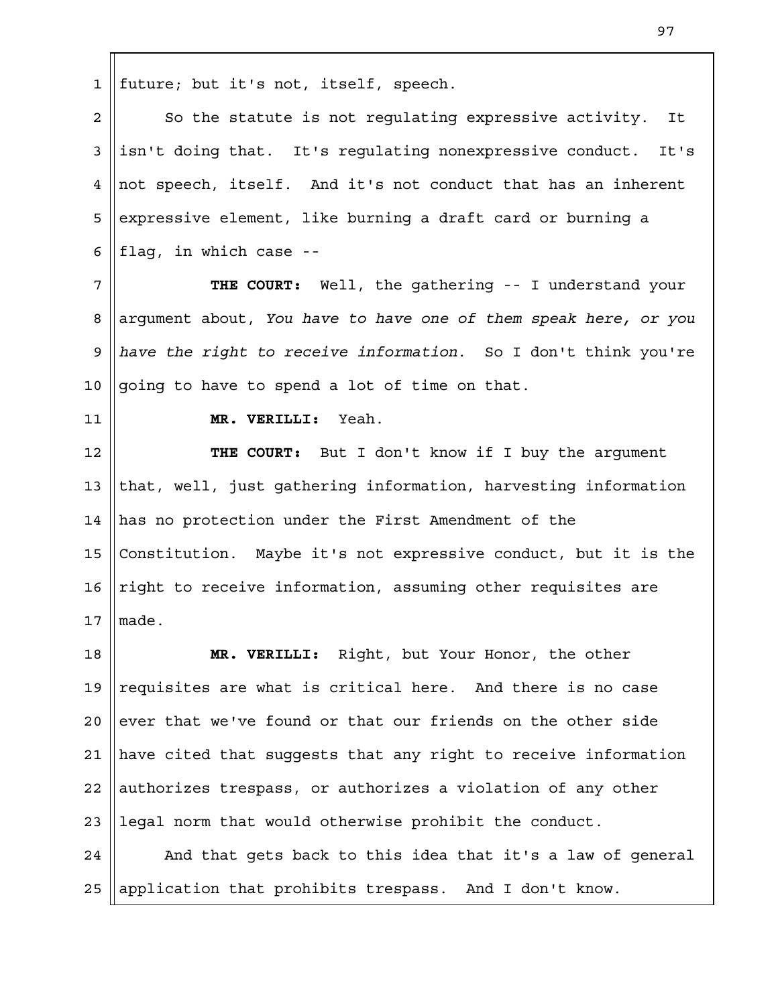future; but it's not, itself, speech. 1

So the statute is not regulating expressive activity. It isn't doing that. It's regulating nonexpressive conduct. It's not speech, itself. And it's not conduct that has an inherent expressive element, like burning a draft card or burning a flag, in which case -- 2 3 4 5 6

**THE COURT:** Well, the gathering -- I understand your argument about, *You have to have one of them speak here, or you have the right to receive information*. So I don't think you're going to have to spend a lot of time on that. 7 8 9 10

11

**MR. VERILLI:** Yeah.

**THE COURT:** But I don't know if I buy the argument that, well, just gathering information, harvesting information has no protection under the First Amendment of the Constitution. Maybe it's not expressive conduct, but it is the right to receive information, assuming other requisites are made. 12 13 14 15 16 17

**MR. VERILLI:** Right, but Your Honor, the other requisites are what is critical here. And there is no case ever that we've found or that our friends on the other side have cited that suggests that any right to receive information authorizes trespass, or authorizes a violation of any other legal norm that would otherwise prohibit the conduct. 18 19  $2.0$ 21 22 23

And that gets back to this idea that it's a law of general application that prohibits trespass. And I don't know. 24 25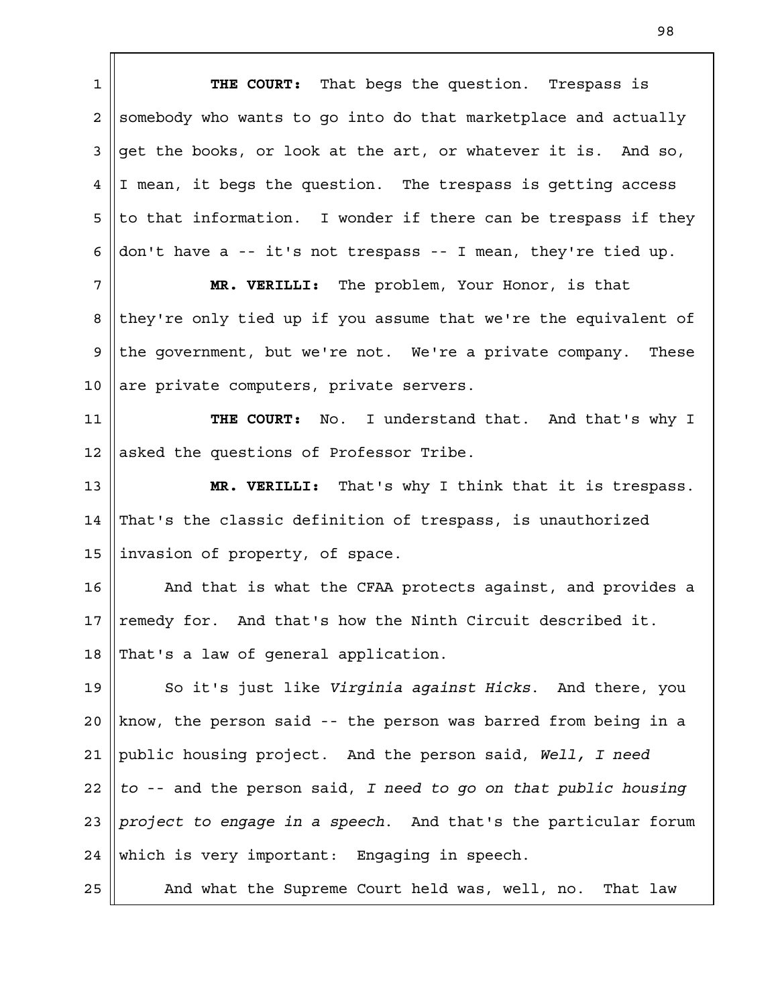**THE COURT:** That begs the question. Trespass is somebody who wants to go into do that marketplace and actually get the books, or look at the art, or whatever it is. And so, I mean, it begs the question. The trespass is getting access to that information. I wonder if there can be trespass if they don't have a -- it's not trespass -- I mean, they're tied up. **MR. VERILLI:** The problem, Your Honor, is that they're only tied up if you assume that we're the equivalent of the government, but we're not. We're a private company. These are private computers, private servers. **THE COURT:** No. I understand that. And that's why I asked the questions of Professor Tribe. **MR. VERILLI:** That's why I think that it is trespass. That's the classic definition of trespass, is unauthorized invasion of property, of space. And that is what the CFAA protects against, and provides a remedy for. And that's how the Ninth Circuit described it. That's a law of general application. So it's just like *Virginia against Hicks*. And there, you know, the person said -- the person was barred from being in a public housing project. And the person said, *Well, I need to* -- and the person said, *I need to go on that public housing project to engage in a speech*. And that's the particular forum which is very important: Engaging in speech. And what the Supreme Court held was, well, no. That law 1 2 3 4 5 6 7 8 9 10 11 12 13 14 15 16 17 18 19  $2.0$ 21 22 23 24 25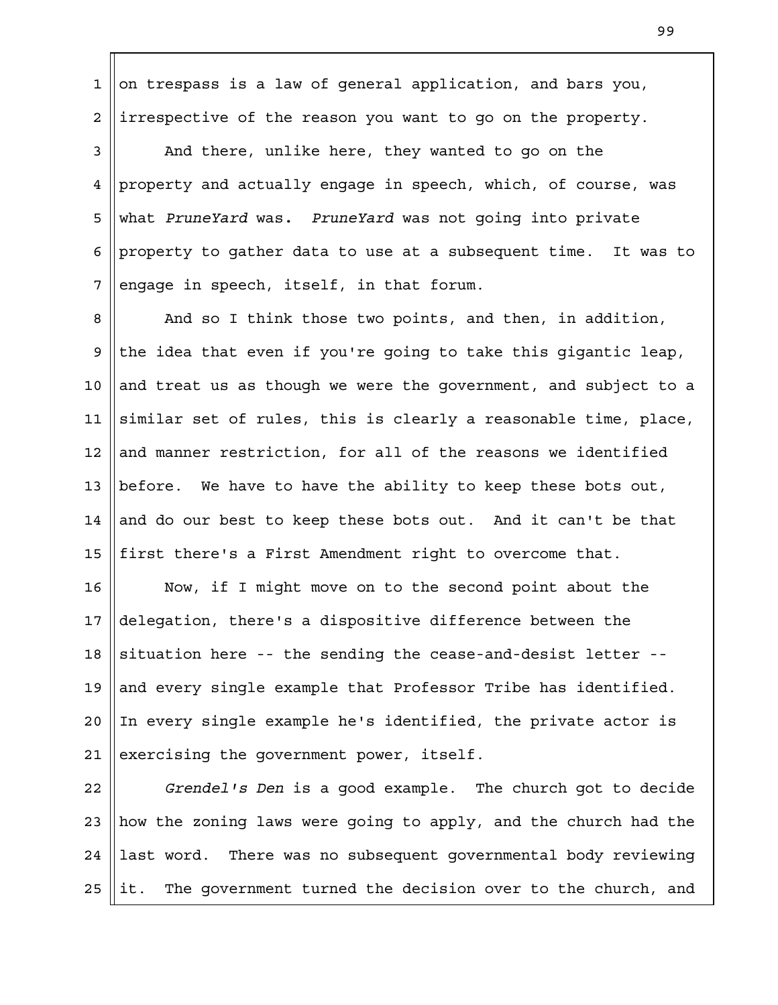on trespass is a law of general application, and bars you, irrespective of the reason you want to go on the property. 1 2

And there, unlike here, they wanted to go on the property and actually engage in speech, which, of course, was what *PruneYard* was*. PruneYard* was not going into private property to gather data to use at a subsequent time. It was to engage in speech, itself, in that forum. 3 4 5 6 7

And so I think those two points, and then, in addition, the idea that even if you're going to take this gigantic leap, and treat us as though we were the government, and subject to a similar set of rules, this is clearly a reasonable time, place, and manner restriction, for all of the reasons we identified before. We have to have the ability to keep these bots out, and do our best to keep these bots out. And it can't be that first there's a First Amendment right to overcome that. 8 9 10 11 12 13 14 15

Now, if I might move on to the second point about the delegation, there's a dispositive difference between the situation here -- the sending the cease-and-desist letter - and every single example that Professor Tribe has identified. In every single example he's identified, the private actor is exercising the government power, itself. 16 17 18 19  $2.0$ 21

*Grendel's Den* is a good example. The church got to decide how the zoning laws were going to apply, and the church had the last word. There was no subsequent governmental body reviewing it. The government turned the decision over to the church, and 22 23 24 25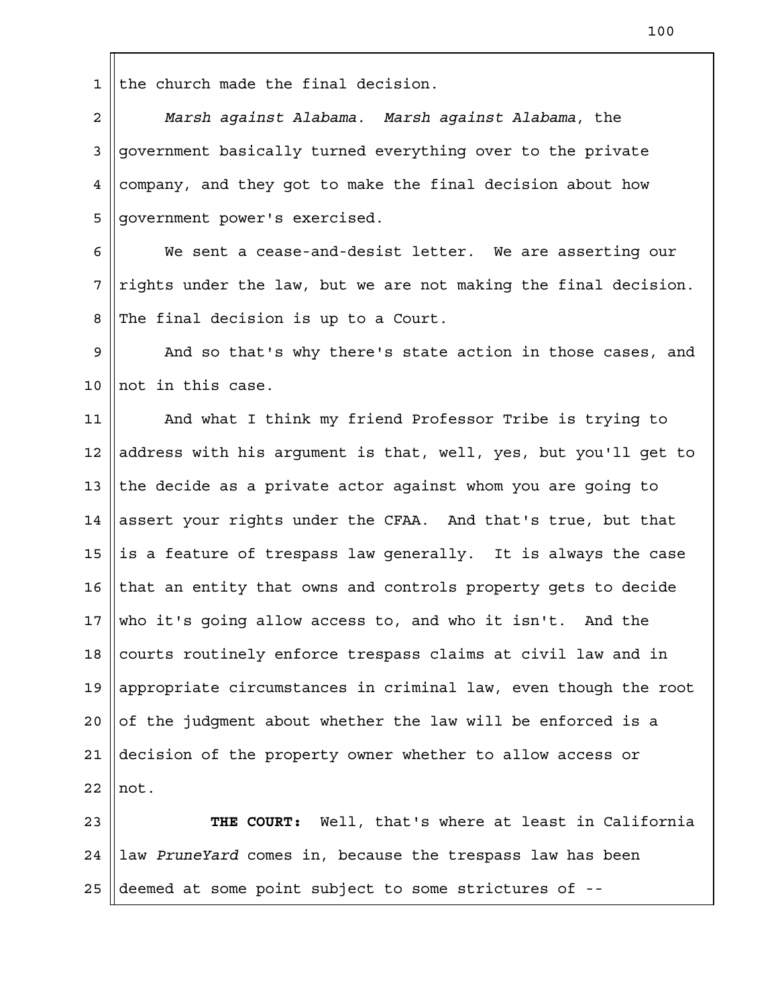the church made the final decision. 1

*Marsh against Alabama*. *Marsh against Alabama*, the government basically turned everything over to the private company, and they got to make the final decision about how government power's exercised. 2 3 4 5

We sent a cease-and-desist letter. We are asserting our rights under the law, but we are not making the final decision. The final decision is up to a Court. 6 7 8

And so that's why there's state action in those cases, and not in this case. 9 10

And what I think my friend Professor Tribe is trying to address with his argument is that, well, yes, but you'll get to the decide as a private actor against whom you are going to assert your rights under the CFAA. And that's true, but that is a feature of trespass law generally. It is always the case that an entity that owns and controls property gets to decide who it's going allow access to, and who it isn't. And the courts routinely enforce trespass claims at civil law and in appropriate circumstances in criminal law, even though the root of the judgment about whether the law will be enforced is a decision of the property owner whether to allow access or not. 11 12 13 14 15 16 17 18 19  $2.0$ 21 22

**THE COURT:** Well, that's where at least in California law *PruneYard* comes in, because the trespass law has been deemed at some point subject to some strictures of -- 23 24 25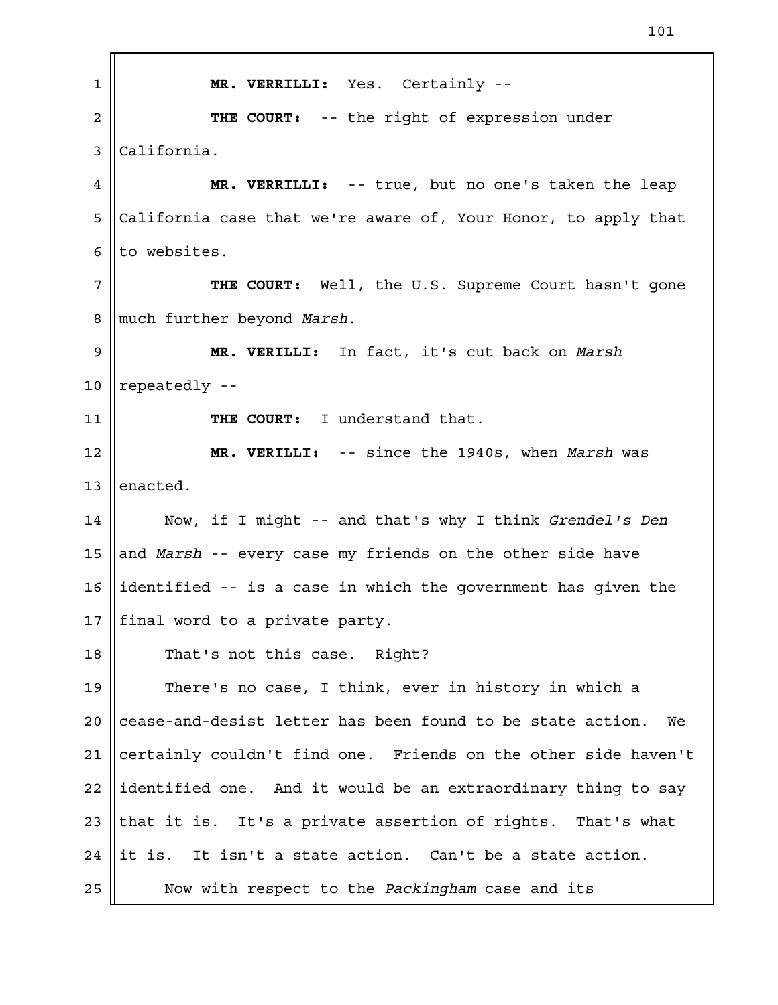| 1           | MR. VERRILLI: Yes. Certainly --                                  |
|-------------|------------------------------------------------------------------|
| 2           | THE COURT: -- the right of expression under                      |
| 3           | California.                                                      |
| 4           | MR. VERRILLI: -- true, but no one's taken the leap               |
| 5           | California case that we're aware of, Your Honor, to apply that   |
| 6           | to websites.                                                     |
| 7           | THE COURT: Well, the U.S. Supreme Court hasn't gone              |
| 8           | much further beyond Marsh.                                       |
| $\mathsf 9$ | MR. VERILLI: In fact, it's cut back on Marsh                     |
| 10          | repeatedly --                                                    |
| 11          | THE COURT: I understand that.                                    |
| 12          | MR. VERILLI: -- since the 1940s, when Marsh was                  |
| 13          | enacted.                                                         |
| 14          | Now, if I might -- and that's why I think Grendel's Den          |
| 15          | and Marsh -- every case my friends on the other side have        |
| 16          | identified -- is a case in which the government has given the    |
| 17          | final word to a private party.                                   |
| 18          | That's not this case. Right?                                     |
| 19          | There's no case, I think, ever in history in which a             |
| 20          | cease-and-desist letter has been found to be state action.<br>We |
| 21          | certainly couldn't find one. Friends on the other side haven't   |
| 22          | identified one. And it would be an extraordinary thing to say    |
| 23          | that it is. It's a private assertion of rights. That's what      |
| 24          | it is. It isn't a state action. Can't be a state action.         |
| 25          | Now with respect to the Packingham case and its                  |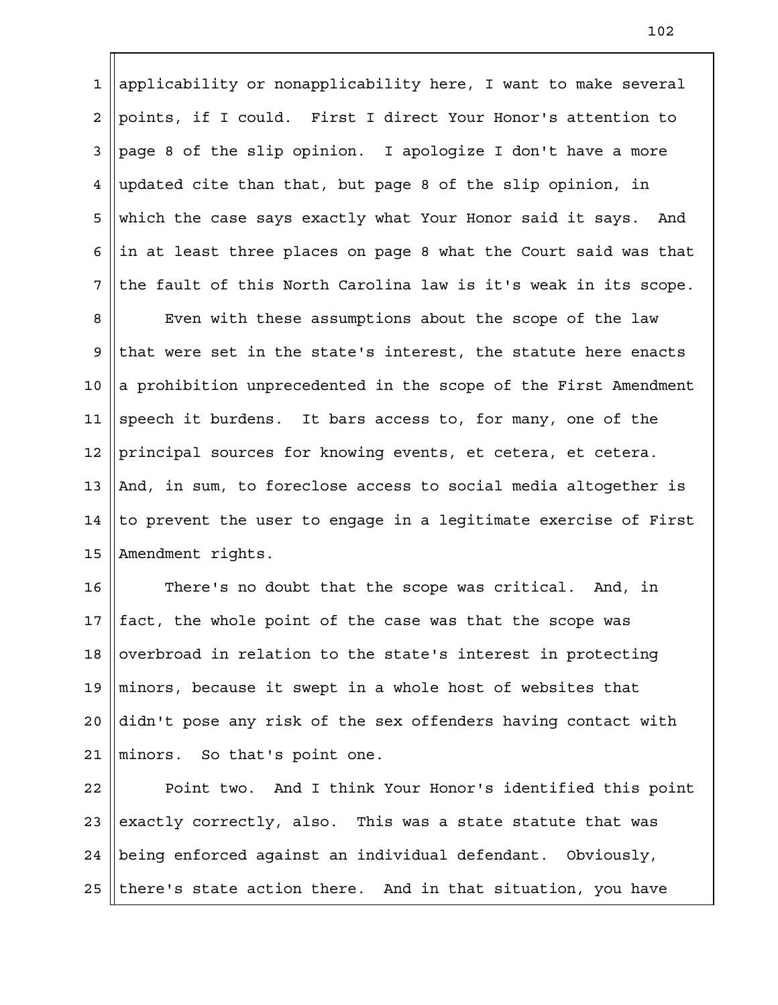applicability or nonapplicability here, I want to make several points, if I could. First I direct Your Honor's attention to page 8 of the slip opinion. I apologize I don't have a more updated cite than that, but page 8 of the slip opinion, in which the case says exactly what Your Honor said it says. And in at least three places on page 8 what the Court said was that the fault of this North Carolina law is it's weak in its scope. 1 2 3 4 5 6 7

Even with these assumptions about the scope of the law that were set in the state's interest, the statute here enacts a prohibition unprecedented in the scope of the First Amendment speech it burdens. It bars access to, for many, one of the principal sources for knowing events, et cetera, et cetera. And, in sum, to foreclose access to social media altogether is to prevent the user to engage in a legitimate exercise of First Amendment rights. 8 9 10 11 12 13 14 15

There's no doubt that the scope was critical. And, in fact, the whole point of the case was that the scope was overbroad in relation to the state's interest in protecting minors, because it swept in a whole host of websites that didn't pose any risk of the sex offenders having contact with minors. So that's point one. 16 17 18 19  $2.0$ 21

Point two. And I think Your Honor's identified this point exactly correctly, also. This was a state statute that was being enforced against an individual defendant. Obviously, there's state action there. And in that situation, you have 22 23 24 25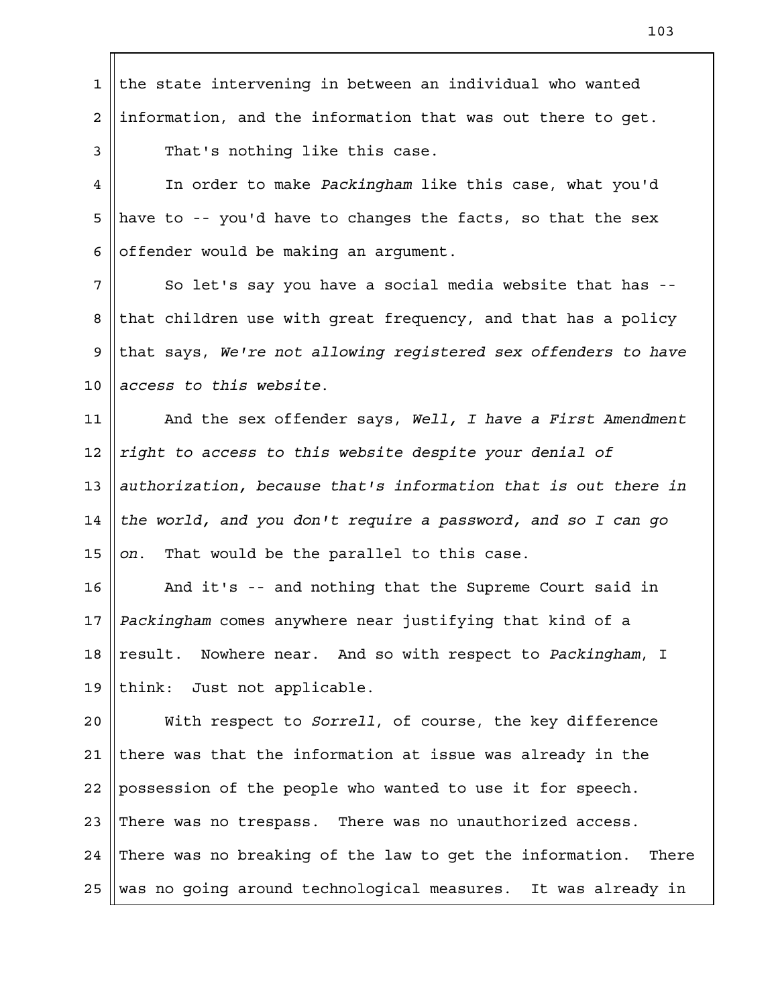| $\mathbf{1}$ | the state intervening in between an individual who wanted         |
|--------------|-------------------------------------------------------------------|
| 2            | information, and the information that was out there to get.       |
| 3            | That's nothing like this case.                                    |
| 4            | In order to make Packingham like this case, what you'd            |
| 5            | have to -- you'd have to changes the facts, so that the sex       |
| 6            | offender would be making an argument.                             |
| 7            | So let's say you have a social media website that has --          |
| 8            | that children use with great frequency, and that has a policy     |
| 9            | that says, We're not allowing registered sex offenders to have    |
| 10           | access to this website.                                           |
| 11           | And the sex offender says, Well, I have a First Amendment         |
| 12           | right to access to this website despite your denial of            |
| 13           | authorization, because that's information that is out there in    |
| 14           | the world, and you don't require a password, and so I can go      |
| 15           | That would be the parallel to this case.<br>on.                   |
| 16           | And it's -- and nothing that the Supreme Court said in            |
| 17           | Packingham comes anywhere near justifying that kind of a          |
| 18           | result. Nowhere near. And so with respect to Packingham, I        |
| 19           | think: Just not applicable.                                       |
| 20           | With respect to Sorrell, of course, the key difference            |
| 21           | there was that the information at issue was already in the        |
| 22           | possession of the people who wanted to use it for speech.         |
| 23           | There was no trespass. There was no unauthorized access.          |
| 24           | There was no breaking of the law to get the information.<br>There |
| 25           | was no going around technological measures. It was already in     |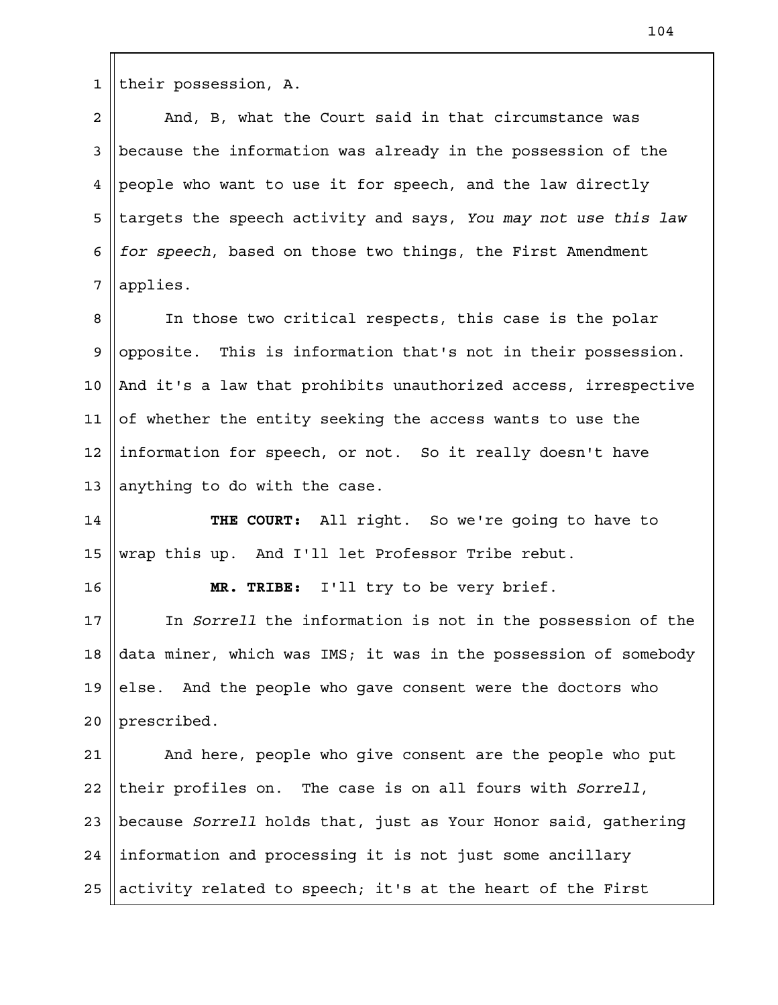their possession, A. 1

And, B, what the Court said in that circumstance was because the information was already in the possession of the people who want to use it for speech, and the law directly targets the speech activity and says, *You may not use this law for speech*, based on those two things, the First Amendment applies. 2 3 4 5 6 7

In those two critical respects, this case is the polar opposite. This is information that's not in their possession. And it's a law that prohibits unauthorized access, irrespective of whether the entity seeking the access wants to use the information for speech, or not. So it really doesn't have anything to do with the case. 8 9 10 11 12 13

**THE COURT:** All right. So we're going to have to wrap this up. And I'll let Professor Tribe rebut. 14 15

16

**MR. TRIBE:** I'll try to be very brief.

In *Sorrell* the information is not in the possession of the data miner, which was IMS; it was in the possession of somebody else. And the people who gave consent were the doctors who prescribed. 17 18 19 20

And here, people who give consent are the people who put their profiles on. The case is on all fours with *Sorrell*, because *Sorrell* holds that, just as Your Honor said, gathering information and processing it is not just some ancillary activity related to speech; it's at the heart of the First 21 22 23 24 25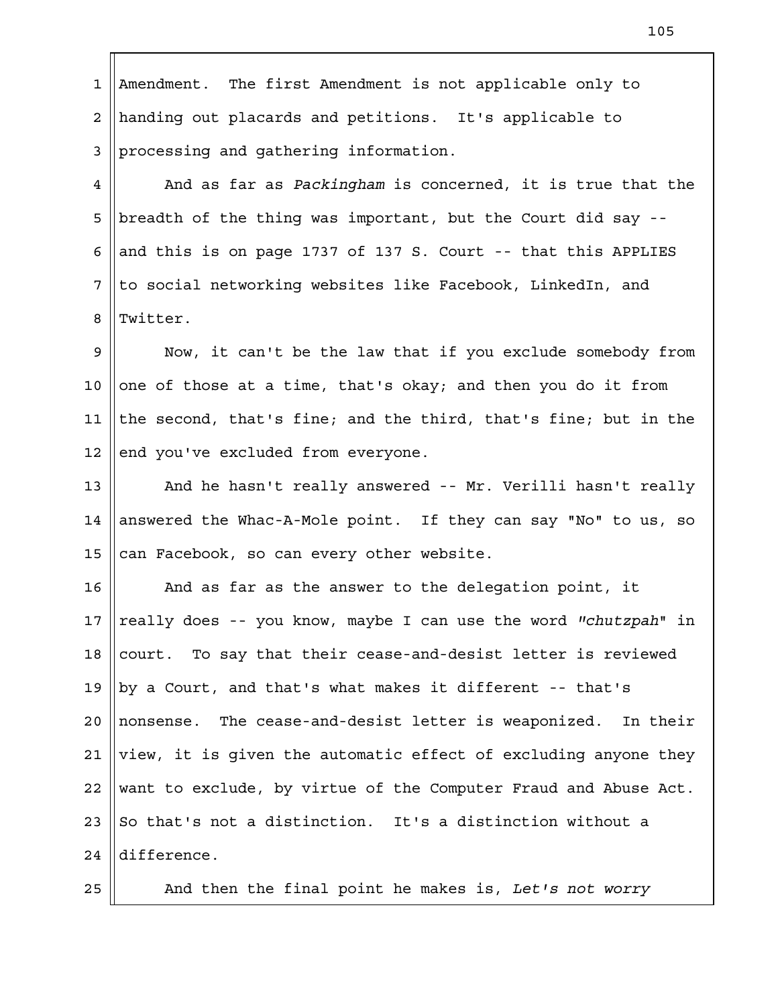Amendment. The first Amendment is not applicable only to handing out placards and petitions. It's applicable to processing and gathering information. 1 2 3

And as far as *Packingham* is concerned, it is true that the breadth of the thing was important, but the Court did say - and this is on page 1737 of 137 S. Court -- that this APPLIES to social networking websites like Facebook, LinkedIn, and Twitter. 4 5 6 7 8

Now, it can't be the law that if you exclude somebody from one of those at a time, that's okay; and then you do it from the second, that's fine; and the third, that's fine; but in the end you've excluded from everyone. 9 10 11 12

And he hasn't really answered -- Mr. Verilli hasn't really answered the Whac-A-Mole point. If they can say "No" to us, so can Facebook, so can every other website. 13 14 15

And as far as the answer to the delegation point, it really does -- you know, maybe I can use the word *"chutzpah*" in court. To say that their cease-and-desist letter is reviewed by a Court, and that's what makes it different -- that's nonsense. The cease-and-desist letter is weaponized. In their view, it is given the automatic effect of excluding anyone they want to exclude, by virtue of the Computer Fraud and Abuse Act. So that's not a distinction. It's a distinction without a difference. 16 17 18 19  $2.0$ 21 22 23 24

25

And then the final point he makes is, *Let's not worry*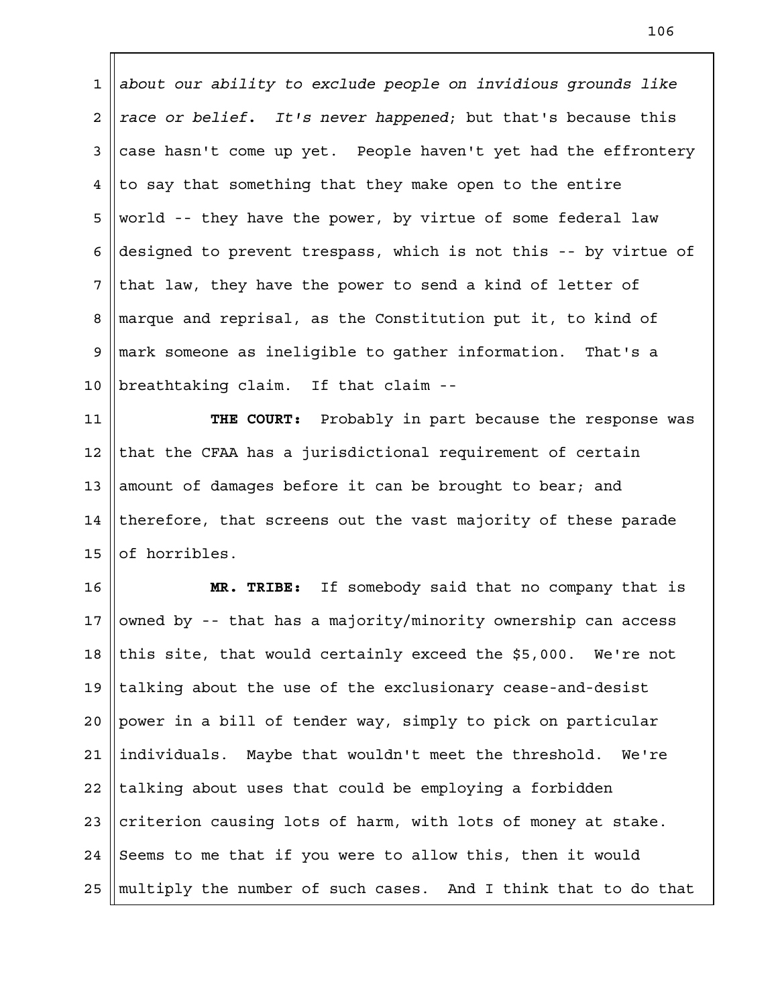*about our ability to exclude people on invidious grounds like race or belief. It's never happened*; but that's because this case hasn't come up yet. People haven't yet had the effrontery to say that something that they make open to the entire world -- they have the power, by virtue of some federal law designed to prevent trespass, which is not this -- by virtue of that law, they have the power to send a kind of letter of marque and reprisal, as the Constitution put it, to kind of mark someone as ineligible to gather information. That's a breathtaking claim. If that claim -- 1 2 3 4 5 6 7 8 9 10

**THE COURT:** Probably in part because the response was that the CFAA has a jurisdictional requirement of certain amount of damages before it can be brought to bear; and therefore, that screens out the vast majority of these parade of horribles. 11 12 13 14 15

**MR. TRIBE:** If somebody said that no company that is owned by -- that has a majority/minority ownership can access this site, that would certainly exceed the \$5,000. We're not talking about the use of the exclusionary cease-and-desist power in a bill of tender way, simply to pick on particular individuals. Maybe that wouldn't meet the threshold. We're talking about uses that could be employing a forbidden criterion causing lots of harm, with lots of money at stake. Seems to me that if you were to allow this, then it would multiply the number of such cases. And I think that to do that 16 17 18 19  $2.0$ 21 22 23 24 25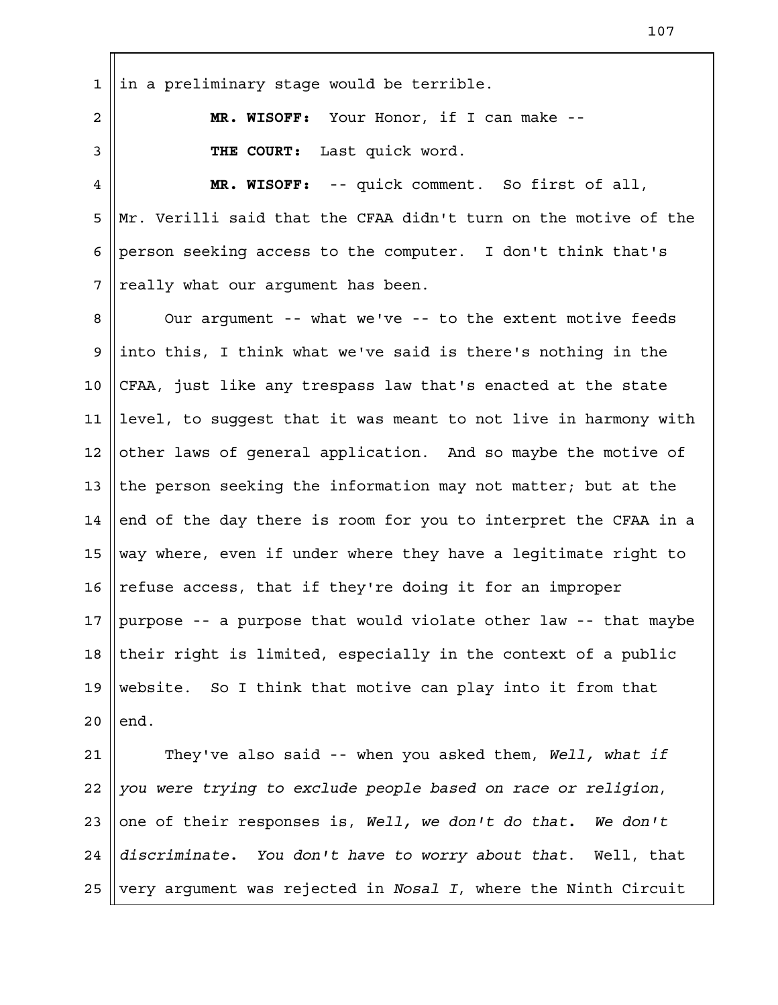in a preliminary stage would be terrible. **MR. WISOFF:** Your Honor, if I can make -- **THE COURT:** Last quick word. **MR. WISOFF:** -- quick comment. So first of all, Mr. Verilli said that the CFAA didn't turn on the motive of the person seeking access to the computer. I don't think that's really what our argument has been. Our argument -- what we've -- to the extent motive feeds into this, I think what we've said is there's nothing in the CFAA, just like any trespass law that's enacted at the state level, to suggest that it was meant to not live in harmony with other laws of general application. And so maybe the motive of the person seeking the information may not matter; but at the end of the day there is room for you to interpret the CFAA in a way where, even if under where they have a legitimate right to refuse access, that if they're doing it for an improper purpose -- a purpose that would violate other law -- that maybe their right is limited, especially in the context of a public website. So I think that motive can play into it from that end. They've also said -- when you asked them, *Well, what if you were trying to exclude people based on race or religion*, one of their responses is, *Well, we don't do that. We don't discriminate. You don't have to worry about that*. Well, that 1 2 3 4 5 6 7 8 9 10 11 12 13 14 15 16 17 18 19  $2.0$ 21 22 23 24

very argument was rejected in *Nosal I*, where the Ninth Circuit 25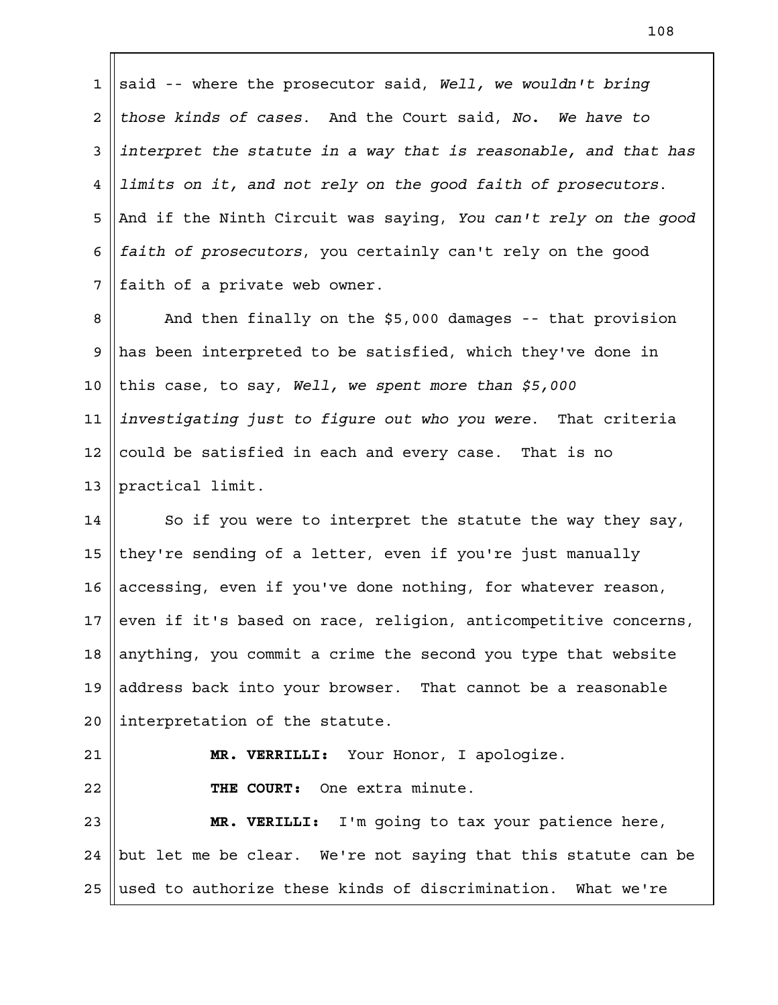said -- where the prosecutor said, *Well, we wouldn't bring those kinds of cases*. And the Court said, *No. We have to interpret the statute in a way that is reasonable, and that has limits on it, and not rely on the good faith of prosecutors*. And if the Ninth Circuit was saying, *You can't rely on the good faith of prosecutors*, you certainly can't rely on the good faith of a private web owner. 1 2 3 4 5 6 7

And then finally on the \$5,000 damages -- that provision has been interpreted to be satisfied, which they've done in this case, to say, *Well, we spent more than \$5,000 investigating just to figure out who you were*. That criteria could be satisfied in each and every case. That is no practical limit. 8 9 10 11 12 13

So if you were to interpret the statute the way they say, they're sending of a letter, even if you're just manually accessing, even if you've done nothing, for whatever reason, even if it's based on race, religion, anticompetitive concerns, anything, you commit a crime the second you type that website address back into your browser. That cannot be a reasonable interpretation of the statute. 14 15 16 17 18 19  $2.0$ 

## 21

22

**MR. VERRILLI:** Your Honor, I apologize.

**THE COURT:** One extra minute.

**MR. VERILLI:** I'm going to tax your patience here, but let me be clear. We're not saying that this statute can be used to authorize these kinds of discrimination. What we're 23 24 25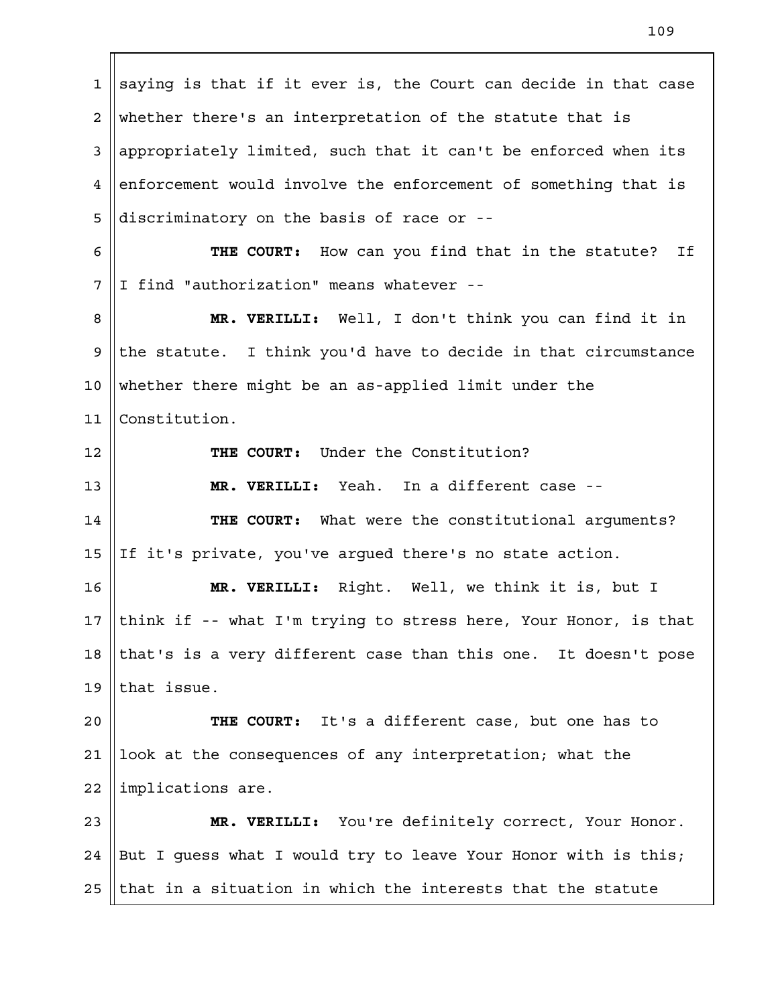saying is that if it ever is, the Court can decide in that case whether there's an interpretation of the statute that is appropriately limited, such that it can't be enforced when its enforcement would involve the enforcement of something that is discriminatory on the basis of race or -- **THE COURT:** How can you find that in the statute? If I find "authorization" means whatever -- **MR. VERILLI:** Well, I don't think you can find it in the statute. I think you'd have to decide in that circumstance whether there might be an as-applied limit under the Constitution. **THE COURT:** Under the Constitution? **MR. VERILLI:** Yeah. In a different case -- **THE COURT:** What were the constitutional arguments? If it's private, you've argued there's no state action. **MR. VERILLI:** Right. Well, we think it is, but I think if -- what I'm trying to stress here, Your Honor, is that that's is a very different case than this one. It doesn't pose that issue. **THE COURT:** It's a different case, but one has to look at the consequences of any interpretation; what the implications are. **MR. VERILLI:** You're definitely correct, Your Honor. But I guess what I would try to leave Your Honor with is this; that in a situation in which the interests that the statute 1 2 3 4 5 6 7 8 9 10 11 12 13 14 15 16 17 18 19  $2.0$ 21 22 23 24 25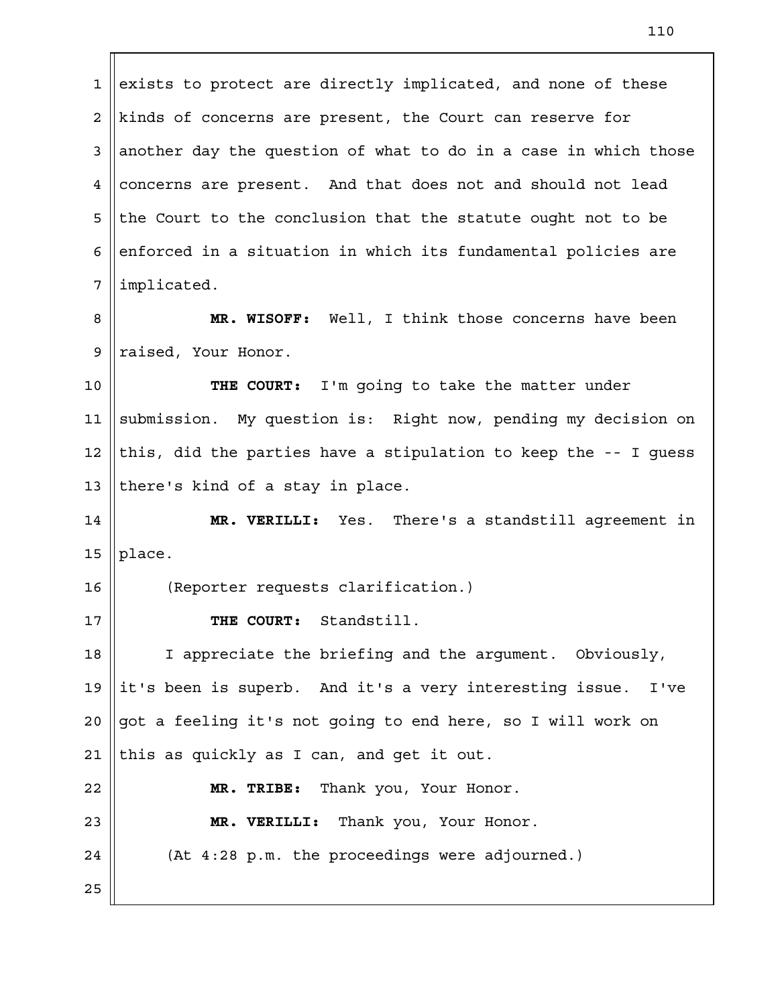exists to protect are directly implicated, and none of these kinds of concerns are present, the Court can reserve for another day the question of what to do in a case in which those concerns are present. And that does not and should not lead the Court to the conclusion that the statute ought not to be enforced in a situation in which its fundamental policies are implicated. **MR. WISOFF:** Well, I think those concerns have been raised, Your Honor. **THE COURT:** I'm going to take the matter under submission. My question is: Right now, pending my decision on this, did the parties have a stipulation to keep the -- I guess there's kind of a stay in place. **MR. VERILLI:** Yes. There's a standstill agreement in place. (Reporter requests clarification.) **THE COURT:** Standstill. I appreciate the briefing and the argument. Obviously, it's been is superb. And it's a very interesting issue. I've got a feeling it's not going to end here, so I will work on this as quickly as I can, and get it out. **MR. TRIBE:** Thank you, Your Honor. 1 2 3 4 5 6 7 8 9 10 11 12 13 14 15 16 17 18 19  $2.0$ 21 22

(At 4:28 p.m. the proceedings were adjourned.)

**MR. VERILLI:** Thank you, Your Honor.

25

23

24